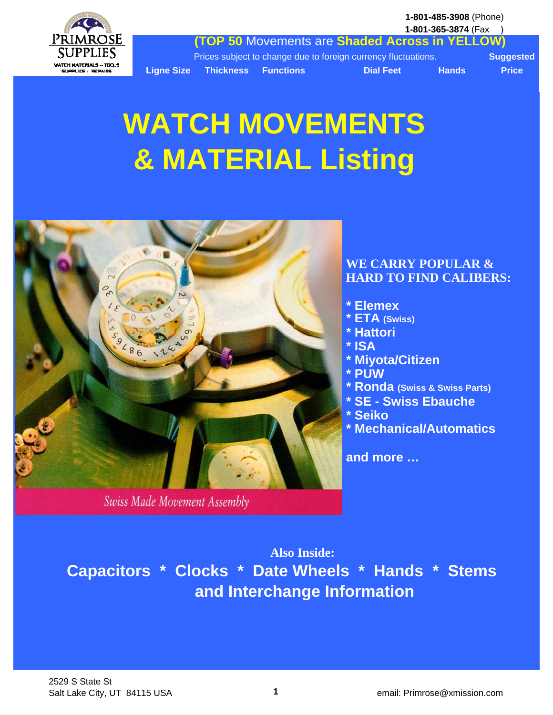**1-801-485-3908** (Phone) **1-801-365-3874** (Fax )



**(TOP 50** Movements are **Shaded Across in YELLOW)**

**Ligne Size Thickness Functions Community Dial Feet Hands Price** 

Prices subject to change due to foreign currency fluctuations. **Suggested**

# **WATCH MOVEMENTS & MATERIAL Listing**



Swiss Made Movement Assembly

### **WE CARRY POPULAR & HARD TO FIND CALIBERS:**

- **\* Elemex**
- **\* ETA (Swiss)**
- **\* Hattori**
- **\* ISA**
- **\* Miyota/Citizen**
- **\* PUW**
- **\* Ronda (Swiss & Swiss Parts)**
- **\* SE Swiss Ebauche**
- **\* Seiko**
- **\* Mechanical/Automatics**

**and more …**

**Also Inside: Capacitors \* Clocks \* Date Wheels \* Hands \* Stems and Interchange Information**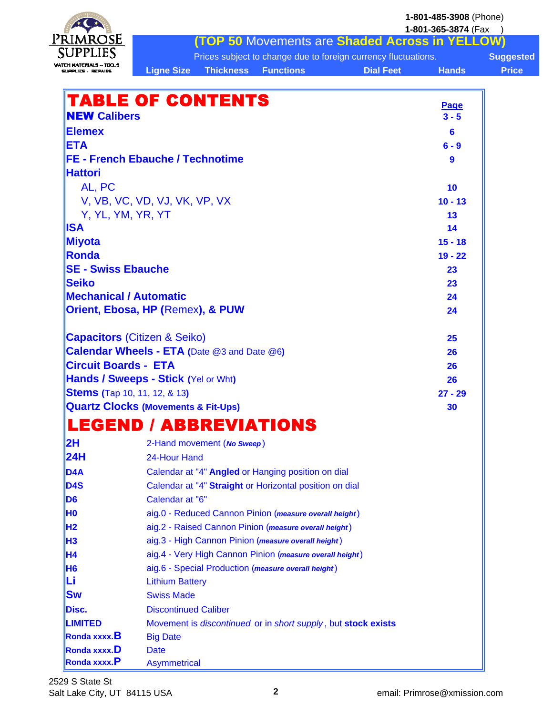|                                                    |                               |                            |                                                               |                                                                                    | 1-801-485-3908 (Phone) |                                  |
|----------------------------------------------------|-------------------------------|----------------------------|---------------------------------------------------------------|------------------------------------------------------------------------------------|------------------------|----------------------------------|
| Primrose                                           |                               |                            |                                                               | <b>(TOP 50 Movements are Shaded Across in YELLOW)</b>                              | 1-801-365-3874 (Fax    |                                  |
| SUPPLIES                                           |                               |                            |                                                               |                                                                                    |                        |                                  |
| WATCH MATERIALS -- TOOS                            |                               | <b>Thickness</b>           | <b>Functions</b>                                              | Prices subject to change due to foreign currency fluctuations.<br><b>Dial Feet</b> | <b>Hands</b>           | <b>Suggested</b><br><b>Price</b> |
| UPPLIES, REPAIR                                    | <b>Ligne Size</b>             |                            |                                                               |                                                                                    |                        |                                  |
| <b>TABLE OF CONTENTS</b>                           |                               |                            |                                                               |                                                                                    |                        |                                  |
|                                                    |                               |                            |                                                               |                                                                                    | Page                   |                                  |
| <b>NEW Calibers</b>                                |                               |                            |                                                               |                                                                                    | $3 - 5$                |                                  |
| <b>Elemex</b>                                      |                               |                            |                                                               |                                                                                    | 6                      |                                  |
| <b>ETA</b>                                         |                               |                            |                                                               |                                                                                    | $6 - 9$                |                                  |
| <b>FE - French Ebauche / Technotime</b>            |                               |                            |                                                               |                                                                                    | 9                      |                                  |
| <b>Hattori</b>                                     |                               |                            |                                                               |                                                                                    |                        |                                  |
| AL, PC                                             |                               |                            |                                                               |                                                                                    | 10                     |                                  |
|                                                    | V, VB, VC, VD, VJ, VK, VP, VX |                            |                                                               |                                                                                    | $10 - 13$              |                                  |
| Y, YL, YM, YR, YT                                  |                               |                            |                                                               |                                                                                    | 13                     |                                  |
| ISA                                                |                               |                            |                                                               |                                                                                    | 14                     |                                  |
| Miyota                                             |                               |                            |                                                               |                                                                                    | $15 - 18$              |                                  |
| Ronda                                              |                               |                            |                                                               |                                                                                    | $19 - 22$              |                                  |
| <b>SE - Swiss Ebauche</b>                          |                               |                            |                                                               |                                                                                    | 23                     |                                  |
| <b>Seiko</b>                                       |                               |                            |                                                               |                                                                                    | 23                     |                                  |
| <b>Mechanical / Automatic</b>                      |                               |                            |                                                               |                                                                                    | 24                     |                                  |
| Orient, Ebosa, HP (Remex), & PUW                   |                               |                            |                                                               |                                                                                    | 24                     |                                  |
| <b>Capacitors (Citizen &amp; Seiko)</b>            |                               |                            |                                                               |                                                                                    | 25                     |                                  |
| <b>Calendar Wheels - ETA (Date @3 and Date @6)</b> |                               |                            |                                                               |                                                                                    | 26                     |                                  |
| <b>Circuit Boards - ETA</b>                        |                               |                            |                                                               |                                                                                    | 26                     |                                  |
| Hands / Sweeps - Stick (Yel or Wht)                |                               |                            |                                                               |                                                                                    | 26                     |                                  |
| <b>Stems (Tap 10, 11, 12, &amp; 13)</b>            |                               |                            |                                                               |                                                                                    | $27 - 29$              |                                  |
| <b>Quartz Clocks (Movements &amp; Fit-Ups)</b>     |                               |                            |                                                               |                                                                                    | 30                     |                                  |
|                                                    |                               |                            | LEGEND / ABBREVIATIONS                                        |                                                                                    |                        |                                  |
| 2H                                                 |                               | 2-Hand movement (No Sweep) |                                                               |                                                                                    |                        |                                  |
| 24H                                                | 24-Hour Hand                  |                            |                                                               |                                                                                    |                        |                                  |
| D <sub>4</sub> A                                   |                               |                            | Calendar at "4" Angled or Hanging position on dial            |                                                                                    |                        |                                  |
| <b>D4S</b>                                         |                               |                            | Calendar at "4" Straight or Horizontal position on dial       |                                                                                    |                        |                                  |
| D <sub>6</sub>                                     | Calendar at "6"               |                            |                                                               |                                                                                    |                        |                                  |
| H0                                                 |                               |                            | aig.0 - Reduced Cannon Pinion (measure overall height)        |                                                                                    |                        |                                  |
| <b>H2</b>                                          |                               |                            | aig.2 - Raised Cannon Pinion (measure overall height)         |                                                                                    |                        |                                  |
| H <sub>3</sub>                                     |                               |                            | aig.3 - High Cannon Pinion (measure overall height)           |                                                                                    |                        |                                  |
| H4                                                 |                               |                            | aig.4 - Very High Cannon Pinion (measure overall height)      |                                                                                    |                        |                                  |
| H <sub>6</sub>                                     |                               |                            | aig.6 - Special Production (measure overall height)           |                                                                                    |                        |                                  |
| Li                                                 | <b>Lithium Battery</b>        |                            |                                                               |                                                                                    |                        |                                  |
| <b>Sw</b>                                          | <b>Swiss Made</b>             |                            |                                                               |                                                                                    |                        |                                  |
| Disc.                                              | <b>Discontinued Caliber</b>   |                            |                                                               |                                                                                    |                        |                                  |
| <b>LIMITED</b>                                     |                               |                            | Movement is discontinued or in short supply, but stock exists |                                                                                    |                        |                                  |
| Ronda xxxx.B                                       | <b>Big Date</b>               |                            |                                                               |                                                                                    |                        |                                  |
| <b>Ronda xxxx.D</b>                                | <b>Date</b>                   |                            |                                                               |                                                                                    |                        |                                  |
| Ronda xxxx.P                                       | <b>Asymmetrical</b>           |                            |                                                               |                                                                                    |                        |                                  |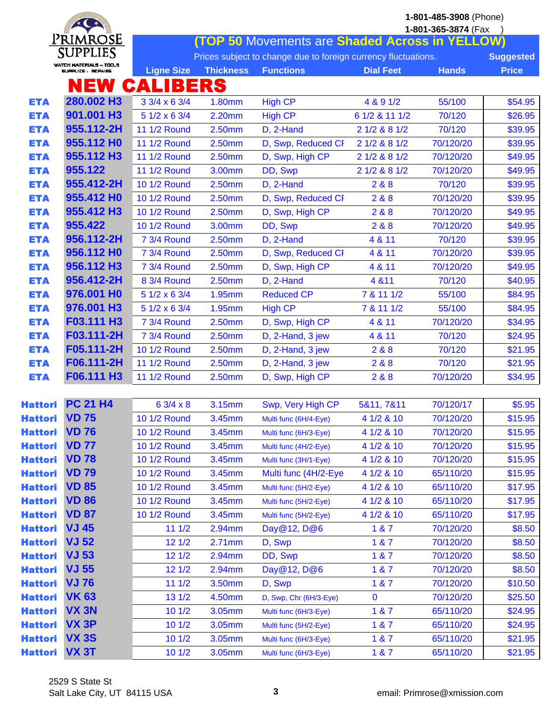|                |                         | 1-801-485-3908 (Phone) |                    |                                                                |                  |                     |                  |  |  |
|----------------|-------------------------|------------------------|--------------------|----------------------------------------------------------------|------------------|---------------------|------------------|--|--|
|                | Primrose                |                        |                    |                                                                |                  | 1-801-365-3874 (Fax |                  |  |  |
|                | <b>SUPPLIES</b>         |                        |                    | <b>(TOP 50 Movements are Shaded Across in YELLOW)</b>          |                  |                     |                  |  |  |
|                | WATCH MATERIALS -- TOOS |                        |                    | Prices subject to change due to foreign currency fluctuations. |                  |                     | <b>Suggested</b> |  |  |
|                | SUPPLICS - REPAIRS      | <b>Ligne Size</b>      | <b>Thickness</b>   | <b>Functions</b>                                               | <b>Dial Feet</b> | <b>Hands</b>        | <b>Price</b>     |  |  |
|                | NEW                     | <b>CALIBERS</b>        |                    |                                                                |                  |                     |                  |  |  |
| <b>ETA</b>     | 280.002 H3              | 3 3/4 x 6 3/4          | 1.80mm             | <b>High CP</b>                                                 | 4 & 9 1/2        | 55/100              | \$54.95          |  |  |
| <b>ETA</b>     | 901.001 H3              | 5 1/2 x 6 3/4          | 2.20mm             | <b>High CP</b>                                                 | 6 1/2 & 11 1/2   | 70/120              | \$26.95          |  |  |
| <b>ETA</b>     | 955.112-2H              | <b>11 1/2 Round</b>    | 2.50mm             | D, 2-Hand                                                      | 2 1/2 & 8 1/2    | 70/120              | \$39.95          |  |  |
| <b>ETA</b>     | 955.112 HO              | 11 1/2 Round           | 2.50mm             | D, Swp, Reduced CF                                             | 2 1/2 & 8 1/2    | 70/120/20           | \$39.95          |  |  |
| <b>ETA</b>     | 955.112 H3              | <b>11 1/2 Round</b>    | 2.50 <sub>mm</sub> | D, Swp, High CP                                                | 2 1/2 & 8 1/2    | 70/120/20           | \$49.95          |  |  |
| <b>ETA</b>     | 955.122                 | <b>11 1/2 Round</b>    | 3.00mm             | DD, Swp                                                        | 2 1/2 & 8 1/2    | 70/120/20           | \$49.95          |  |  |
| <b>ETA</b>     | 955.412-2H              | 10 1/2 Round           | 2.50mm             | D, 2-Hand                                                      | 2 & 8            | 70/120              | \$39.95          |  |  |
| <b>ETA</b>     | 955.412 HO              | 10 1/2 Round           | 2.50mm             | D, Swp, Reduced CF                                             | 288              | 70/120/20           | \$39.95          |  |  |
| <b>ETA</b>     | 955.412 H3              | 10 1/2 Round           | 2.50mm             | D, Swp, High CP                                                | 2&8              | 70/120/20           | \$49.95          |  |  |
| <b>ETA</b>     | 955.422                 | 10 1/2 Round           | 3.00mm             | DD, Swp                                                        | 2&8              | 70/120/20           | \$49.95          |  |  |
| <b>ETA</b>     | 956.112-2H              | 7 3/4 Round            | 2.50mm             | D, 2-Hand                                                      | 4 & 11           | 70/120              | \$39.95          |  |  |
| <b>ETA</b>     | 956.112 HO              | 7 3/4 Round            | 2.50mm             | D, Swp, Reduced CF                                             | 4 & 11           | 70/120/20           | \$39.95          |  |  |
| <b>ETA</b>     | 956.112 H3              | 7 3/4 Round            | 2.50mm             | D, Swp, High CP                                                | 4 & 11           | 70/120/20           | \$49.95          |  |  |
| <b>ETA</b>     | 956.412-2H              | 8 3/4 Round            | 2.50mm             | D, 2-Hand                                                      | 4 & 11           | 70/120              | \$40.95          |  |  |
| <b>ETA</b>     | 976.001 HO              | 5 1/2 x 6 3/4          | 1.95mm             | <b>Reduced CP</b>                                              | 7 & 11 1/2       | 55/100              | \$84.95          |  |  |
| <b>ETA</b>     | 976.001 H3              | 5 1/2 x 6 3/4          | 1.95mm             | <b>High CP</b>                                                 | 7 & 11 1/2       | 55/100              | \$84.95          |  |  |
| <b>ETA</b>     | F03.111 H3              | 7 3/4 Round            | 2.50mm             | D, Swp, High CP                                                | 4 & 11           | 70/120/20           | \$34.95          |  |  |
| <b>ETA</b>     | F03.111-2H              | 7 3/4 Round            | 2.50mm             | D, 2-Hand, 3 jew                                               | 4 & 11           | 70/120              | \$24.95          |  |  |
| <b>ETA</b>     | F05.111-2H              | 10 1/2 Round           | 2.50mm             | D, 2-Hand, 3 jew                                               | 2 & 8            | 70/120              | \$21.95          |  |  |
| <b>ETA</b>     | F06.111-2H              | <b>11 1/2 Round</b>    | 2.50mm             | D, 2-Hand, 3 jew                                               | 2 & 8            | 70/120              | \$21.95          |  |  |
| <b>ETA</b>     | F06.111 H3              | <b>11 1/2 Round</b>    | 2.50mm             | D, Swp, High CP                                                | 2 & 8            | 70/120/20           | \$34.95          |  |  |
|                |                         |                        |                    |                                                                |                  |                     |                  |  |  |
| <b>Hattori</b> | <b>PC 21 H4</b>         | $63/4 \times 8$        | 3.15mm             | Swp, Very High CP                                              | 5&11, 7&11       | 70/120/17           | \$5.95           |  |  |
| <b>Hattori</b> | <b>VD 75</b>            | 10 1/2 Round           | 3.45mm             | Multi func (6H/4-Eye)                                          | 4 1/2 & 10       | 70/120/20           | \$15.95          |  |  |
| <b>Hattori</b> | <b>VD 76</b>            | 10 1/2 Round           | 3.45mm             | Multi func (6H/3-Eye)                                          | 4 1/2 & 10       | 70/120/20           | \$15.95          |  |  |
| <b>Hattori</b> | <b>VD 77</b>            | 10 1/2 Round           | 3.45mm             | Multi func (4H/2-Eye)                                          | 4 1/2 & 10       | 70/120/20           | \$15.95          |  |  |
| <b>Hattori</b> | <b>VD 78</b>            | 10 1/2 Round           | 3.45mm             | Multi func (3H/1-Eye)                                          | 4 1/2 & 10       | 70/120/20           | \$15.95          |  |  |
| <b>Hattori</b> | <b>VD 79</b>            | 10 1/2 Round           | 3.45mm             | Multi func (4H/2-Eye                                           | 4 1/2 & 10       | 65/110/20           | \$15.95          |  |  |
| <b>Hattori</b> | <b>VD 85</b>            | 10 1/2 Round           | 3.45mm             | Multi func (5H/2-Eye)                                          | 4 1/2 & 10       | 65/110/20           | \$17.95          |  |  |
| <b>Hattori</b> | <b>VD 86</b>            | 10 1/2 Round           | 3.45mm             | Multi func (5H/2-Eye)                                          | 4 1/2 & 10       | 65/110/20           | \$17.95          |  |  |
| <b>Hattori</b> | <b>VD 87</b>            | 10 1/2 Round           | 3.45mm             | Multi func (5H/2-Eye)                                          | 4 1/2 & 10       | 65/110/20           | \$17.95          |  |  |
| <b>Hattori</b> | <b>VJ 45</b>            | 111/2                  | 2.94mm             | Day@12, D@6                                                    | 187              | 70/120/20           | \$8.50           |  |  |
| <b>Hattori</b> | <b>VJ 52</b>            | 121/2                  | 2.71mm             | D, Swp                                                         | 187              | 70/120/20           | \$8.50           |  |  |
| <b>Hattori</b> | <b>VJ 53</b>            | 121/2                  | 2.94mm             | DD, Swp                                                        | 187              | 70/120/20           | \$8.50           |  |  |
| <b>Hattori</b> | <b>VJ 55</b>            | 121/2                  | 2.94mm             | Day@12, D@6                                                    | 187              | 70/120/20           | \$8.50           |  |  |
| <b>Hattori</b> | <b>VJ 76</b>            | 111/2                  | 3.50mm             | D, Swp                                                         | 187              | 70/120/20           | \$10.50          |  |  |
| <b>Hattori</b> | <b>VK 63</b>            | 131/2                  | 4.50mm             | D, Swp, Chr (6H/3-Eye)                                         | $\mathbf 0$      | 70/120/20           | \$25.50          |  |  |
| <b>Hattori</b> | VX <sub>3N</sub>        | 101/2                  | 3.05mm             | Multi func (6H/3-Eye)                                          | 1 & 7            | 65/110/20           | \$24.95          |  |  |
| <b>Hattori</b> | VX <sub>3P</sub>        | 101/2                  | 3.05mm             | Multi func (5H/2-Eye)                                          | 1 & 7            | 65/110/20           | \$24.95          |  |  |
| <b>Hattori</b> | <b>VX 3S</b>            | 101/2                  | 3.05mm             | Multi func (6H/3-Eye)                                          | 1 & 7            | 65/110/20           | \$21.95          |  |  |
| <b>Hattori</b> | <b>VX 3T</b>            | 101/2                  | 3.05mm             | Multi func (6H/3-Eye)                                          | 1 & 7            | 65/110/20           | \$21.95          |  |  |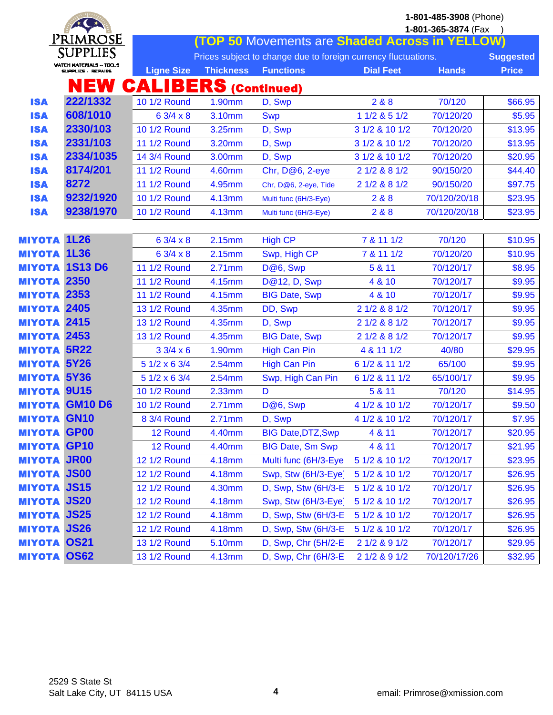|               |                                               | 1-801-485-3908 (Phone)<br>1-801-365-3874 (Fax |                  |                                                                                    |                  |              |                                  |  |
|---------------|-----------------------------------------------|-----------------------------------------------|------------------|------------------------------------------------------------------------------------|------------------|--------------|----------------------------------|--|
|               | Primrose                                      |                                               |                  | <b>(TOP 50 Movements are Shaded Across in YELLOW)</b>                              |                  |              |                                  |  |
|               | SUPPLIES                                      |                                               |                  |                                                                                    |                  |              |                                  |  |
|               | WATCH MATERIALS -- TOOS<br>SUPPLICS , REPAIRS | <b>Ligne Size</b>                             | <b>Thickness</b> | Prices subject to change due to foreign currency fluctuations.<br><b>Functions</b> | <b>Dial Feet</b> | <b>Hands</b> | <b>Suggested</b><br><b>Price</b> |  |
|               |                                               |                                               |                  |                                                                                    |                  |              |                                  |  |
|               | NEW                                           | <b>CALIBERS (Continued)</b>                   |                  |                                                                                    |                  |              |                                  |  |
| <b>ISA</b>    | 222/1332                                      | 10 1/2 Round                                  | 1.90mm           | D, Swp                                                                             | 2&8&8            | 70/120       | \$66.95                          |  |
| <b>ISA</b>    | 608/1010                                      | $63/4 \times 8$                               | 3.10mm           | <b>Swp</b>                                                                         | 1 1/2 & 5 1/2    | 70/120/20    | \$5.95                           |  |
| <b>ISA</b>    | 2330/103                                      | 10 1/2 Round                                  | 3.25mm           | D, Swp                                                                             | 3 1/2 & 10 1/2   | 70/120/20    | \$13.95                          |  |
| <b>ISA</b>    | 2331/103                                      | 11 1/2 Round                                  | 3.20mm           | D, Swp                                                                             | 3 1/2 & 10 1/2   | 70/120/20    | \$13.95                          |  |
| <b>ISA</b>    | 2334/1035                                     | 14 3/4 Round                                  | 3.00mm           | D, Swp                                                                             | 3 1/2 & 10 1/2   | 70/120/20    | \$20.95                          |  |
| <b>ISA</b>    | 8174/201                                      | 11 1/2 Round                                  | 4.60mm           | Chr, D@6, 2-eye                                                                    | 2 1/2 & 8 1/2    | 90/150/20    | \$44.40                          |  |
| <b>ISA</b>    | 8272                                          | 11 1/2 Round                                  | 4.95mm           | Chr, D@6, 2-eye, Tide                                                              | 2 1/2 & 8 1/2    | 90/150/20    | \$97.75                          |  |
| <b>ISA</b>    | 9232/1920                                     | 10 1/2 Round                                  | 4.13mm           | Multi func (6H/3-Eye)                                                              | 2&8&8            | 70/120/20/18 | \$23.95                          |  |
| <b>ISA</b>    | 9238/1970                                     | 10 1/2 Round                                  | 4.13mm           | Multi func (6H/3-Eye)                                                              | 2 & 8            | 70/120/20/18 | \$23.95                          |  |
|               |                                               |                                               |                  |                                                                                    |                  |              |                                  |  |
| <b>MIYOTA</b> | <b>1L26</b>                                   | $63/4 \times 8$                               | 2.15mm           | <b>High CP</b>                                                                     | 7 & 11 1/2       | 70/120       | \$10.95                          |  |
| <b>MIYOTA</b> | <b>1L36</b>                                   | $63/4 \times 8$                               | 2.15mm           | Swp, High CP                                                                       | 7 & 11 1/2       | 70/120/20    | \$10.95                          |  |
| <b>MIYOTA</b> | <b>1S13 D6</b>                                | 11 1/2 Round                                  | 2.71mm           | D@6, Swp                                                                           | 5 & 11           | 70/120/17    | \$8.95                           |  |
| <b>MIYOTA</b> | 2350                                          | 11 1/2 Round                                  | 4.15mm           | D@12, D, Swp                                                                       | 4 & 10           | 70/120/17    | \$9.95                           |  |
| <b>MIYOTA</b> | 2353                                          | 11 1/2 Round                                  | 4.15mm           | <b>BIG Date, Swp</b>                                                               | 4 & 10           | 70/120/17    | \$9.95                           |  |
|               | <b>MIYOTA 2405</b>                            | 13 1/2 Round                                  | 4.35mm           | DD, Swp                                                                            | 2 1/2 & 8 1/2    | 70/120/17    | \$9.95                           |  |
|               | <b>MIYOTA 2415</b>                            | 13 1/2 Round                                  | 4.35mm           | D, Swp                                                                             | 2 1/2 & 8 1/2    | 70/120/17    | \$9.95                           |  |
| <b>MIYOTA</b> | 2453                                          | 13 1/2 Round                                  | 4.35mm           | <b>BIG Date, Swp</b>                                                               | 2 1/2 & 8 1/2    | 70/120/17    | \$9.95                           |  |
| <b>MIYOTA</b> | <b>5R22</b>                                   | $33/4 \times 6$                               | 1.90mm           | <b>High Can Pin</b>                                                                | 4 & 11 1/2       | 40/80        | \$29.95                          |  |
| <b>MIYOTA</b> | <b>5Y26</b>                                   | 5 1/2 x 6 3/4                                 | 2.54mm           | <b>High Can Pin</b>                                                                | 6 1/2 & 11 1/2   | 65/100       | \$9.95                           |  |
|               | <b>MIYOTA 5Y36</b>                            | 5 1/2 x 6 3/4                                 | 2.54mm           | Swp, High Can Pin                                                                  | 6 1/2 & 11 1/2   | 65/100/17    | \$9.95                           |  |
| <b>MIYOTA</b> | <b>9U15</b>                                   | 10 1/2 Round                                  | 2.33mm           | D                                                                                  | 5 & 11           | 70/120       | \$14.95                          |  |
| <b>MIYOTA</b> | <b>GM10D6</b>                                 | 10 1/2 Round                                  | 2.71mm           | D@6, Swp                                                                           | 4 1/2 & 10 1/2   | 70/120/17    | \$9.50                           |  |
|               | <b>MIYOTA GN10</b>                            | 8 3/4 Round                                   | 2.71mm           | D, Swp                                                                             | 4 1/2 & 10 1/2   | 70/120/17    | \$7.95                           |  |
| <b>MIYOTA</b> | GP <sub>00</sub>                              | 12 Round                                      | 4.40mm           | <b>BIG Date, DTZ, Swp</b>                                                          | 4 & 11           | 70/120/17    | \$20.95                          |  |
|               | <b>MIYOTA GP10</b>                            | 12 Round                                      | 4.40mm           | <b>BIG Date, Sm Swp</b>                                                            | 4 & 11           | 70/120/17    | \$21.95                          |  |
|               | <b>MIYOTA JR00</b>                            | <b>12 1/2 Round</b>                           | 4.18mm           | Multi func (6H/3-Eye                                                               | 5 1/2 & 10 1/2   | 70/120/17    | \$23.95                          |  |
|               | <b>MIYOTA JS00</b>                            | <b>12 1/2 Round</b>                           | 4.18mm           | Swp, Stw (6H/3-Eye)                                                                | 5 1/2 & 10 1/2   | 70/120/17    | \$26.95                          |  |
|               | <b>MIYOTA JS15</b>                            | <b>12 1/2 Round</b>                           | 4.30mm           | D, Swp, Stw (6H/3-E                                                                | 5 1/2 & 10 1/2   | 70/120/17    | \$26.95                          |  |
|               | <b>MIYOTA JS20</b>                            | <b>12 1/2 Round</b>                           | 4.18mm           | Swp, Stw (6H/3-Eye)                                                                | 5 1/2 & 10 1/2   | 70/120/17    | \$26.95                          |  |
|               | <b>MIYOTA JS25</b>                            | <b>12 1/2 Round</b>                           | 4.18mm           | D, Swp, Stw (6H/3-E                                                                | 5 1/2 & 10 1/2   | 70/120/17    | \$26.95                          |  |
|               | <b>MIYOTA JS26</b>                            | 12 1/2 Round                                  | 4.18mm           | D, Swp, Stw (6H/3-E)                                                               | 5 1/2 & 10 1/2   | 70/120/17    | \$26.95                          |  |
|               | <b>MIYOTA OS21</b>                            | 13 1/2 Round                                  | 5.10mm           | D, Swp, Chr (5H/2-E                                                                | 2 1/2 & 9 1/2    | 70/120/17    | \$29.95                          |  |
|               | <b>MIYOTA OS62</b>                            | 13 1/2 Round                                  | 4.13mm           | D, Swp, Chr (6H/3-E                                                                | 2 1/2 & 9 1/2    | 70/120/17/26 | \$32.95                          |  |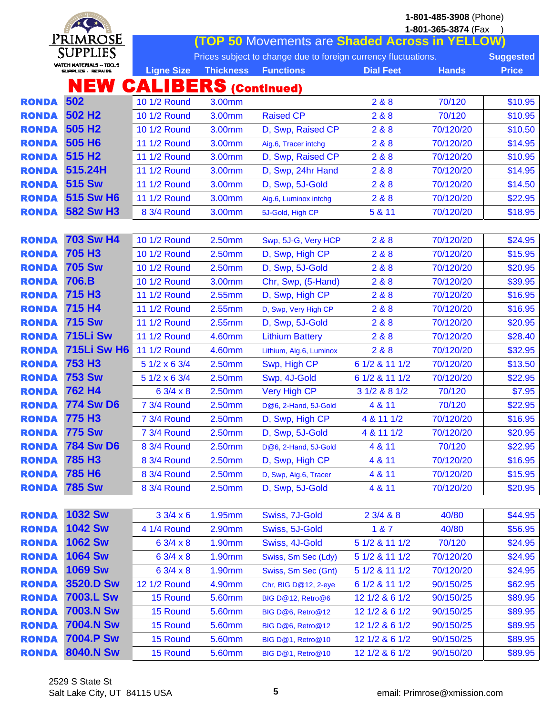|                              | $*$ $\rightarrow$                             |                             | 1-801-485-3908 (Phone) |                                                                |                  |                        |                    |  |
|------------------------------|-----------------------------------------------|-----------------------------|------------------------|----------------------------------------------------------------|------------------|------------------------|--------------------|--|
|                              |                                               |                             |                        |                                                                |                  | 1-801-365-3874 (Fax    |                    |  |
|                              | Primrose                                      |                             |                        | (TOP 50 Movements are Shaded Across in YELLOW)                 |                  |                        |                    |  |
|                              | SUPPLIES                                      |                             |                        | Prices subject to change due to foreign currency fluctuations. |                  |                        | <b>Suggested</b>   |  |
|                              | WATCH MATERIALS ~ TOO_S<br>SUPPLICS , REPAIRS | <b>Ligne Size</b>           | <b>Thickness</b>       | <b>Functions</b>                                               | <b>Dial Feet</b> | <b>Hands</b>           | <b>Price</b>       |  |
|                              | NEW                                           | <b>CALIBERS (Continued)</b> |                        |                                                                |                  |                        |                    |  |
| <b>RONDA</b>                 | 502                                           | 10 1/2 Round                | 3.00mm                 |                                                                | 2 & 8            | 70/120                 | \$10.95            |  |
| <b>RONDA</b>                 | 502 H <sub>2</sub>                            | 10 1/2 Round                | 3.00mm                 | <b>Raised CP</b>                                               | 2&8              | 70/120                 | \$10.95            |  |
| <b>RONDA</b>                 | 505 H <sub>2</sub>                            | 10 1/2 Round                | 3.00mm                 | D, Swp, Raised CP                                              | 2&8&8            | 70/120/20              | \$10.50            |  |
| <b>RONDA</b>                 | 505 H <sub>6</sub>                            | 11 1/2 Round                | 3.00mm                 | Aig.6, Tracer intchg                                           | 2 & 8            | 70/120/20              | \$14.95            |  |
| <b>RONDA</b>                 | 515 H <sub>2</sub>                            | 11 1/2 Round                | 3.00mm                 | D, Swp, Raised CP                                              | 2&8              | 70/120/20              | \$10.95            |  |
| <b>RONDA</b>                 | 515.24H                                       | 11 1/2 Round                | 3.00mm                 | D, Swp, 24hr Hand                                              | 2 & 8            | 70/120/20              | \$14.95            |  |
| <b>RONDA</b>                 | <b>515 Sw</b>                                 | 11 1/2 Round                | 3.00mm                 | D, Swp, 5J-Gold                                                | 2&8&8            | 70/120/20              | \$14.50            |  |
| <b>RONDA</b>                 | <b>515 Sw H6</b>                              | 11 1/2 Round                | 3.00mm                 | Aig.6, Luminox intchg                                          | 2&8&8            | 70/120/20              | \$22.95            |  |
| <b>RONDA</b>                 | <b>582 Sw H3</b>                              | 8 3/4 Round                 | 3.00mm                 | 5J-Gold, High CP                                               | 5 & 11           | 70/120/20              | \$18.95            |  |
|                              |                                               |                             |                        |                                                                |                  |                        |                    |  |
| <b>RONDA</b>                 | <b>703 Sw H4</b>                              | 10 1/2 Round                | 2.50mm                 | Swp, 5J-G, Very HCP                                            | 2 & 8            | 70/120/20              | \$24.95            |  |
| <b>RONDA</b>                 | <b>705 H3</b>                                 | 10 1/2 Round                | 2.50mm                 | D, Swp, High CP                                                | 2 & 8            | 70/120/20              | \$15.95            |  |
| <b>RONDA</b>                 | <b>705 Sw</b>                                 | 10 1/2 Round                | 2.50mm                 | D, Swp, 5J-Gold                                                | 2&8&8            | 70/120/20              | \$20.95            |  |
| <b>RONDA</b>                 | 706.B                                         | 10 1/2 Round                | 3.00mm                 | Chr, Swp, (5-Hand)                                             | 2&8&8            | 70/120/20              | \$39.95            |  |
| <b>RONDA</b>                 | 715 H <sub>3</sub>                            | 11 1/2 Round                | 2.55mm                 | D, Swp, High CP                                                | 2 & 8            | 70/120/20              | \$16.95            |  |
| <b>RONDA</b>                 | 715 H4                                        | 11 1/2 Round                | 2.55mm                 | D, Swp, Very High CP                                           | 2&8&8            | 70/120/20              | \$16.95            |  |
| <b>RONDA</b>                 | <b>715 Sw</b>                                 | 11 1/2 Round                | 2.55mm                 | D, Swp, 5J-Gold                                                | 2&8&8            | 70/120/20              | \$20.95            |  |
| <b>RONDA</b>                 | <b>715Li Sw</b>                               | 11 1/2 Round                | 4.60mm                 | <b>Lithium Battery</b>                                         | 2&8              | 70/120/20              | \$28.40            |  |
| <b>RONDA</b>                 | <b>715Li Sw H6</b>                            | 11 1/2 Round                | 4.60mm                 | Lithium, Aig.6, Luminox                                        | 2 & 8            | 70/120/20              | \$32.95            |  |
| <b>RONDA</b>                 | <b>753 H3</b>                                 | 5 1/2 x 6 3/4               | 2.50mm                 | Swp, High CP                                                   | 6 1/2 & 11 1/2   | 70/120/20              | \$13.50            |  |
| <b>RONDA</b>                 | <b>753 Sw</b>                                 | 5 1/2 x 6 3/4               | 2.50mm                 | Swp, 4J-Gold                                                   | 6 1/2 & 11 1/2   | 70/120/20              | \$22.95            |  |
| <b>RONDA</b>                 | 762 H4                                        | $63/4 \times 8$             | 2.50mm                 | <b>Very High CP</b>                                            | 3 1/2 & 8 1/2    | 70/120                 | \$7.95             |  |
| <b>RONDA</b>                 | <b>774 Sw D6</b>                              | 7 3/4 Round                 | 2.50mm                 | D@6, 2-Hand, 5J-Gold                                           | 4 & 11           | 70/120                 | \$22.95            |  |
| <b>RONDA</b>                 | 775 H <sub>3</sub>                            | 7 3/4 Round                 | 2.50mm                 | D, Swp, High CP                                                | 4 & 11 1/2       | 70/120/20              | \$16.95            |  |
| <b>RONDA</b>                 | <b>775 Sw</b>                                 | 7 3/4 Round                 | 2.50mm                 | D, Swp, 5J-Gold                                                | 4 & 11 1/2       | 70/120/20              | \$20.95            |  |
| <b>RONDA</b>                 | <b>784 Sw D6</b><br><b>785 H3</b>             | 8 3/4 Round                 | 2.50mm                 | D@6, 2-Hand, 5J-Gold                                           | 4 & 11           | 70/120                 | \$22.95            |  |
| <b>RONDA</b><br><b>RONDA</b> | 785 H <sub>6</sub>                            | 8 3/4 Round                 | 2.50mm                 | D, Swp, High CP                                                | 4 & 11           | 70/120/20<br>70/120/20 | \$16.95            |  |
| <b>RONDA</b>                 | <b>785 Sw</b>                                 | 8 3/4 Round<br>8 3/4 Round  | 2.50mm<br>2.50mm       | D, Swp, Aig.6, Tracer<br>D, Swp, 5J-Gold                       | 4 & 11<br>4 & 11 | 70/120/20              | \$15.95<br>\$20.95 |  |
|                              |                                               |                             |                        |                                                                |                  |                        |                    |  |
| <b>RONDA</b>                 | <b>1032 Sw</b>                                | 33/4 x 6                    | 1.95mm                 | Swiss, 7J-Gold                                                 | 23/488           | 40/80                  | \$44.95            |  |
| <b>RONDA</b>                 | <b>1042 Sw</b>                                | 4 1/4 Round                 | 2.90mm                 | Swiss, 5J-Gold                                                 | 187              | 40/80                  | \$56.95            |  |
| <b>RONDA</b>                 | <b>1062 Sw</b>                                | $63/4 \times 8$             | 1.90mm                 | Swiss, 4J-Gold                                                 | 5 1/2 & 11 1/2   | 70/120                 | \$24.95            |  |
| <b>RONDA</b>                 | <b>1064 Sw</b>                                | $63/4 \times 8$             | 1.90mm                 | Swiss, Sm Sec (Ldy)                                            | 5 1/2 & 11 1/2   | 70/120/20              | \$24.95            |  |
| <b>RONDA</b>                 | <b>1069 Sw</b>                                | $63/4 \times 8$             | 1.90mm                 | Swiss, Sm Sec (Gnt)                                            | 5 1/2 & 11 1/2   | 70/120/20              | \$24.95            |  |
| <b>RONDA</b>                 | 3520.D Sw                                     | <b>12 1/2 Round</b>         | 4.90mm                 | Chr, BIG D@12, 2-eye                                           | 6 1/2 & 11 1/2   | 90/150/25              | \$62.95            |  |
| <b>RONDA</b>                 | <b>7003.L Sw</b>                              | 15 Round                    | 5.60mm                 | BIG D@12, Retro@6                                              | 12 1/2 & 6 1/2   | 90/150/25              | \$89.95            |  |
| <b>RONDA</b>                 | <b>7003.N Sw</b>                              | 15 Round                    | 5.60mm                 | BIG D@6, Retro@12                                              | 12 1/2 & 6 1/2   | 90/150/25              | \$89.95            |  |
| <b>RONDA</b>                 | <b>7004.N Sw</b>                              | 15 Round                    | 5.60mm                 | BIG D@6, Retro@12                                              | 12 1/2 & 6 1/2   | 90/150/25              | \$89.95            |  |
| <b>RONDA</b>                 | <b>7004.P Sw</b>                              | 15 Round                    | 5.60mm                 | BIG D@1, Retro@10                                              | 12 1/2 & 6 1/2   | 90/150/25              | \$89.95            |  |
| <b>RONDA</b>                 | <b>8040.N Sw</b>                              | 15 Round                    | 5.60mm                 | BIG D@1, Retro@10                                              | 12 1/2 & 6 1/2   | 90/150/20              | \$89.95            |  |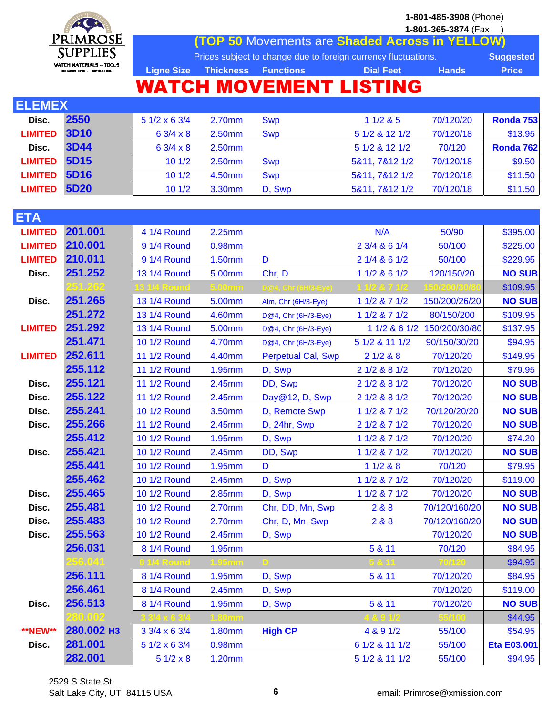

**1-801-365-3874** (Fax ) **(TOP 50** Movements are **Shaded Across in YELLOW)**

Prices subject to change due to foreign currency fluctuations. **Suggested** Ligne Size Thickness Functions **Dial Feet Hands** Price

# WATCH MOVEMENT LISTING

| <b>ELEMEX</b>  |             |                    |        |            |                |           |           |  |  |  |
|----------------|-------------|--------------------|--------|------------|----------------|-----------|-----------|--|--|--|
| Disc.          | 2550        | $51/2 \times 63/4$ | 2.70mm | <b>Swp</b> | 11/285         | 70/120/20 | Ronda 753 |  |  |  |
| <b>LIMITED</b> | <b>3D10</b> | $63/4 \times 8$    | 2.50mm | <b>Swp</b> | 5 1/2 & 12 1/2 | 70/120/18 | \$13.95   |  |  |  |
| Disc.          | <b>3D44</b> | $63/4 \times 8$    | 2.50mm |            | 5 1/2 & 12 1/2 | 70/120    | Ronda 762 |  |  |  |
| <b>LIMITED</b> | <b>5D15</b> | 101/2              | 2.50mm | <b>Swp</b> | 5&11, 7&12 1/2 | 70/120/18 | \$9.50    |  |  |  |
| <b>LIMITED</b> | 5D16        | 101/2              | 4.50mm | <b>Swp</b> | 5&11, 7&12 1/2 | 70/120/18 | \$11.50   |  |  |  |
| <b>LIMITED</b> | <b>5D20</b> | 101/2              | 3.30mm | D, Swp     | 5&11, 7&12 1/2 | 70/120/18 | \$11.50   |  |  |  |

| <b>ETA</b>     |            |                 |               |                           |                 |               |               |
|----------------|------------|-----------------|---------------|---------------------------|-----------------|---------------|---------------|
| <b>LIMITED</b> | 201.001    | 4 1/4 Round     | 2.25mm        |                           | N/A             | 50/90         | \$395.00      |
| <b>LIMITED</b> | 210.001    | 9 1/4 Round     | 0.98mm        |                           | 2 3/4 & 6 1/4   | 50/100        | \$225.00      |
| <b>LIMITED</b> | 210.011    | 9 1/4 Round     | 1.50mm        | D                         | 2 1/4 & 6 1/2   | 50/100        | \$229.95      |
| Disc.          | 251.252    | 13 1/4 Round    | 5.00mm        | Chr, D                    | 1 1/2 & 6 1/2   | 120/150/20    | <b>NO SUB</b> |
|                |            |                 |               |                           |                 |               | \$109.95      |
| Disc.          | 251.265    | 13 1/4 Round    | 5.00mm        | Alm, Chr (6H/3-Eye)       | 1 1/2 & 7 1/2   | 150/200/26/20 | <b>NO SUB</b> |
|                | 251.272    | 13 1/4 Round    | 4.60mm        | D@4, Chr (6H/3-Eye)       | $11/2$ & $71/2$ | 80/150/200    | \$109.95      |
| <b>LIMITED</b> | 251.292    | 13 1/4 Round    | 5.00mm        | D@4, Chr (6H/3-Eye)       | 1 1/2 & 6 1/2   | 150/200/30/80 | \$137.95      |
|                | 251.471    | 10 1/2 Round    | 4.70mm        | D@4, Chr (6H/3-Eye)       | 5 1/2 & 11 1/2  | 90/150/30/20  | \$94.95       |
| <b>LIMITED</b> | 252.611    | 11 1/2 Round    | 4.40mm        | <b>Perpetual Cal, Swp</b> | 21/288          | 70/120/20     | \$149.95      |
|                | 255.112    | 11 1/2 Round    | 1.95mm        | D, Swp                    | 2 1/2 & 8 1/2   | 70/120/20     | \$79.95       |
| Disc.          | 255.121    | 11 1/2 Round    | 2.45mm        | DD, Swp                   | 2 1/2 & 8 1/2   | 70/120/20     | <b>NO SUB</b> |
| Disc.          | 255.122    | 11 1/2 Round    | 2.45mm        | Day@12, D, Swp            | 2 1/2 & 8 1/2   | 70/120/20     | <b>NO SUB</b> |
| Disc.          | 255.241    | 10 1/2 Round    | 3.50mm        | D, Remote Swp             | 1 1/2 & 7 1/2   | 70/120/20/20  | <b>NO SUB</b> |
| Disc.          | 255.266    | 11 1/2 Round    | 2.45mm        | D, 24hr, Swp              | 2 1/2 & 7 1/2   | 70/120/20     | <b>NO SUB</b> |
|                | 255.412    | 10 1/2 Round    | 1.95mm        | D, Swp                    | 1 1/2 & 7 1/2   | 70/120/20     | \$74.20       |
| Disc.          | 255.421    | 10 1/2 Round    | 2.45mm        | DD, Swp                   | 1 1/2 & 7 1/2   | 70/120/20     | <b>NO SUB</b> |
|                | 255.441    | 10 1/2 Round    | 1.95mm        | D                         | 11/288          | 70/120        | \$79.95       |
|                | 255.462    | 10 1/2 Round    | 2.45mm        | D, Swp                    | 1 1/2 & 7 1/2   | 70/120/20     | \$119.00      |
| Disc.          | 255.465    | 10 1/2 Round    | 2.85mm        | D, Swp                    | 1 1/2 & 7 1/2   | 70/120/20     | <b>NO SUB</b> |
| Disc.          | 255.481    | 10 1/2 Round    | 2.70mm        | Chr, DD, Mn, Swp          | 2&8&8           | 70/120/160/20 | <b>NO SUB</b> |
| Disc.          | 255.483    | 10 1/2 Round    | 2.70mm        | Chr, D, Mn, Swp           | 2&8             | 70/120/160/20 | <b>NO SUB</b> |
| Disc.          | 255.563    | 10 1/2 Round    | 2.45mm        | D, Swp                    |                 | 70/120/20     | <b>NO SUB</b> |
|                | 256.031    | 8 1/4 Round     | 1.95mm        |                           | 5 & 11          | 70/120        | \$84.95       |
|                |            |                 |               |                           |                 |               | \$94.95       |
|                | 256.111    | 8 1/4 Round     | 1.95mm        | D, Swp                    | 5 & 11          | 70/120/20     | \$84.95       |
|                | 256.461    | 8 1/4 Round     | 2.45mm        | D, Swp                    |                 | 70/120/20     | \$119.00      |
| Disc.          | 256.513    | 8 1/4 Round     | 1.95mm        | D, Swp                    | 5 & 11          | 70/120/20     | <b>NO SUB</b> |
|                |            |                 |               |                           |                 |               | \$44.95       |
| **NEW**        | 280.002 нз | 3 3/4 x 6 3/4   | <b>1.80mm</b> | <b>High CP</b>            | 4 & 9 1/2       | 55/100        | \$54.95       |
| Disc.          | 281.001    | 5 1/2 x 6 3/4   | 0.98mm        |                           | 6 1/2 & 11 1/2  | 55/100        | Eta E03.001   |
|                | 282.001    | $51/2 \times 8$ | 1.20mm        |                           | 5 1/2 & 11 1/2  | 55/100        | \$94.95       |
|                |            |                 |               |                           |                 |               |               |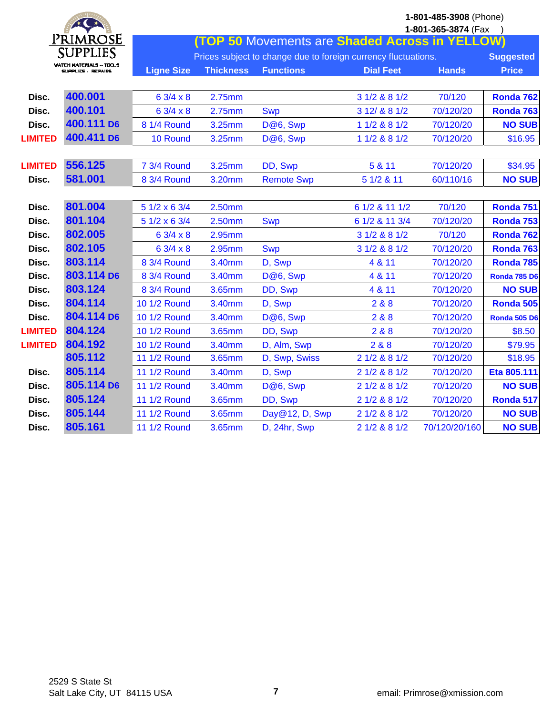|                | $\star$ $\bullet$                                    |                     |                  |                                                                |                  | 1-801-485-3908 (Phone)<br>1-801-365-3874 (Fax |                     |
|----------------|------------------------------------------------------|---------------------|------------------|----------------------------------------------------------------|------------------|-----------------------------------------------|---------------------|
|                | PrimrosE                                             |                     |                  | (TOP 50 Movements are Shaded Across in YELLOW)                 |                  |                                               |                     |
|                | <b>SUPPLIES</b>                                      |                     |                  | Prices subject to change due to foreign currency fluctuations. |                  |                                               | <b>Suggested</b>    |
|                | <b>WATCH MATERIALS -- TOOS</b><br>SUPPLICS - REPAIRS | <b>Ligne Size</b>   | <b>Thickness</b> | <b>Functions</b>                                               | <b>Dial Feet</b> | <b>Hands</b>                                  | <b>Price</b>        |
| Disc.          | 400.001                                              | 6 3/4 x 8           | 2.75mm           |                                                                | 3 1/2 & 8 1/2    | 70/120                                        | Ronda 762           |
| Disc.          | 400.101                                              | 6 3/4 x 8           | 2.75mm           | <b>Swp</b>                                                     | 3 12/ & 8 1/2    | 70/120/20                                     | <b>Ronda 763</b>    |
| Disc.          | 400.111 D6                                           | 8 1/4 Round         | 3.25mm           | D@6, Swp                                                       | 1 1/2 & 8 1/2    | 70/120/20                                     | <b>NO SUB</b>       |
| <b>LIMITED</b> | 400.411 D6                                           | 10 Round            | 3.25mm           | D@6, Swp                                                       | 1 1/2 & 8 1/2    | 70/120/20                                     | \$16.95             |
| <b>LIMITED</b> | 556.125                                              | 7 3/4 Round         | 3.25mm           | DD, Swp                                                        | 5 & 11           | 70/120/20                                     | \$34.95             |
| Disc.          | 581.001                                              | 8 3/4 Round         | 3.20mm           | <b>Remote Swp</b>                                              | 5 1/2 & 11       | 60/110/16                                     | <b>NO SUB</b>       |
| Disc.          | 801.004                                              | 5 1/2 x 6 3/4       | 2.50mm           |                                                                | 6 1/2 & 11 1/2   | 70/120                                        | Ronda 751           |
| Disc.          | 801.104                                              | 5 1/2 x 6 3/4       | 2.50mm           | <b>Swp</b>                                                     | 6 1/2 & 11 3/4   | 70/120/20                                     | Ronda 753           |
| Disc.          | 802.005                                              | 6 3/4 x 8           | 2.95mm           |                                                                | 3 1/2 & 8 1/2    | 70/120                                        | Ronda 762           |
| Disc.          | 802.105                                              | 6 3/4 x 8           | 2.95mm           | <b>Swp</b>                                                     | 3 1/2 & 8 1/2    | 70/120/20                                     | <b>Ronda 763</b>    |
| Disc.          | 803.114                                              | 8 3/4 Round         | 3.40mm           | D, Swp                                                         | 4 & 11           | 70/120/20                                     | Ronda 785           |
| Disc.          | 803.114 D6                                           | 8 3/4 Round         | 3.40mm           | D@6, Swp                                                       | 4 & 11           | 70/120/20                                     | <b>Ronda 785 D6</b> |
| Disc.          | 803.124                                              | 8 3/4 Round         | 3.65mm           | DD, Swp                                                        | 4 & 11           | 70/120/20                                     | <b>NO SUB</b>       |
| Disc.          | 804.114                                              | 10 1/2 Round        | 3.40mm           | D, Swp                                                         | 2&8&8            | 70/120/20                                     | Ronda 505           |
| Disc.          | 804.114 D6                                           | 10 1/2 Round        | 3.40mm           | D@6, Swp                                                       | 2&8&8            | 70/120/20                                     | <b>Ronda 505 D6</b> |
| <b>LIMITED</b> | 804.124                                              | 10 1/2 Round        | 3.65mm           | DD, Swp                                                        | 2&8&8            | 70/120/20                                     | \$8.50              |
| <b>LIMITED</b> | 804.192                                              | 10 1/2 Round        | 3.40mm           | D, Alm, Swp                                                    | 2&8&8            | 70/120/20                                     | \$79.95             |
|                | 805.112                                              | <b>11 1/2 Round</b> | 3.65mm           | D, Swp, Swiss                                                  | 2 1/2 & 8 1/2    | 70/120/20                                     | \$18.95             |
| Disc.          | 805.114                                              | 11 1/2 Round        | 3.40mm           | D, Swp                                                         | 2 1/2 & 8 1/2    | 70/120/20                                     | Eta 805.111         |
| Disc.          | 805.114 D6                                           | 11 1/2 Round        | 3.40mm           | D@6, Swp                                                       | 2 1/2 & 8 1/2    | 70/120/20                                     | <b>NO SUB</b>       |
| Disc.          | 805.124                                              | 11 1/2 Round        | 3.65mm           | DD, Swp                                                        | 2 1/2 & 8 1/2    | 70/120/20                                     | Ronda 517           |
| Disc.          | 805.144                                              | <b>11 1/2 Round</b> | 3.65mm           | Day@12, D, Swp                                                 | 2 1/2 & 8 1/2    | 70/120/20                                     | <b>NO SUB</b>       |
| Disc.          | 805.161                                              | <b>11 1/2 Round</b> | 3.65mm           | D, 24hr, Swp                                                   | 2 1/2 & 8 1/2    | 70/120/20/160                                 | <b>NO SUB</b>       |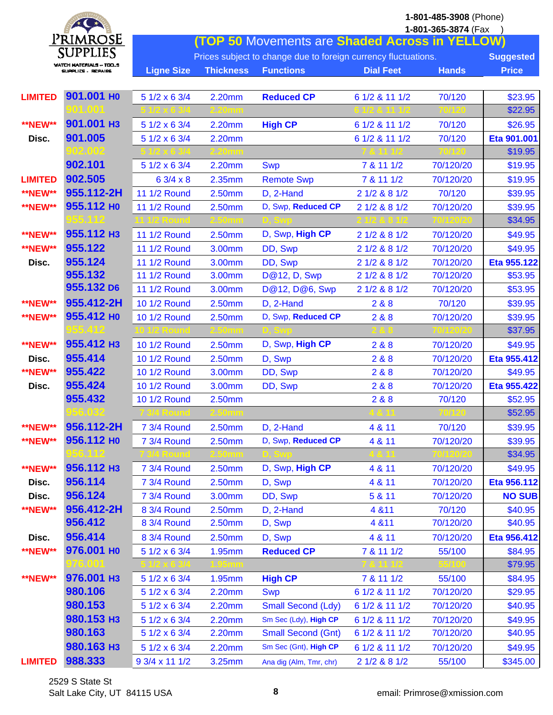|                | $*$ $*$                                       |                     |                  | 1-801-485-3908 (Phone)<br>1-801-365-3874 (Fax                  |                  |              |                  |  |
|----------------|-----------------------------------------------|---------------------|------------------|----------------------------------------------------------------|------------------|--------------|------------------|--|
|                | <u>Primrose</u>                               |                     |                  | <b>(TOP 50 Movements are Shaded Across in YELLOW)</b>          |                  |              |                  |  |
|                | <b>SUPPLIES</b>                               |                     |                  | Prices subject to change due to foreign currency fluctuations. |                  |              | <b>Suggested</b> |  |
|                | WATCH MATERIALS - TOO.S<br>SUPPLICS - REPAIRS | <b>Ligne Size</b>   | <b>Thickness</b> | <b>Functions</b>                                               | <b>Dial Feet</b> | <b>Hands</b> | <b>Price</b>     |  |
|                |                                               |                     |                  |                                                                |                  |              |                  |  |
| <b>LIMITED</b> | 901.001 HO                                    | 5 1/2 x 6 3/4       | 2.20mm           | <b>Reduced CP</b>                                              | 6 1/2 & 11 1/2   | 70/120       | \$23.95          |  |
|                | XOM 10XOM                                     |                     |                  |                                                                |                  |              | \$22.95          |  |
| <b>**NEW**</b> | 901.001 H3                                    | 5 1/2 x 6 3/4       | 2.20mm           | <b>High CP</b>                                                 | 6 1/2 & 11 1/2   | 70/120       | \$26.95          |  |
| Disc.          | 901.005                                       | 5 1/2 x 6 3/4       | 2.20mm           |                                                                | 6 1/2 & 11 1/2   | 70/120       | Eta 901.001      |  |
|                | 302.002                                       |                     |                  |                                                                |                  |              | \$19.95          |  |
|                | 902.101                                       | 5 1/2 x 6 3/4       | 2.20mm           | <b>Swp</b>                                                     | 7 & 11 1/2       | 70/120/20    | \$19.95          |  |
| <b>LIMITED</b> | 902.505                                       | 6 3/4 x 8           | 2.35mm           | <b>Remote Swp</b>                                              | 7 & 11 1/2       | 70/120/20    | \$19.95          |  |
| <b>**NEW**</b> | 955.112-2H                                    | 11 1/2 Round        | 2.50mm           | D, 2-Hand                                                      | 2 1/2 & 8 1/2    | 70/120       | \$39.95          |  |
| <b>**NEW**</b> | 955.112 но                                    | 11 1/2 Round        | 2.50mm           | D, Swp, Reduced CP                                             | 2 1/2 & 8 1/2    | 70/120/20    | \$39.95          |  |
|                |                                               |                     |                  |                                                                |                  |              | \$34.95          |  |
| <b>**NEW**</b> | 955.112 H <sub>3</sub>                        | 11 1/2 Round        | 2.50mm           | D, Swp, High CP                                                | 2 1/2 & 8 1/2    | 70/120/20    | \$49.95          |  |
| <b>**NEW**</b> | 955.122                                       | 11 1/2 Round        | 3.00mm           | DD, Swp                                                        | 2 1/2 & 8 1/2    | 70/120/20    | \$49.95          |  |
| Disc.          | 955.124                                       | 11 1/2 Round        | 3.00mm           | DD, Swp                                                        | 2 1/2 & 8 1/2    | 70/120/20    | Eta 955.122      |  |
|                | 955.132                                       | <b>11 1/2 Round</b> | 3.00mm           | <b>D@12, D, Swp</b>                                            | 2 1/2 & 8 1/2    | 70/120/20    | \$53.95          |  |
|                | 955.132 D6                                    | 11 1/2 Round        | 3.00mm           | D@12, D@6, Swp                                                 | 2 1/2 & 8 1/2    | 70/120/20    | \$53.95          |  |
| <b>**NEW**</b> | 955.412-2H                                    | 10 1/2 Round        | 2.50mm           | D, 2-Hand                                                      | 2&8&8            | 70/120       | \$39.95          |  |
| <b>**NEW**</b> | 955.412 HO                                    | 10 1/2 Round        | 2.50mm           | D, Swp, Reduced CP                                             | 2&8&8            | 70/120/20    | \$39.95          |  |
|                |                                               |                     |                  |                                                                |                  |              | \$37.95          |  |
| <b>**NEW**</b> | 955.412 H3                                    | 10 1/2 Round        | 2.50mm           | D, Swp, High CP                                                | 2 & 8            | 70/120/20    | \$49.95          |  |
| Disc.          | 955.414                                       | 10 1/2 Round        | 2.50mm           | D, Swp                                                         | 2&8&8            | 70/120/20    | Eta 955.412      |  |
| <b>**NEW**</b> | 955.422                                       | 10 1/2 Round        | 3.00mm           | DD, Swp                                                        | 2 & 8            | 70/120/20    | \$49.95          |  |
| Disc.          | 955.424                                       | 10 1/2 Round        | 3.00mm           | DD, Swp                                                        | 2&8&8            | 70/120/20    | Eta 955.422      |  |
|                | 955.432                                       | 10 1/2 Round        | 2.50mm           |                                                                | 2&8&8            | 70/120       | \$52.95          |  |
|                | 56.032                                        |                     |                  |                                                                |                  |              | \$52.95          |  |
| <b>**NEW**</b> | 956.112-2H                                    | 7 3/4 Round         | 2.50mm           | D, 2-Hand                                                      | 4 & 11           | 70/120       | \$39.95          |  |
| <b>**NEW**</b> | 956.112 HO                                    | 7 3/4 Round         | 2.50mm           | D, Swp, Reduced CP                                             | 4 & 11           | 70/120/20    | \$39.95          |  |
|                |                                               |                     |                  |                                                                |                  |              | \$34.95          |  |
| <b>**NEW**</b> | 956.112 H <sub>3</sub>                        | 7 3/4 Round         | 2.50mm           | D, Swp, High CP                                                | 4 & 11           | 70/120/20    | \$49.95          |  |
| Disc.          | 956.114                                       | 7 3/4 Round         | 2.50mm           | D, Swp                                                         | 4 & 11           | 70/120/20    | Eta 956.112      |  |
| Disc.          | 956.124                                       | 7 3/4 Round         | 3.00mm           | DD, Swp                                                        | 5 & 11           | 70/120/20    | <b>NO SUB</b>    |  |
| <b>**NEW**</b> | 956.412-2H                                    | 8 3/4 Round         | 2.50mm           | D, 2-Hand                                                      | 4 & 11           | 70/120       | \$40.95          |  |
|                | 956.412                                       | 8 3/4 Round         | 2.50mm           | D, Swp                                                         | 4 & 11           | 70/120/20    | \$40.95          |  |
| Disc.          | 956.414                                       | 8 3/4 Round         | 2.50mm           | D, Swp                                                         | 4 & 11           | 70/120/20    | Eta 956.412      |  |
| <b>**NEW**</b> | 976.001 HO                                    | 5 1/2 x 6 3/4       | 1.95mm           | <b>Reduced CP</b>                                              | 7 & 11 1/2       | 55/100       | \$84.95          |  |
|                | 976,001                                       |                     |                  |                                                                |                  |              | \$79.95          |  |
| <b>**NEW**</b> | 976.001 H <sub>3</sub>                        | 5 1/2 x 6 3/4       | 1.95mm           | <b>High CP</b>                                                 | 7 & 11 1/2       | 55/100       | \$84.95          |  |
|                | 980.106                                       | 5 1/2 x 6 3/4       | 2.20mm           | <b>Swp</b>                                                     | 6 1/2 & 11 1/2   | 70/120/20    | \$29.95          |  |
|                | 980.153                                       | 5 1/2 x 6 3/4       | 2.20mm           | <b>Small Second (Ldy)</b>                                      | 6 1/2 & 11 1/2   | 70/120/20    | \$40.95          |  |
|                | 980.153 H <sub>3</sub>                        | 5 1/2 x 6 3/4       | 2.20mm           | Sm Sec (Ldy), High CP                                          | 6 1/2 & 11 1/2   | 70/120/20    | \$49.95          |  |
|                | 980.163                                       | 5 1/2 x 6 3/4       | 2.20mm           | <b>Small Second (Gnt)</b>                                      | 6 1/2 & 11 1/2   | 70/120/20    | \$40.95          |  |
|                | 980.163 нз                                    | 5 1/2 x 6 3/4       | 2.20mm           | Sm Sec (Gnt), High CP                                          | 6 1/2 & 11 1/2   | 70/120/20    | \$49.95          |  |
| <b>LIMITED</b> | 988.333                                       | 9 3/4 x 11 1/2      | 3.25mm           | Ana dig (Alm, Tmr, chr)                                        | 2 1/2 & 8 1/2    | 55/100       | \$345.00         |  |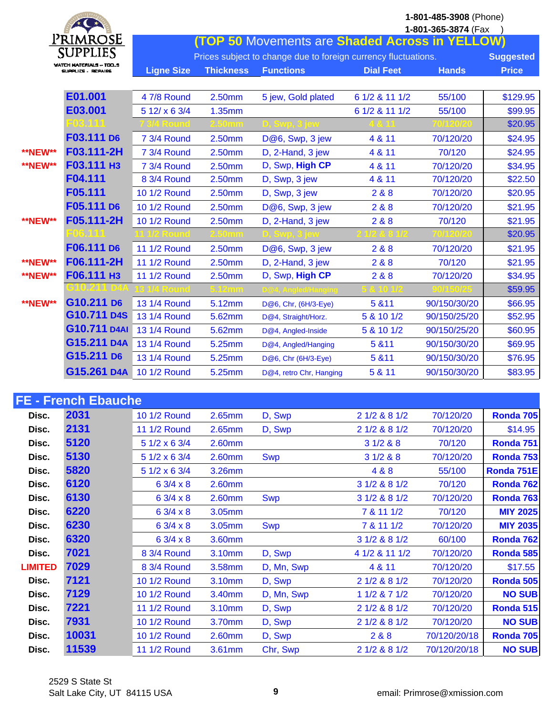|                |                                              |                   |                  |                                                                |                  | 1-801-485-3908 (Phone)<br>1-801-365-3874 (Fax |                  |
|----------------|----------------------------------------------|-------------------|------------------|----------------------------------------------------------------|------------------|-----------------------------------------------|------------------|
|                | PrimrosE                                     |                   |                  | (TOP 50 Movements are Shaded Across in YELLOW)                 |                  |                                               |                  |
|                | <b>SUPPLIES</b>                              |                   |                  | Prices subject to change due to foreign currency fluctuations. |                  |                                               | <b>Suggested</b> |
|                | WATCH MATERIALS -- TOO<br>SUPPLICS - REPAIRS | <b>Ligne Size</b> | <b>Thickness</b> | <b>Functions</b>                                               | <b>Dial Feet</b> | <b>Hands</b>                                  | <b>Price</b>     |
|                |                                              |                   |                  |                                                                |                  |                                               |                  |
|                | E01.001                                      | 4 7/8 Round       | 2.50mm           | 5 jew, Gold plated                                             | 6 1/2 & 11 1/2   | 55/100                                        | \$129.95         |
|                | E03.001                                      | 5 12/ x 6 3/4     | 1.35mm           |                                                                | 6 1/2 & 11 1/2   | 55/100                                        | \$99.95          |
|                | 503                                          |                   |                  |                                                                |                  |                                               | \$20.95          |
|                | F03.111 D6                                   | 7 3/4 Round       | 2.50mm           | D@6, Swp, 3 jew                                                | 4 & 11           | 70/120/20                                     | \$24.95          |
| <b>**NEW**</b> | F03.111-2H                                   | 7 3/4 Round       | 2.50mm           | D, 2-Hand, 3 jew                                               | 4 & 11           | 70/120                                        | \$24.95          |
| <b>**NEW**</b> | F03.111 H3                                   | 7 3/4 Round       | 2.50mm           | D, Swp, High CP                                                | 4 & 11           | 70/120/20                                     | \$34.95          |
|                | F04.111                                      | 8 3/4 Round       | 2.50mm           | D, Swp, 3 jew                                                  | 4 & 11           | 70/120/20                                     | \$22.50          |
|                | F05.111                                      | 10 1/2 Round      | 2.50mm           | D, Swp, 3 jew                                                  | 2 & 8            | 70/120/20                                     | \$20.95          |
|                | F05.111 D6                                   | 10 1/2 Round      | 2.50mm           | D@6, Swp, 3 jew                                                | 2&8              | 70/120/20                                     | \$21.95          |
| <b>**NEW**</b> | F05.111-2H                                   | 10 1/2 Round      | 2.50mm           | D, 2-Hand, 3 jew                                               | 2&8&8            | 70/120                                        | \$21.95          |
|                | -06.1                                        |                   |                  |                                                                |                  |                                               | \$20.95          |
|                | F06.111 D6                                   | 11 1/2 Round      | 2.50mm           | D@6, Swp, 3 jew                                                | 2 & 8            | 70/120/20                                     | \$21.95          |
| <b>**NEW**</b> | F06.111-2H                                   | 11 1/2 Round      | 2.50mm           | D, 2-Hand, 3 jew                                               | 2&8              | 70/120                                        | \$21.95          |
| <b>**NEW**</b> | <b>F06.111 H3</b>                            | 11 1/2 Round      | 2.50mm           | D, Swp, High CP                                                | 2&8&8            | 70/120/20                                     | \$34.95          |
|                | C10.211 D44                                  |                   |                  |                                                                |                  |                                               | \$59.95          |
| <b>**NEW**</b> | G10.211 D6                                   | 13 1/4 Round      | 5.12mm           | D@6, Chr, (6H/3-Eye)                                           | 5 & 11           | 90/150/30/20                                  | \$66.95          |
|                | G10.711 D4S                                  | 13 1/4 Round      | 5.62mm           | D@4, Straight/Horz.                                            | 5 & 10 1/2       | 90/150/25/20                                  | \$52.95          |
|                | G10.711 D4AI                                 | 13 1/4 Round      | 5.62mm           | D@4, Angled-Inside                                             | 5 & 10 1/2       | 90/150/25/20                                  | \$60.95          |
|                | G15.211 D4A                                  | 13 1/4 Round      | 5.25mm           | D@4, Angled/Hanging                                            | 5 & 11           | 90/150/30/20                                  | \$69.95          |
|                | G15.211 D6                                   | 13 1/4 Round      | 5.25mm           | D@6, Chr (6H/3-Eye)                                            | 5 & 11           | 90/150/30/20                                  | \$76.95          |
|                | G15.261 D4A                                  | 10 1/2 Round      | 5.25mm           | D@4, retro Chr, Hanging                                        | 5 & 11           | 90/150/30/20                                  | \$83.95          |

| <b>FE - French Ebauche</b> |       |               |        |            |                |              |                 |  |  |  |
|----------------------------|-------|---------------|--------|------------|----------------|--------------|-----------------|--|--|--|
| Disc.                      | 2031  | 10 1/2 Round  | 2.65mm | D, Swp     | 2 1/2 & 8 1/2  | 70/120/20    | Ronda 705       |  |  |  |
| Disc.                      | 2131  | 11 1/2 Round  | 2.65mm | D, Swp     | 2 1/2 & 8 1/2  | 70/120/20    | \$14.95         |  |  |  |
| Disc.                      | 5120  | 5 1/2 x 6 3/4 | 2.60mm |            | 31/288         | 70/120       | Ronda 751       |  |  |  |
| Disc.                      | 5130  | 5 1/2 x 6 3/4 | 2.60mm | <b>Swp</b> | 31/288         | 70/120/20    | Ronda 753       |  |  |  |
| Disc.                      | 5820  | 5 1/2 x 6 3/4 | 3.26mm |            | 4 & 8          | 55/100       | Ronda 751E      |  |  |  |
| Disc.                      | 6120  | 6 3/4 x 8     | 2.60mm |            | 3 1/2 & 8 1/2  | 70/120       | Ronda 762       |  |  |  |
| Disc.                      | 6130  | 6 3/4 x 8     | 2.60mm | <b>Swp</b> | 3 1/2 & 8 1/2  | 70/120/20    | Ronda 763       |  |  |  |
| Disc.                      | 6220  | 6 3/4 x 8     | 3.05mm |            | 7 & 11 1/2     | 70/120       | <b>MIY 2025</b> |  |  |  |
| Disc.                      | 6230  | 6 3/4 x 8     | 3.05mm | <b>Swp</b> | 7 & 11 1/2     | 70/120/20    | <b>MIY 2035</b> |  |  |  |
| Disc.                      | 6320  | 6 3/4 x 8     | 3.60mm |            | 3 1/2 & 8 1/2  | 60/100       | Ronda 762       |  |  |  |
| Disc.                      | 7021  | 8 3/4 Round   | 3.10mm | D, Swp     | 4 1/2 & 11 1/2 | 70/120/20    | Ronda 585       |  |  |  |
| <b>LIMITED</b>             | 7029  | 8 3/4 Round   | 3.58mm | D, Mn, Swp | 4 & 11         | 70/120/20    | \$17.55         |  |  |  |
| Disc.                      | 7121  | 10 1/2 Round  | 3.10mm | D, Swp     | 2 1/2 & 8 1/2  | 70/120/20    | Ronda 505       |  |  |  |
| Disc.                      | 7129  | 10 1/2 Round  | 3.40mm | D, Mn, Swp | 11/2871/2      | 70/120/20    | <b>NO SUB</b>   |  |  |  |
| Disc.                      | 7221  | 11 1/2 Round  | 3.10mm | D, Swp     | 2 1/2 & 8 1/2  | 70/120/20    | Ronda 515       |  |  |  |
| Disc.                      | 7931  | 10 1/2 Round  | 3.70mm | D, Swp     | 2 1/2 & 8 1/2  | 70/120/20    | <b>NO SUB</b>   |  |  |  |
| Disc.                      | 10031 | 10 1/2 Round  | 2.60mm | D, Swp     | 2 & 8          | 70/120/20/18 | Ronda 705       |  |  |  |
| Disc.                      | 11539 | 11 1/2 Round  | 3.61mm | Chr, Swp   | 2 1/2 & 8 1/2  | 70/120/20/18 | <b>NO SUB</b>   |  |  |  |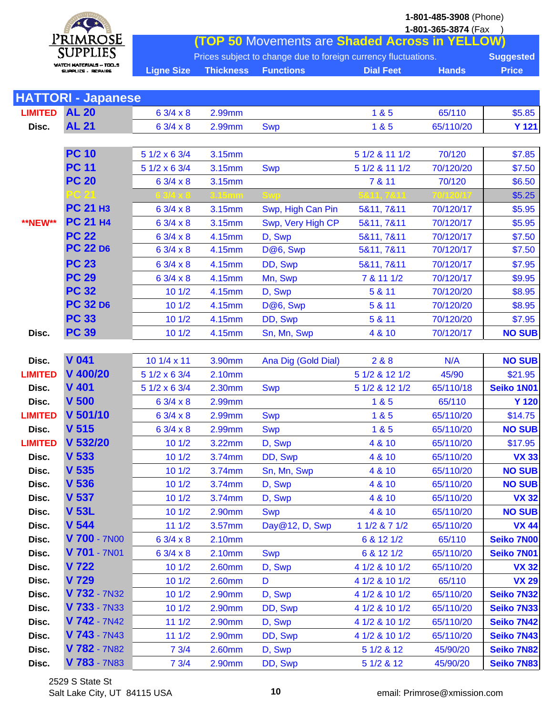

| <b>SALES AND STREET</b> |                                    |                   |                  |                                                                | 1-801-365-3874 (Fax |              |                   |
|-------------------------|------------------------------------|-------------------|------------------|----------------------------------------------------------------|---------------------|--------------|-------------------|
|                         | <u>PrimrosE</u><br><b>SUPPLIES</b> |                   |                  | <b>TOP 50 Movements are Shaded Across in YELLOW)</b>           |                     |              |                   |
|                         | WATCH MATERIALS ~ TOO              |                   |                  | Prices subject to change due to foreign currency fluctuations. |                     |              | <b>Suggested</b>  |
|                         | SUPPLICS - REPAIRS                 | <b>Ligne Size</b> | <b>Thickness</b> | <b>Functions</b>                                               | <b>Dial Feet</b>    | <b>Hands</b> | <b>Price</b>      |
|                         |                                    |                   |                  |                                                                |                     |              |                   |
|                         | <b>HATTORI - Japanese</b>          |                   |                  |                                                                |                     |              |                   |
| <b>LIMITED</b>          | <b>AL 20</b>                       | $63/4 \times 8$   | 2.99mm           |                                                                | 1 & 5               | 65/110       | \$5.85            |
| Disc.                   | <b>AL 21</b>                       | 6 3/4 x 8         | 2.99mm           | <b>Swp</b>                                                     | 1 & 5               | 65/110/20    | <b>Y 121</b>      |
|                         | <b>PC 10</b>                       | 5 1/2 x 6 3/4     |                  |                                                                | 5 1/2 & 11 1/2      | 70/120       |                   |
|                         | <b>PC 11</b>                       | 5 1/2 x 6 3/4     | 3.15mm<br>3.15mm |                                                                | 5 1/2 & 11 1/2      | 70/120/20    | \$7.85            |
|                         | <b>PC 20</b>                       | 6 3/4 x 8         | 3.15mm           | <b>Swp</b>                                                     | 7 & 11              | 70/120       | \$7.50<br>\$6.50  |
|                         |                                    |                   |                  |                                                                |                     |              | \$5.25            |
|                         | <b>PC 21 H3</b>                    | $63/4 \times 8$   | 3.15mm           | Swp, High Can Pin                                              | 5&11, 7&11          | 70/120/17    | \$5.95            |
| <b>**NEW**</b>          | <b>PC 21 H4</b>                    | 6 3/4 x 8         | 3.15mm           | Swp, Very High CP                                              | 5&11, 7&11          | 70/120/17    | \$5.95            |
|                         | <b>PC 22</b>                       | 6 3/4 x 8         | 4.15mm           | D, Swp                                                         | 5&11, 7&11          | 70/120/17    | \$7.50            |
|                         | <b>PC 22 D6</b>                    | 6 3/4 x 8         | 4.15mm           | D@6, Swp                                                       | 5&11, 7&11          | 70/120/17    | \$7.50            |
|                         | <b>PC 23</b>                       | 6 3/4 x 8         | 4.15mm           | DD, Swp                                                        | 5&11, 7&11          | 70/120/17    | \$7.95            |
|                         | <b>PC 29</b>                       | 6 3/4 x 8         | 4.15mm           | Mn, Swp                                                        | 7 & 11 1/2          | 70/120/17    | \$9.95            |
|                         | <b>PC 32</b>                       | 101/2             | 4.15mm           | D, Swp                                                         | 5 & 11              | 70/120/20    | \$8.95            |
|                         | <b>PC 32 D6</b>                    | 101/2             | 4.15mm           | D@6, Swp                                                       | 5 & 11              | 70/120/20    | \$8.95            |
|                         | <b>PC 33</b>                       | 101/2             | 4.15mm           | DD, Swp                                                        | 5 & 11              | 70/120/20    | \$7.95            |
| Disc.                   | <b>PC 39</b>                       | 101/2             | 4.15mm           | Sn, Mn, Swp                                                    | 4 & 10              | 70/120/17    | <b>NO SUB</b>     |
|                         |                                    |                   |                  |                                                                |                     |              |                   |
| Disc.                   | <b>V</b> 041                       | 10 1/4 x 11       | 3.90mm           | Ana Dig (Gold Dial)                                            | 2&8&8               | N/A          | <b>NO SUB</b>     |
| <b>LIMITED</b>          | V 400/20                           | 5 1/2 x 6 3/4     | 2.10mm           |                                                                | 5 1/2 & 12 1/2      | 45/90        | \$21.95           |
| Disc.                   | <b>V</b> 401                       | 5 1/2 x 6 3/4     | 2.30mm           | <b>Swp</b>                                                     | 5 1/2 & 12 1/2      | 65/110/18    | Seiko 1N01        |
| Disc.                   | V <sub>500</sub>                   | 6 3/4 x 8         | 2.99mm           |                                                                | 1 & 5               | 65/110       | <b>Y 120</b>      |
| <b>LIMITED</b>          | V 501/10                           | 6 3/4 x 8         | 2.99mm           | <b>Swp</b>                                                     | 1 & 5               | 65/110/20    | \$14.75           |
| Disc.                   | V <sub>515</sub>                   | 6 3/4 x 8         | 2.99mm           | <b>Swp</b>                                                     | 1 & 5               | 65/110/20    | <b>NO SUB</b>     |
| <b>LIMITED</b>          | V 532/20                           | 101/2             | 3.22mm           | D, Swp                                                         | 4 & 10              | 65/110/20    | \$17.95           |
| Disc.                   | V <sub>533</sub>                   | 101/2             | 3.74mm           | DD, Swp                                                        | 4 & 10              | 65/110/20    | <b>VX 33</b>      |
| Disc.                   | V <sub>535</sub>                   | 101/2             | 3.74mm           | Sn, Mn, Swp                                                    | 4 & 10              | 65/110/20    | <b>NO SUB</b>     |
| Disc.                   | V <sub>536</sub>                   | 101/2             | 3.74mm           | D, Swp                                                         | 4 & 10              | 65/110/20    | <b>NO SUB</b>     |
| Disc.                   | V 537                              | 101/2             | 3.74mm           | D, Swp                                                         | 4 & 10              | 65/110/20    | <b>VX 32</b>      |
| Disc.                   | <b>V 53L</b>                       | 101/2             | 2.90mm           | <b>Swp</b>                                                     | 4 & 10              | 65/110/20    | <b>NO SUB</b>     |
| Disc.                   | V <sub>544</sub>                   | 111/2             | 3.57mm           | Day@12, D, Swp                                                 | 1 1/2 & 7 1/2       | 65/110/20    | <b>VX 44</b>      |
| Disc.                   | V 700 - 7N00                       | $63/4 \times 8$   | 2.10mm           |                                                                | 6 & 12 1/2          | 65/110       | <b>Seiko 7N00</b> |
| Disc.                   | V 701 - 7N01                       | $63/4 \times 8$   | 2.10mm           | <b>Swp</b>                                                     | 6 & 12 1/2          | 65/110/20    | Seiko 7N01        |
| Disc.                   | V 722                              | 101/2             | 2.60mm           | D, Swp                                                         | 4 1/2 & 10 1/2      | 65/110/20    | <b>VX 32</b>      |
| Disc.                   | V 729                              | 101/2             | 2.60mm           | D                                                              | 4 1/2 & 10 1/2      | 65/110       | <b>VX 29</b>      |
| Disc.                   | V 732 - 7N32                       | 101/2             | 2.90mm           | D, Swp                                                         | 4 1/2 & 10 1/2      | 65/110/20    | <b>Seiko 7N32</b> |
| Disc.                   | V 733 - 7N33                       | 101/2             | 2.90mm           | DD, Swp                                                        | 4 1/2 & 10 1/2      | 65/110/20    | <b>Seiko 7N33</b> |
| Disc.                   | $V$ 742 - 7N42                     | 111/2             | 2.90mm           | D, Swp                                                         | 4 1/2 & 10 1/2      | 65/110/20    | <b>Seiko 7N42</b> |
| Disc.                   | $V$ 743 - 7N43                     | 111/2             | 2.90mm           | DD, Swp                                                        | 4 1/2 & 10 1/2      | 65/110/20    | Seiko 7N43        |
| Disc.                   | V 782 - 7N82                       | 73/4              | 2.60mm           | D, Swp                                                         | 5 1/2 & 12          | 45/90/20     | <b>Seiko 7N82</b> |
| Disc.                   | V 783 - 7N83                       | 73/4              | 2.90mm           | DD, Swp                                                        | 5 1/2 & 12          | 45/90/20     | Seiko 7N83        |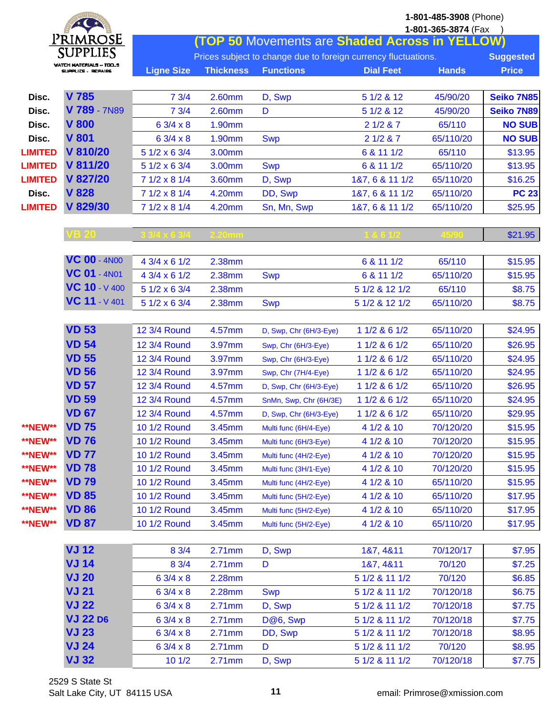|                | $*$                    |                   |                  |                                                                |                  | 1-801-485-3908 (Phone) |                   |
|----------------|------------------------|-------------------|------------------|----------------------------------------------------------------|------------------|------------------------|-------------------|
|                | Primrose               |                   |                  |                                                                |                  | 1-801-365-3874 (Fax    |                   |
|                | <b>SUPPLIES</b>        |                   |                  | <b>(TOP 50 Movements are Shaded Across in YELLOW)</b>          |                  |                        |                   |
|                | WATCH MATERIALS - TOOS |                   |                  | Prices subject to change due to foreign currency fluctuations. |                  |                        | <b>Suggested</b>  |
|                | SUPPLICS , REPAIRS     | <b>Ligne Size</b> | <b>Thickness</b> | <b>Functions</b>                                               | <b>Dial Feet</b> | <b>Hands</b>           | <b>Price</b>      |
|                |                        |                   |                  |                                                                |                  |                        |                   |
| Disc.          | V 785                  | 73/4              | 2.60mm           | D, Swp                                                         | 5 1/2 & 12       | 45/90/20               | <b>Seiko 7N85</b> |
| Disc.          | V 789 - 7N89           | 73/4              | 2.60mm           | D                                                              | 5 1/2 & 12       | 45/90/20               | Seiko 7N89        |
| Disc.          | <b>V 800</b>           | $63/4 \times 8$   | 1.90mm           |                                                                | 21/287           | 65/110                 | <b>NO SUB</b>     |
| Disc.          | <b>V 801</b>           | 6 3/4 x 8         | 1.90mm           | <b>Swp</b>                                                     | 21/287           | 65/110/20              | <b>NO SUB</b>     |
| <b>LIMITED</b> | V 810/20               | 5 1/2 x 6 3/4     | 3.00mm           |                                                                | 6 & 11 1/2       | 65/110                 | \$13.95           |
| <b>LIMITED</b> | V 811/20               | 5 1/2 x 6 3/4     | 3.00mm           | <b>Swp</b>                                                     | 6 & 11 1/2       | 65/110/20              | \$13.95           |
| <b>LIMITED</b> | V 827/20               | 7 1/2 x 8 1/4     | 3.60mm           | D, Swp                                                         | 1&7, 6 & 11 1/2  | 65/110/20              | \$16.25           |
| Disc.          | <b>V 828</b>           | 7 1/2 x 8 1/4     | 4.20mm           | DD, Swp                                                        | 187, 6 8 11 1/2  | 65/110/20              | <b>PC 23</b>      |
| <b>LIMITED</b> | V 829/30               | 7 1/2 x 8 1/4     | 4.20mm           | Sn, Mn, Swp                                                    | 187, 6 8 11 1/2  | 65/110/20              | \$25.95           |
|                |                        |                   |                  |                                                                |                  |                        |                   |
|                | VB 20                  |                   | <u>. 20mm</u>    |                                                                |                  |                        | \$21.95           |
|                |                        |                   |                  |                                                                |                  |                        |                   |
|                | <b>VC 00 - 4N00</b>    | 4 3/4 x 6 1/2     | 2.38mm           |                                                                | 6 & 11 1/2       | 65/110                 | \$15.95           |
|                | <b>VC 01 - 4N01</b>    | 4 3/4 x 6 1/2     | 2.38mm           | <b>Swp</b>                                                     | 6 & 11 1/2       | 65/110/20              | \$15.95           |
|                | VC 10 - V 400          | 5 1/2 x 6 3/4     | 2.38mm           |                                                                | 5 1/2 & 12 1/2   | 65/110                 | \$8.75            |
|                | VC 11 - V 401          | 5 1/2 x 6 3/4     | 2.38mm           | <b>Swp</b>                                                     | 5 1/2 & 12 1/2   | 65/110/20              | \$8.75            |
|                |                        |                   |                  |                                                                |                  |                        |                   |
|                | <b>VD 53</b>           | 12 3/4 Round      | 4.57mm           | D, Swp, Chr (6H/3-Eye)                                         | 1 1/2 & 6 1/2    | 65/110/20              | \$24.95           |
|                | <b>VD 54</b>           | 12 3/4 Round      | 3.97mm           | Swp, Chr (6H/3-Eye)                                            | 1 1/2 & 6 1/2    | 65/110/20              | \$26.95           |
|                | <b>VD 55</b>           | 12 3/4 Round      | 3.97mm           | Swp, Chr (6H/3-Eye)                                            | 1 1/2 & 6 1/2    | 65/110/20              | \$24.95           |
|                | <b>VD 56</b>           | 12 3/4 Round      | 3.97mm           | Swp, Chr (7H/4-Eye)                                            | 1 1/2 & 6 1/2    | 65/110/20              | \$24.95           |
|                | <b>VD 57</b>           | 12 3/4 Round      | 4.57mm           | D, Swp, Chr (6H/3-Eye)                                         | 1 1/2 & 6 1/2    | 65/110/20              | \$26.95           |
|                | <b>VD 59</b>           | 12 3/4 Round      | 4.57mm           | SnMn, Swp, Chr (6H/3E)                                         | 1 1/2 & 6 1/2    | 65/110/20              | \$24.95           |
|                | <b>VD 67</b>           | 12 3/4 Round      | 4.57mm           | D, Swp, Chr (6H/3-Eye)                                         | 1 1/2 & 6 1/2    | 65/110/20              | \$29.95           |
| <b>**NEW**</b> | <b>VD 75</b>           | 10 1/2 Round      | 3.45mm           | Multi func (6H/4-Eye)                                          | 4 1/2 & 10       | 70/120/20              | \$15.95           |
| <b>**NEW**</b> | <b>VD 76</b>           | 10 1/2 Round      | 3.45mm           | Multi func (6H/3-Eye)                                          | 4 1/2 & 10       | 70/120/20              | \$15.95           |
| <b>**NEW**</b> | <b>VD 77</b>           | 10 1/2 Round      | 3.45mm           | Multi func (4H/2-Eye)                                          | 4 1/2 & 10       | 70/120/20              | \$15.95           |
| <b>**NEW**</b> | <b>VD 78</b>           | 10 1/2 Round      | 3.45mm           | Multi func (3H/1-Eye)                                          | 4 1/2 & 10       | 70/120/20              | \$15.95           |
| <b>**NEW**</b> | <b>VD 79</b>           | 10 1/2 Round      | 3.45mm           | Multi func (4H/2-Eye)                                          | 4 1/2 & 10       | 65/110/20              | \$15.95           |
| <b>**NEW**</b> | <b>VD 85</b>           | 10 1/2 Round      | 3.45mm           | Multi func (5H/2-Eye)                                          | 4 1/2 & 10       | 65/110/20              | \$17.95           |
| <b>**NEW**</b> | <b>VD 86</b>           | 10 1/2 Round      | 3.45mm           | Multi func (5H/2-Eye)                                          | 4 1/2 & 10       | 65/110/20              | \$17.95           |
| <b>**NEW**</b> | <b>VD 87</b>           | 10 1/2 Round      | 3.45mm           | Multi func (5H/2-Eye)                                          | 4 1/2 & 10       | 65/110/20              | \$17.95           |
|                |                        |                   |                  |                                                                |                  |                        |                   |
|                | <b>VJ 12</b>           | 8 3/4             | 2.71mm           | D, Swp                                                         | 187, 4811        | 70/120/17              | \$7.95            |
|                | <b>VJ 14</b>           | 8 3/4             | 2.71mm           | D                                                              | 187, 4811        | 70/120                 | \$7.25            |
|                | <b>VJ 20</b>           | 63/4 x8           | 2.28mm           |                                                                | 5 1/2 & 11 1/2   | 70/120                 | \$6.85            |
|                | <b>VJ 21</b>           | $63/4 \times 8$   | 2.28mm           | <b>Swp</b>                                                     | 5 1/2 & 11 1/2   | 70/120/18              | \$6.75            |
|                | <b>VJ 22</b>           | $63/4 \times 8$   | 2.71mm           | D, Swp                                                         | 5 1/2 & 11 1/2   | 70/120/18              | \$7.75            |
|                | <b>VJ 22 D6</b>        | $63/4 \times 8$   | 2.71mm           | D@6, Swp                                                       | 5 1/2 & 11 1/2   | 70/120/18              | \$7.75            |
|                | <b>VJ 23</b>           | $63/4 \times 8$   | 2.71mm           | DD, Swp                                                        | 5 1/2 & 11 1/2   | 70/120/18              | \$8.95            |
|                | <b>VJ 24</b>           | $63/4 \times 8$   | 2.71mm           | D                                                              | 5 1/2 & 11 1/2   | 70/120                 | \$8.95            |
|                | <b>VJ 32</b>           | 101/2             | 2.71mm           | D, Swp                                                         | 5 1/2 & 11 1/2   | 70/120/18              | \$7.75            |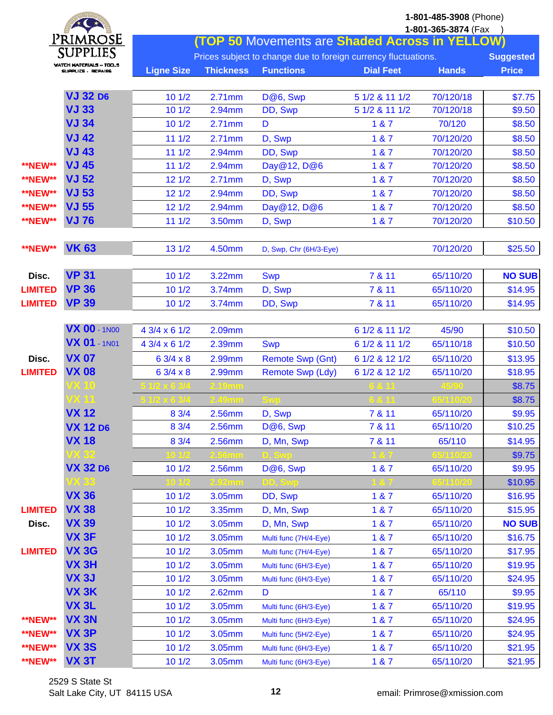| $*$            |                                                   |                   |                  | 1-801-485-3908 (Phone)                                         |                  |                     |                  |
|----------------|---------------------------------------------------|-------------------|------------------|----------------------------------------------------------------|------------------|---------------------|------------------|
|                |                                                   |                   |                  |                                                                |                  | 1-801-365-3874 (Fax |                  |
|                | Primrose                                          |                   |                  | <b>(TOP 50 Movements are Shaded Across in YELLOW)</b>          |                  |                     |                  |
|                | <b>SUPPLIES</b><br><b>WATCH MATERIALS - TOO.S</b> |                   |                  | Prices subject to change due to foreign currency fluctuations. |                  |                     | <b>Suggested</b> |
|                | ещеенте , вселиве                                 | <b>Ligne Size</b> | <b>Thickness</b> | <b>Functions</b>                                               | <b>Dial Feet</b> | <b>Hands</b>        | <b>Price</b>     |
|                |                                                   |                   |                  |                                                                |                  |                     |                  |
|                | <b>VJ 32 D6</b>                                   | 101/2             | 2.71mm           | D@6, Swp                                                       | 5 1/2 & 11 1/2   | 70/120/18           | \$7.75           |
|                | <b>VJ 33</b>                                      | 101/2             | 2.94mm           | DD, Swp                                                        | 5 1/2 & 11 1/2   | 70/120/18           | \$9.50           |
|                | <b>VJ 34</b>                                      | 101/2             | 2.71mm           | D                                                              | 1 & 7            | 70/120              | \$8.50           |
|                | <b>VJ 42</b>                                      | 111/2             | $2.71$ mm        | D, Swp                                                         | 1 & 87           | 70/120/20           | \$8.50           |
|                | <b>VJ 43</b>                                      | 111/2             | 2.94mm           | DD, Swp                                                        | 1 & 87           | 70/120/20           | \$8.50           |
| <b>**NEW**</b> | <b>VJ 45</b>                                      | 111/2             | 2.94mm           | Day@12, D@6                                                    | 187              | 70/120/20           | \$8.50           |
| <b>**NEW**</b> | <b>VJ 52</b>                                      | 121/2             | 2.71mm           | D, Swp                                                         | 1 & 87           | 70/120/20           | \$8.50           |
| <b>**NEW**</b> | <b>VJ 53</b>                                      | 121/2             | 2.94mm           | DD, Swp                                                        | 1 & 87           | 70/120/20           | \$8.50           |
| <b>**NEW**</b> | <b>VJ 55</b>                                      | 121/2             | 2.94mm           | Day@12, D@6                                                    | 1 & 87           | 70/120/20           | \$8.50           |
| <b>**NEW**</b> | <b>VJ76</b>                                       | 111/2             | 3.50mm           | D, Swp                                                         | 1 & 7            | 70/120/20           | \$10.50          |
|                |                                                   |                   |                  |                                                                |                  |                     |                  |
| <b>**NEW**</b> | <b>VK 63</b>                                      | 131/2             | 4.50mm           | D, Swp, Chr (6H/3-Eye)                                         |                  | 70/120/20           | \$25.50          |
|                |                                                   |                   |                  |                                                                |                  |                     |                  |
| Disc.          | <b>VP 31</b>                                      | 101/2             | 3.22mm           | <b>Swp</b>                                                     | 7 & 11           | 65/110/20           | <b>NO SUB</b>    |
| <b>LIMITED</b> | <b>VP 36</b>                                      | 101/2             | 3.74mm           | D, Swp                                                         | 7 & 11           | 65/110/20           | \$14.95          |
| <b>LIMITED</b> | <b>VP 39</b>                                      | 101/2             | 3.74mm           | DD, Swp                                                        | 7 & 11           | 65/110/20           | \$14.95          |
|                |                                                   |                   |                  |                                                                |                  |                     |                  |
|                | <b>VX 00 - 1N00</b>                               | 4 3/4 x 6 1/2     | 2.09mm           |                                                                | 6 1/2 & 11 1/2   | 45/90               | \$10.50          |
|                | <b>VX 01 - 1N01</b>                               | 4 3/4 x 6 1/2     | 2.39mm           | <b>Swp</b>                                                     | 6 1/2 & 11 1/2   | 65/110/18           | \$10.50          |
| Disc.          | <b>VX 07</b>                                      | 6 3/4 x 8         | 2.99mm           | <b>Remote Swp (Gnt)</b>                                        | 6 1/2 & 12 1/2   | 65/110/20           | \$13.95          |
| <b>LIMITED</b> | <b>VX 08</b>                                      | $63/4 \times 8$   | 2.99mm           | Remote Swp (Ldy)                                               | 6 1/2 & 12 1/2   | 65/110/20           | \$18.95          |
|                | 7X 10                                             |                   |                  |                                                                |                  |                     | \$8.75           |
|                |                                                   |                   |                  |                                                                |                  |                     | \$8.75           |
|                | <b>VX 12</b>                                      | 8 3/4             | 2.56mm           | D, Swp                                                         | 7 & 11           | 65/110/20           | \$9.95           |
|                | <b>VX 12 D6</b>                                   | $8 \frac{3}{4}$   | 2.56mm           | D@6, Swp                                                       | 7 & 11           | 65/110/20           | \$10.25          |
|                | <b>VX 18</b>                                      | 8 3/4             | 2.56mm           | D, Mn, Swp                                                     | 7 & 11           | 65/110              | \$14.95          |
|                |                                                   |                   |                  |                                                                |                  |                     | \$9.75           |
|                | <b>VX 32 D6</b>                                   | 101/2             | 2.56mm           | D@6, Swp                                                       | 1 & 7            | 65/110/20           | \$9.95           |
|                |                                                   |                   |                  |                                                                |                  |                     | \$10.95          |
|                | <b>VX 36</b>                                      | 101/2             | 3.05mm           | DD, Swp                                                        | 187              | 65/110/20           | \$16.95          |
| <b>LIMITED</b> | <b>VX 38</b>                                      | 101/2             | 3.35mm           | D, Mn, Swp                                                     | 1 & 87           | 65/110/20           | \$15.95          |
| Disc.          | <b>VX 39</b>                                      | 101/2             | 3.05mm           | D, Mn, Swp                                                     | 1 & 87           | 65/110/20           | <b>NO SUB</b>    |
|                | <b>VX 3F</b>                                      | 101/2             | 3.05mm           | Multi func (7H/4-Eye)                                          | 1 & 87           | 65/110/20           | \$16.75          |
| <b>LIMITED</b> | <b>VX 3G</b>                                      | 101/2             | 3.05mm           | Multi func (7H/4-Eye)                                          | 187              | 65/110/20           | \$17.95          |
|                | VX <sub>3H</sub>                                  | 101/2             | 3.05mm           | Multi func (6H/3-Eye)                                          | 1 & 7            | 65/110/20           | \$19.95          |
|                | <b>VX 3J</b>                                      | 101/2             | 3.05mm           | Multi func (6H/3-Eye)                                          | 1 & 7            | 65/110/20           | \$24.95          |
|                | VX <sub>3</sub> K                                 | 101/2             | 2.62mm           | D                                                              | 1 & 87           | 65/110              | \$9.95           |
|                | VX <sub>3L</sub>                                  | 101/2             | 3.05mm           | Multi func (6H/3-Eye)                                          | 1 & 7            | 65/110/20           | \$19.95          |
| <b>**NEW**</b> | <b>VX 3N</b>                                      | 101/2             | 3.05mm           |                                                                | 1 & 87           | 65/110/20           | \$24.95          |
| <b>**NEW**</b> | VX <sub>3P</sub>                                  | 101/2             | 3.05mm           | Multi func (6H/3-Eye)                                          | 1 & 7            | 65/110/20           |                  |
| <b>**NEW**</b> | <b>VX 3S</b>                                      |                   |                  | Multi func (5H/2-Eye)                                          |                  |                     | \$24.95          |
|                |                                                   | 101/2             | 3.05mm           | Multi func (6H/3-Eye)                                          | 1 & 7            | 65/110/20           | \$21.95          |
| <b>**NEW**</b> | <b>VX 3T</b>                                      | 101/2             | 3.05mm           | Multi func (6H/3-Eye)                                          | 1 & 7            | 65/110/20           | \$21.95          |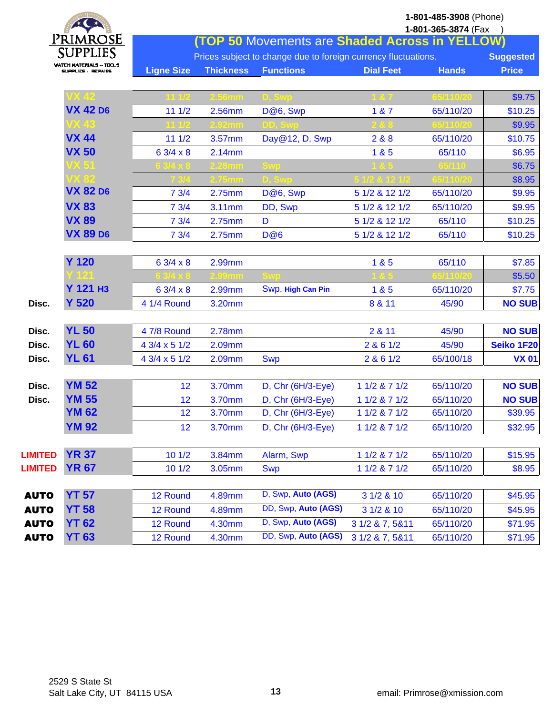|                | $\star$ (                      | 1-801-485-3908 (Phone)<br>1-801-365-3874 (Fax<br><b>(TOP 50 Movements are Shaded Across in YELLOW)</b> |                  |                                                                |                  |              |                  |
|----------------|--------------------------------|--------------------------------------------------------------------------------------------------------|------------------|----------------------------------------------------------------|------------------|--------------|------------------|
|                | Primrose<br><b>SUPPLIES</b>    |                                                                                                        |                  |                                                                |                  |              |                  |
|                | <b>WATCH MATERIALS - TOO.S</b> |                                                                                                        |                  | Prices subject to change due to foreign currency fluctuations. |                  |              | <b>Suggested</b> |
|                | SUPPLIES - REPAIRS             | <b>Ligne Size</b>                                                                                      | <b>Thickness</b> | <b>Functions</b>                                               | <b>Dial Feet</b> | <b>Hands</b> | <b>Price</b>     |
|                |                                |                                                                                                        |                  |                                                                |                  |              | \$9.75           |
|                | <b>VX 42 D6</b>                | 111/2                                                                                                  | 2.56mm           | D@6, Swp                                                       | 1 & 7            | 65/110/20    | \$10.25          |
|                | VX 43                          |                                                                                                        |                  |                                                                |                  |              | \$9.95           |
|                | <b>VX 44</b>                   | 111/2                                                                                                  | 3.57mm           | Day@12, D, Swp                                                 | 2 & 8            | 65/110/20    | \$10.75          |
|                | <b>VX 50</b>                   | 6 3/4 x 8                                                                                              | 2.14mm           |                                                                | 1&85             | 65/110       | \$6.95           |
|                |                                |                                                                                                        |                  |                                                                |                  |              | \$6.75           |
|                | DK 89                          |                                                                                                        |                  |                                                                |                  |              | \$8.95           |
|                | <b>VX 82 D6</b>                | 73/4                                                                                                   | 2.75mm           | D@6, Swp                                                       | 5 1/2 & 12 1/2   | 65/110/20    | \$9.95           |
|                | <b>VX 83</b>                   | 73/4                                                                                                   | 3.11mm           | DD, Swp                                                        | 5 1/2 & 12 1/2   | 65/110/20    | \$9.95           |
|                | <b>VX 89</b>                   | 73/4                                                                                                   | 2.75mm           | D                                                              | 5 1/2 & 12 1/2   | 65/110       | \$10.25          |
|                | <b>VX 89 D6</b>                | 73/4                                                                                                   | 2.75mm           | <b>D@6</b>                                                     | 5 1/2 & 12 1/2   | 65/110       | \$10.25          |
|                |                                |                                                                                                        |                  |                                                                |                  |              |                  |
|                | <b>Y 120</b>                   | $63/4 \times 8$                                                                                        | 2.99mm           |                                                                | 185              | 65/110       | \$7.85           |
|                |                                |                                                                                                        |                  |                                                                |                  |              | \$5.50           |
|                | <b>Y 121 H3</b>                | 6 3/4 x 8                                                                                              | 2.99mm           | Swp, High Can Pin                                              | 1 & 5            | 65/110/20    | \$7.75           |
| Disc.          | <b>Y 520</b>                   | 4 1/4 Round                                                                                            | 3.20mm           |                                                                | 8 & 11           | 45/90        | <b>NO SUB</b>    |
|                |                                |                                                                                                        |                  |                                                                |                  |              |                  |
| Disc.          | <b>YL 50</b>                   | 4 7/8 Round                                                                                            | 2.78mm           |                                                                | 2 & 11           | 45/90        | <b>NO SUB</b>    |
| Disc.          | <b>YL 60</b>                   | 4 3/4 x 5 1/2                                                                                          | 2.09mm           |                                                                | 2 & 61/2         | 45/90        | Seiko 1F20       |
| Disc.          | <b>YL 61</b>                   | 4 3/4 x 5 1/2                                                                                          | 2.09mm           | <b>Swp</b>                                                     | 2 & 61/2         | 65/100/18    | <b>VX 01</b>     |
|                |                                |                                                                                                        |                  |                                                                |                  |              |                  |
| Disc.          | <b>YM 52</b>                   | 12                                                                                                     | 3.70mm           | D, Chr (6H/3-Eye)                                              | 1 1/2 & 7 1/2    | 65/110/20    | <b>NO SUB</b>    |
| Disc.          | <b>YM 55</b>                   | 12                                                                                                     | 3.70mm           | $D, Chr (6H/3-Eye)$                                            | 1 1/2 & 7 1/2    | 65/110/20    | <b>NO SUB</b>    |
|                | <b>YM 62</b>                   | 12                                                                                                     | 3.70mm           | D, Chr (6H/3-Eye)                                              | 1 1/2 & 7 1/2    | 65/110/20    | \$39.95          |
|                | <b>YM 92</b>                   | 12                                                                                                     | 3.70mm           | D, Chr (6H/3-Eye)                                              | 1 1/2 & 7 1/2    | 65/110/20    | \$32.95          |
|                |                                |                                                                                                        |                  |                                                                |                  |              |                  |
| <b>LIMITED</b> | <b>YR 37</b>                   | 101/2                                                                                                  | 3.84mm           | Alarm, Swp                                                     | 1 1/2 & 7 1/2    | 65/110/20    | \$15.95          |
| <b>LIMITED</b> | <b>YR 67</b>                   | 101/2                                                                                                  | 3.05mm           | <b>Swp</b>                                                     | 1 1/2 & 7 1/2    | 65/110/20    | \$8.95           |
| <b>AUTO</b>    | <b>YT 57</b>                   | 12 Round                                                                                               | 4.89mm           | D, Swp, Auto (AGS)                                             | 3 1/2 & 10       | 65/110/20    | \$45.95          |
| <b>AUTO</b>    | <b>YT 58</b>                   | 12 Round                                                                                               | 4.89mm           | DD, Swp, Auto (AGS)                                            | 3 1/2 & 10       | 65/110/20    | \$45.95          |
| <b>AUTO</b>    | <b>YT 62</b>                   | 12 Round                                                                                               | 4.30mm           | D, Swp, Auto (AGS)                                             | 3 1/2 & 7, 5&11  | 65/110/20    | \$71.95          |
| <b>AUTO</b>    | <b>YT 63</b>                   | 12 Round                                                                                               | 4.30mm           | DD, Swp, Auto (AGS)                                            | 3 1/2 & 7, 5&11  | 65/110/20    | \$71.95          |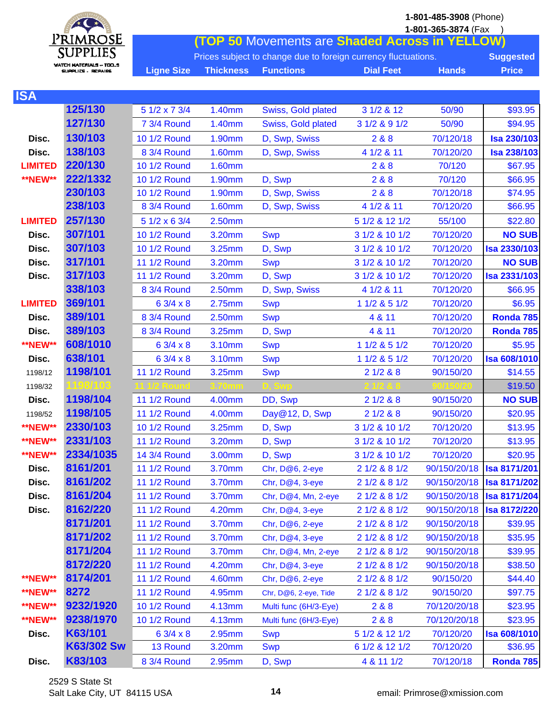|                         | Primrose                 | 1-801-485-3908 (Phone)<br>1-801-365-3874 (Fax<br>(TOP 50 Movements are Shaded Across in YELLOW) |                  |                                                                |                  |                           |                     |  |  |
|-------------------------|--------------------------|-------------------------------------------------------------------------------------------------|------------------|----------------------------------------------------------------|------------------|---------------------------|---------------------|--|--|
|                         | <b>SUPPLIES</b>          |                                                                                                 |                  |                                                                |                  |                           |                     |  |  |
|                         | WATCH MATERIALS -- TOO_S |                                                                                                 |                  | Prices subject to change due to foreign currency fluctuations. |                  |                           | <b>Suggested</b>    |  |  |
|                         | SUPPLICS - REPAIRS       | <b>Ligne Size</b>                                                                               | <b>Thickness</b> | <b>Functions</b>                                               | <b>Dial Feet</b> | <b>Hands</b>              | <b>Price</b>        |  |  |
| <b>ISA</b>              |                          |                                                                                                 |                  |                                                                |                  |                           |                     |  |  |
|                         | 125/130                  | 5 1/2 x 7 3/4                                                                                   | 1.40mm           | Swiss, Gold plated                                             | 3 1/2 & 12       | 50/90                     | \$93.95             |  |  |
|                         | 127/130                  | 7 3/4 Round                                                                                     | 1.40mm           | Swiss, Gold plated                                             | 3 1/2 & 9 1/2    | 50/90                     | \$94.95             |  |  |
| Disc.                   | 130/103                  | 10 1/2 Round                                                                                    | 1.90mm           | D, Swp, Swiss                                                  | 2&8&8            | 70/120/18                 | <b>Isa 230/103</b>  |  |  |
| Disc.                   | 138/103                  | 8 3/4 Round                                                                                     | <b>1.60mm</b>    | D, Swp, Swiss                                                  | 4 1/2 & 11       | 70/120/20                 | <b>Isa 238/103</b>  |  |  |
| <b>LIMITED</b>          | 220/130                  | 10 1/2 Round                                                                                    | 1.60mm           |                                                                | 2&8&8            | 70/120                    | \$67.95             |  |  |
| <b>**NEW**</b>          | 222/1332                 | 10 1/2 Round                                                                                    | 1.90mm           | D, Swp                                                         | 288              | 70/120                    | \$66.95             |  |  |
|                         | 230/103                  | 10 1/2 Round                                                                                    | 1.90mm           | D, Swp, Swiss                                                  | 2&8&8            | 70/120/18                 | \$74.95             |  |  |
|                         | 238/103                  | 8 3/4 Round                                                                                     | <b>1.60mm</b>    | D, Swp, Swiss                                                  | 4 1/2 & 11       | 70/120/20                 | \$66.95             |  |  |
| <b>LIMITED</b>          | 257/130                  | 5 1/2 x 6 3/4                                                                                   | 2.50mm           |                                                                | 5 1/2 & 12 1/2   | 55/100                    | \$22.80             |  |  |
| Disc.                   | 307/101                  | 10 1/2 Round                                                                                    | 3.20mm           | <b>Swp</b>                                                     | 3 1/2 & 10 1/2   | 70/120/20                 | <b>NO SUB</b>       |  |  |
| Disc.                   | 307/103                  | 10 1/2 Round                                                                                    | 3.25mm           | D, Swp                                                         | 3 1/2 & 10 1/2   | 70/120/20                 | <b>Isa 2330/103</b> |  |  |
| Disc.                   | 317/101                  | <b>11 1/2 Round</b>                                                                             | 3.20mm           | <b>Swp</b>                                                     | 3 1/2 & 10 1/2   | 70/120/20                 | <b>NO SUB</b>       |  |  |
| Disc.                   | 317/103                  | <b>11 1/2 Round</b>                                                                             | 3.20mm           | D, Swp                                                         | 3 1/2 & 10 1/2   | 70/120/20                 | <b>Isa 2331/103</b> |  |  |
|                         | 338/103                  | 8 3/4 Round                                                                                     | 2.50mm           | D, Swp, Swiss                                                  | 4 1/2 & 11       | 70/120/20                 | \$66.95             |  |  |
| <b>LIMITED</b>          | 369/101                  | $63/4 \times 8$                                                                                 | 2.75mm           | <b>Swp</b>                                                     | 1 1/2 & 5 1/2    | 70/120/20                 | \$6.95              |  |  |
| Disc.                   | 389/101                  | 8 3/4 Round                                                                                     | 2.50mm           |                                                                | 4 & 11           | 70/120/20                 | Ronda 785           |  |  |
|                         | 389/103                  |                                                                                                 |                  | <b>Swp</b>                                                     |                  |                           |                     |  |  |
| Disc.<br><b>**NEW**</b> | 608/1010                 | 8 3/4 Round                                                                                     | 3.25mm           | D, Swp                                                         | 4 & 11           | 70/120/20                 | Ronda 785           |  |  |
|                         |                          | 6 3/4 x 8                                                                                       | 3.10mm           | <b>Swp</b>                                                     | 1 1/2 & 5 1/2    | 70/120/20                 | \$5.95              |  |  |
| Disc.                   | 638/101                  | 6 3/4 x 8                                                                                       | 3.10mm           | <b>Swp</b>                                                     | 1 1/2 & 5 1/2    | 70/120/20                 | <b>Isa 608/1010</b> |  |  |
| 1198/12                 | 1198/101                 | <b>11 1/2 Round</b>                                                                             | 3.25mm           | <b>Swp</b>                                                     | 21/288           | 90/150/20                 | \$14.55             |  |  |
| 1198/32                 | 987103                   |                                                                                                 |                  |                                                                |                  |                           | \$19.50             |  |  |
| Disc.                   | 1198/104                 | <b>11 1/2 Round</b>                                                                             | 4.00mm           | DD, Swp                                                        | 21/288           | 90/150/20                 | <b>NO SUB</b>       |  |  |
| 1198/52                 | 1198/105                 | 11 1/2 Round                                                                                    | 4.00mm           | Day@12, D, Swp                                                 | 21/288           | 90/150/20                 | \$20.95             |  |  |
| <b>**NEW**</b>          | 2330/103                 | 10 1/2 Round                                                                                    | 3.25mm           | D, Swp                                                         | 3 1/2 & 10 1/2   | 70/120/20                 | \$13.95             |  |  |
| <b>**NEW**</b>          | 2331/103                 | <b>11 1/2 Round</b>                                                                             | 3.20mm           | D, Swp                                                         | 3 1/2 & 10 1/2   | 70/120/20                 | \$13.95             |  |  |
| <b>**NEW**</b>          | 2334/1035                | 14 3/4 Round                                                                                    | 3.00mm           | D, Swp                                                         | 3 1/2 & 10 1/2   | 70/120/20                 | \$20.95             |  |  |
| Disc.                   | 8161/201                 | 11 1/2 Round                                                                                    | 3.70mm           | Chr, D@6, 2-eye                                                | 2 1/2 & 8 1/2    | 90/150/20/18 Isa 8171/201 |                     |  |  |
| Disc.                   | 8161/202                 | <b>11 1/2 Round</b>                                                                             | 3.70mm           | Chr, $D@4$ , 3-eye                                             | 2 1/2 & 8 1/2    | 90/150/20/18 Isa 8171/202 |                     |  |  |
| Disc.                   | 8161/204                 | 11 1/2 Round                                                                                    | 3.70mm           | Chr, D@4, Mn, 2-eye                                            | 2 1/2 & 8 1/2    | 90/150/20/18 Isa 8171/204 |                     |  |  |
| Disc.                   | 8162/220                 | 11 1/2 Round                                                                                    | 4.20mm           | Chr, $D@4$ , 3-eye                                             | 2 1/2 & 8 1/2    | 90/150/20/18 Isa 8172/220 |                     |  |  |
|                         | 8171/201                 | 11 1/2 Round                                                                                    | 3.70mm           | Chr, D@6, 2-eye                                                | 2 1/2 & 8 1/2    | 90/150/20/18              | \$39.95             |  |  |
|                         | 8171/202                 | 11 1/2 Round                                                                                    | 3.70mm           | Chr, D@4, 3-eye                                                | 2 1/2 & 8 1/2    | 90/150/20/18              | \$35.95             |  |  |
|                         | 8171/204                 | 11 1/2 Round                                                                                    | 3.70mm           | Chr, D@4, Mn, 2-eye                                            | 2 1/2 & 8 1/2    | 90/150/20/18              | \$39.95             |  |  |
|                         | 8172/220                 | 11 1/2 Round                                                                                    | 4.20mm           | Chr, D@4, 3-eye                                                | 2 1/2 & 8 1/2    | 90/150/20/18              | \$38.50             |  |  |
| <b>**NEW**</b>          | 8174/201                 | <b>11 1/2 Round</b>                                                                             | 4.60mm           | Chr, D@6, 2-eye                                                | 2 1/2 & 8 1/2    | 90/150/20                 | \$44.40             |  |  |
| <b>**NEW**</b>          | 8272                     | 11 1/2 Round                                                                                    | 4.95mm           | Chr, D@6, 2-eye, Tide                                          | 2 1/2 & 8 1/2    | 90/150/20                 | \$97.75             |  |  |
| <b>**NEW**</b>          | 9232/1920                | 10 1/2 Round                                                                                    | 4.13mm           | Multi func (6H/3-Eye)                                          | 2 & 8            | 70/120/20/18              | \$23.95             |  |  |
| <b>**NEW**</b>          | 9238/1970                | 10 1/2 Round                                                                                    | 4.13mm           | Multi func (6H/3-Eye)                                          | 2 & 8            | 70/120/20/18              | \$23.95             |  |  |
| Disc.                   | K63/101                  | $63/4 \times 8$                                                                                 | 2.95mm           | <b>Swp</b>                                                     | 5 1/2 & 12 1/2   | 70/120/20                 | <b>Isa 608/1010</b> |  |  |

2529 S State St Salt Lake City, UT 84115 USA **14 14** email: Primrose@xmission.com

**Disc. K83/103** 8 3/4 Round 2.95mm D, Swp 4 & 11 1/2 70/120/18 **Ronda 785**

**K63/302 Sw** 13 Round 3.20mm Swp 6 1/2 & 12 1/2 70/120/20 \$36.95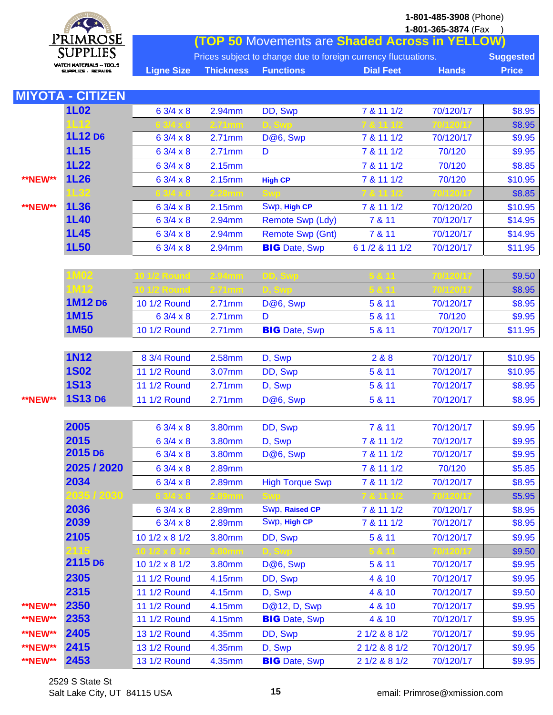PRIMROSE **SUPPLIES WATCH MATERIALS -- TOO\_S** SUPPLICS - REPAIRS

**1-801-485-3908** (Phone)

|                   |                                                                                    |  |                                                | 1-801-365-3874 (Fax |              |  |  |  |
|-------------------|------------------------------------------------------------------------------------|--|------------------------------------------------|---------------------|--------------|--|--|--|
|                   |                                                                                    |  | (TOP 50 Movements are Shaded Across in YELLOW) |                     |              |  |  |  |
|                   | Prices subject to change due to foreign currency fluctuations.<br><b>Suggested</b> |  |                                                |                     |              |  |  |  |
| <b>Ligne Size</b> | <b>Thickness Functions</b>                                                         |  | <b>Dial Feet</b>                               | <b>Hands</b>        | <b>Price</b> |  |  |  |

|                | <b>MIYOTA - CITIZEN</b> |                     |        |                         |                 |           |         |
|----------------|-------------------------|---------------------|--------|-------------------------|-----------------|-----------|---------|
|                | <b>1L02</b>             | $63/4 \times 8$     | 2.94mm | DD, Swp                 | 7 & 11 1/2      | 70/120/17 | \$8.95  |
|                |                         |                     |        |                         |                 |           | \$8.95  |
|                | 1L12 D6                 | 6 3/4 x 8           | 2.71mm | D@6, Swp                | 7 & 11 1/2      | 70/120/17 | \$9.95  |
|                | <b>1L15</b>             | $63/4 \times 8$     | 2.71mm | D                       | 7 & 11 1/2      | 70/120    | \$9.95  |
|                | <b>1L22</b>             | 6 3/4 x 8           | 2.15mm |                         | 7 & 11 1/2      | 70/120    | \$8.85  |
| <b>**NEW**</b> | <b>1L26</b>             | 6 3/4 x 8           | 2.15mm | <b>High CP</b>          | 7 & 11 1/2      | 70/120    | \$10.95 |
|                | $\mathsf{L}32$          |                     |        |                         |                 |           | \$8.85  |
| <b>**NEW**</b> | <b>1L36</b>             | $63/4 \times 8$     | 2.15mm | Swp, High CP            | 7 & 11 1/2      | 70/120/20 | \$10.95 |
|                | <b>1L40</b>             | 6 3/4 x 8           | 2.94mm | <b>Remote Swp (Ldy)</b> | 7 & 11          | 70/120/17 | \$14.95 |
|                | <b>1L45</b>             | 6 3/4 x 8           | 2.94mm | <b>Remote Swp (Gnt)</b> | 7 & 11          | 70/120/17 | \$14.95 |
|                | <b>1L50</b>             | 6 3/4 x 8           | 2.94mm | <b>BIG</b> Date, Swp    | 6 1 /2 & 11 1/2 | 70/120/17 | \$11.95 |
|                |                         |                     |        |                         |                 |           |         |
|                | <b>M02</b>              |                     |        |                         |                 |           | \$9.50  |
|                | <b>IM12</b>             |                     |        |                         |                 |           | \$8.95  |
|                | 1M12 D6                 | 10 1/2 Round        | 2.71mm | D@6, Swp                | 5 & 11          | 70/120/17 | \$8.95  |
|                | <b>1M15</b>             | 6 3/4 x 8           | 2.71mm | D                       | 5 & 11          | 70/120    | \$9.95  |
|                | <b>1M50</b>             | 10 1/2 Round        | 2.71mm | <b>BIG</b> Date, Swp    | 5 & 11          | 70/120/17 | \$11.95 |
|                |                         |                     |        |                         |                 |           |         |
|                | <b>1N12</b>             | 8 3/4 Round         | 2.58mm | D, Swp                  | 2&8&8           | 70/120/17 | \$10.95 |
|                | <b>1S02</b>             | 11 1/2 Round        | 3.07mm | DD, Swp                 | 5 & 11          | 70/120/17 | \$10.95 |
|                | <b>1S13</b>             | 11 1/2 Round        | 2.71mm | D, Swp                  | 5 & 11          | 70/120/17 | \$8.95  |
| <b>**NEW**</b> | 1S13 D6                 | 11 1/2 Round        | 2.71mm | D@6, Swp                | 5 & 11          | 70/120/17 | \$8.95  |
|                |                         |                     |        |                         |                 |           |         |
|                | 2005                    | $63/4 \times 8$     | 3.80mm | DD, Swp                 | 7 & 11          | 70/120/17 | \$9.95  |
|                | 2015                    | 6 3/4 x 8           | 3.80mm | D, Swp                  | 7 & 11 1/2      | 70/120/17 | \$9.95  |
|                | 2015 D <sub>6</sub>     | $63/4 \times 8$     | 3.80mm | D@6, Swp                | 7 & 11 1/2      | 70/120/17 | \$9.95  |
|                | 2025 / 2020             | 6 3/4 x 8           | 2.89mm |                         | 7 & 11 1/2      | 70/120    | \$5.85  |
|                | 2034                    | $63/4 \times 8$     | 2.89mm | <b>High Torque Swp</b>  | 7 & 11 1/2      | 70/120/17 | \$8.95  |
|                | 035 / 2030              |                     |        |                         |                 |           | \$5.95  |
|                | 2036                    | $63/4 \times 8$     | 2.89mm | Swp, Raised CP          | 7 & 11 1/2      | 70/120/17 | \$8.95  |
|                | 2039                    | $63/4 \times 8$     | 2.89mm | Swp, High CP            | 7 & 11 1/2      | 70/120/17 | \$8.95  |
|                | 2105                    | 10 1/2 x 8 1/2      | 3.80mm | DD, Swp                 | 5 & 11          | 70/120/17 | \$9.95  |
|                |                         |                     |        |                         |                 |           | \$9.50  |
|                | 2115 D6                 | 10 1/2 x 8 1/2      | 3.80mm | D@6, Swp                | 5 & 11          | 70/120/17 | \$9.95  |
|                | 2305                    | 11 1/2 Round        | 4.15mm | DD, Swp                 | 4 & 10          | 70/120/17 | \$9.95  |
|                | 2315                    | 11 1/2 Round        | 4.15mm | D, Swp                  | 4 & 10          | 70/120/17 | \$9.50  |
| **NEW**        | 2350                    | <b>11 1/2 Round</b> | 4.15mm | D@12, D, Swp            | 4 & 10          | 70/120/17 | \$9.95  |
| <b>**NEW**</b> | 2353                    | 11 1/2 Round        | 4.15mm | <b>BIG</b> Date, Swp    | 4 & 10          | 70/120/17 | \$9.95  |
| <b>**NEW**</b> | 2405                    | 13 1/2 Round        | 4.35mm | DD, Swp                 | 2 1/2 & 8 1/2   | 70/120/17 | \$9.95  |
| <b>**NEW**</b> | 2415                    | 13 1/2 Round        | 4.35mm | D, Swp                  | 2 1/2 & 8 1/2   | 70/120/17 | \$9.95  |
| <b>**NEW**</b> | 2453                    | 13 1/2 Round        | 4.35mm | <b>BIG</b> Date, Swp    | 2 1/2 & 8 1/2   | 70/120/17 | \$9.95  |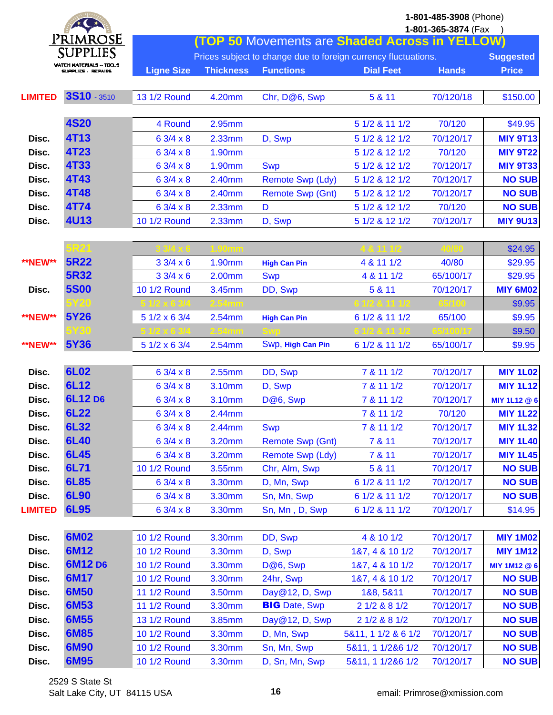|                | $*$                                         |                   |                  |                                                                |                     | 1-801-485-3908 (Phone)<br>1-801-365-3874 (Fax |                  |
|----------------|---------------------------------------------|-------------------|------------------|----------------------------------------------------------------|---------------------|-----------------------------------------------|------------------|
|                | Primrose                                    |                   |                  | <b>(TOP 50 Movements are Shaded Across in YELLOW)</b>          |                     |                                               |                  |
|                | SUPPLIES                                    |                   |                  | Prices subject to change due to foreign currency fluctuations. |                     |                                               | <b>Suggested</b> |
|                | WATCH MATERIALS - TOO<br>SUPPLICS - REPAIRS | <b>Ligne Size</b> | <b>Thickness</b> | <b>Functions</b>                                               | <b>Dial Feet</b>    | <b>Hands</b>                                  | <b>Price</b>     |
|                |                                             |                   |                  |                                                                |                     |                                               |                  |
| <b>LIMITED</b> | 3S10 - 3510                                 | 13 1/2 Round      | 4.20mm           | Chr, D@6, Swp                                                  | 5 & 11              | 70/120/18                                     | \$150.00         |
|                |                                             |                   |                  |                                                                |                     |                                               |                  |
|                | <b>4S20</b>                                 | 4 Round           | 2.95mm           |                                                                | 5 1/2 & 11 1/2      | 70/120                                        | \$49.95          |
| Disc.          | <b>4T13</b>                                 | 6 3/4 x 8         | 2.33mm           | D, Swp                                                         | 5 1/2 & 12 1/2      | 70/120/17                                     | <b>MIY 9T13</b>  |
| Disc.          | <b>4T23</b>                                 | 6 3/4 x 8         | 1.90mm           |                                                                | 5 1/2 & 12 1/2      | 70/120                                        | <b>MIY 9T22</b>  |
| Disc.          | <b>4T33</b>                                 | $63/4 \times 8$   | 1.90mm           | <b>Swp</b>                                                     | 5 1/2 & 12 1/2      | 70/120/17                                     | <b>MIY 9T33</b>  |
| Disc.          | <b>4T43</b>                                 | 6 3/4 x 8         | 2.40mm           | <b>Remote Swp (Ldy)</b>                                        | 5 1/2 & 12 1/2      | 70/120/17                                     | <b>NO SUB</b>    |
| Disc.          | <b>4T48</b>                                 | $63/4 \times 8$   | 2.40mm           | <b>Remote Swp (Gnt)</b>                                        | 5 1/2 & 12 1/2      | 70/120/17                                     | <b>NO SUB</b>    |
| Disc.          | <b>4T74</b>                                 | 6 3/4 x 8         | 2.33mm           | D                                                              | 5 1/2 & 12 1/2      | 70/120                                        | <b>NO SUB</b>    |
| Disc.          | <b>4U13</b>                                 | 10 1/2 Round      | 2.33mm           | D, Swp                                                         | 5 1/2 & 12 1/2      | 70/120/17                                     | <b>MIY 9U13</b>  |
|                |                                             |                   |                  |                                                                |                     |                                               |                  |
|                | 5R21                                        |                   |                  |                                                                |                     |                                               | \$24.95          |
| <b>**NEW**</b> | <b>5R22</b>                                 | $33/4 \times 6$   | 1.90mm           | <b>High Can Pin</b>                                            | 4 & 11 1/2          | 40/80                                         | \$29.95          |
|                | <b>5R32</b>                                 | $33/4 \times 6$   | 2.00mm           | <b>Swp</b>                                                     | 4 & 11 1/2          | 65/100/17                                     | \$29.95          |
| Disc.          | <b>5S00</b>                                 | 10 1/2 Round      | 3.45mm           | DD, Swp                                                        | 5 & 11              | 70/120/17                                     | <b>MIY 6M02</b>  |
|                | 5Y20                                        |                   |                  |                                                                |                     |                                               | \$9.95           |
| <b>**NEW**</b> | 5Y26                                        | 5 1/2 x 6 3/4     | 2.54mm           | <b>High Can Pin</b>                                            | 6 1/2 & 11 1/2      | 65/100                                        | \$9.95           |
|                |                                             |                   |                  |                                                                |                     |                                               | \$9.50           |
| <b>**NEW**</b> | <b>5Y36</b>                                 | 5 1/2 x 6 3/4     | 2.54mm           | Swp, High Can Pin                                              | 6 1/2 & 11 1/2      | 65/100/17                                     | \$9.95           |
|                |                                             |                   |                  |                                                                |                     |                                               |                  |
| Disc.          | <b>6L02</b>                                 | $63/4 \times 8$   | 2.55mm           | DD, Swp                                                        | 7 & 11 1/2          | 70/120/17                                     | <b>MIY 1L02</b>  |
| Disc.          | 6L12                                        | 6 3/4 x 8         | 3.10mm           | D, Swp                                                         | 7 & 11 1/2          | 70/120/17                                     | <b>MIY 1L12</b>  |
| Disc.          | 6L12 D6                                     | $63/4 \times 8$   | 3.10mm           | D@6, Swp                                                       | 7 & 11 1/2          | 70/120/17                                     | MIY 1L12 @ 6     |
| Disc.          | <b>6L22</b>                                 | $63/4 \times 8$   | 2.44mm           |                                                                | 7 & 11 1/2          | 70/120                                        | <b>MIY 1L22</b>  |
| Disc.          | 6L32                                        | $63/4 \times 8$   | 2.44mm           | <b>Swp</b>                                                     | 7 & 11 1/2          | 70/120/17                                     | <b>MIY 1L32</b>  |
| Disc.          | 6L40                                        | $63/4 \times 8$   | 3.20mm           | <b>Remote Swp (Gnt)</b>                                        | 7 & 11              | 70/120/17                                     | <b>MIY 1L40</b>  |
| Disc.          | <b>6L45</b>                                 | 6 3/4 x 8         | 3.20mm           | Remote Swp (Ldy)                                               | 7 & 11              | 70/120/17                                     | <b>MIY 1L45</b>  |
| Disc.          | 6L71                                        | 10 1/2 Round      | 3.55mm           | Chr, Alm, Swp                                                  | 5 & 11              | 70/120/17                                     | <b>NO SUB</b>    |
| Disc.          | 6L85                                        | $63/4 \times 8$   | 3.30mm           | D, Mn, Swp                                                     | 6 1/2 & 11 1/2      | 70/120/17                                     | <b>NO SUB</b>    |
| Disc.          | 6L90                                        | $63/4 \times 8$   | 3.30mm           | Sn, Mn, Swp                                                    | 6 1/2 & 11 1/2      | 70/120/17                                     | <b>NO SUB</b>    |
| <b>LIMITED</b> | 6L95                                        | 63/4 x8           | 3.30mm           | Sn, Mn, D, Swp                                                 | 6 1/2 & 11 1/2      | 70/120/17                                     | \$14.95          |
|                |                                             |                   |                  |                                                                |                     |                                               |                  |
| Disc.          | <b>6M02</b>                                 | 10 1/2 Round      | 3.30mm           | DD, Swp                                                        | 4 & 10 1/2          | 70/120/17                                     | <b>MIY 1M02</b>  |
| Disc.          | 6M12                                        | 10 1/2 Round      | 3.30mm           | D, Swp                                                         | 187, 4 8 10 1/2     | 70/120/17                                     | <b>MIY 1M12</b>  |
| Disc.          | 6M12 D6                                     | 10 1/2 Round      | 3.30mm           | D@6, Swp                                                       | 187, 4 8 10 1/2     | 70/120/17                                     | MIY 1M12 @ 6     |
| Disc.          | 6M17                                        | 10 1/2 Round      | 3.30mm           | 24hr, Swp                                                      | 187, 4 8 10 1/2     | 70/120/17                                     | <b>NO SUB</b>    |
| Disc.          | 6M50                                        | 11 1/2 Round      | 3.50mm           | Day@12, D, Swp                                                 | 188, 5811           | 70/120/17                                     | <b>NO SUB</b>    |
| Disc.          | 6M53                                        | 11 1/2 Round      | 3.30mm           | <b>BIG</b> Date, Swp                                           | 2 1/2 & 8 1/2       | 70/120/17                                     | <b>NO SUB</b>    |
| Disc.          | 6M55                                        | 13 1/2 Round      | 3.85mm           | Day@12, D, Swp                                                 | 2 1/2 & 8 1/2       | 70/120/17                                     | <b>NO SUB</b>    |
| Disc.          | 6M85                                        | 10 1/2 Round      | 3.30mm           | D, Mn, Swp                                                     | 5&11, 1 1/2 & 6 1/2 | 70/120/17                                     | <b>NO SUB</b>    |
| Disc.          | 6M90                                        | 10 1/2 Round      | 3.30mm           | Sn, Mn, Swp                                                    | 5&11, 1 1/2&6 1/2   | 70/120/17                                     | <b>NO SUB</b>    |
| Disc.          | <b>6M95</b>                                 | 10 1/2 Round      | 3.30mm           | D, Sn, Mn, Swp                                                 | 5&11, 1 1/2&6 1/2   | 70/120/17                                     | <b>NO SUB</b>    |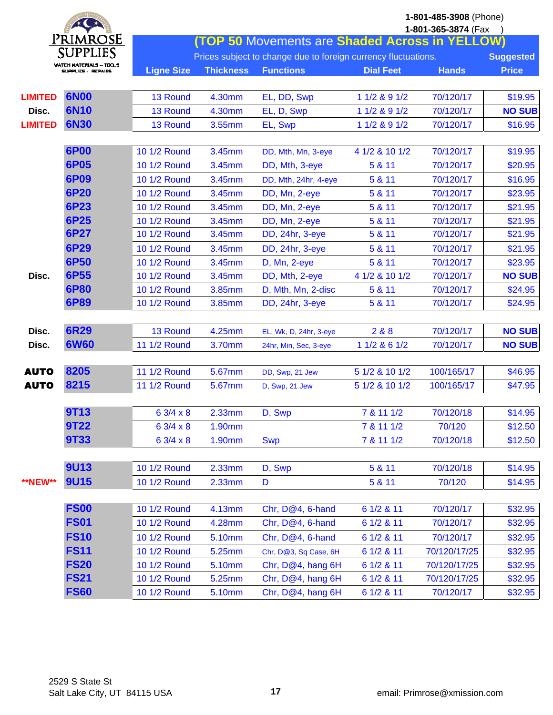| $*$ $*$        |                                   |                     |                                                                |                                                       |                  | 1-801-485-3908 (Phone) |                  |
|----------------|-----------------------------------|---------------------|----------------------------------------------------------------|-------------------------------------------------------|------------------|------------------------|------------------|
|                |                                   |                     |                                                                |                                                       |                  | 1-801-365-3874 (Fax    |                  |
|                | Primrose                          |                     |                                                                | <b>(TOP 50 Movements are Shaded Across in YELLOW)</b> |                  |                        |                  |
|                | SUPPLIES<br>WATCH MATERIALS - TOO |                     | Prices subject to change due to foreign currency fluctuations. |                                                       |                  |                        | <b>Suggested</b> |
|                | SUPPLICS , REPAIRS                | <b>Ligne Size</b>   | <b>Thickness</b>                                               | <b>Functions</b>                                      | <b>Dial Feet</b> | <b>Hands</b>           | <b>Price</b>     |
|                |                                   |                     |                                                                |                                                       |                  |                        |                  |
| <b>LIMITED</b> | <b>6N00</b>                       | 13 Round            | 4.30mm                                                         | EL, DD, Swp                                           | 1 1/2 & 9 1/2    | 70/120/17              | \$19.95          |
| Disc.          | <b>6N10</b>                       | 13 Round            | 4.30mm                                                         | EL, D, Swp                                            | 1 1/2 & 9 1/2    | 70/120/17              | <b>NO SUB</b>    |
| <b>LIMITED</b> | <b>6N30</b>                       | 13 Round            | 3.55mm                                                         | EL, Swp                                               | 1 1/2 & 9 1/2    | 70/120/17              | \$16.95          |
|                |                                   |                     |                                                                |                                                       |                  |                        |                  |
|                | <b>6P00</b>                       | 10 1/2 Round        | 3.45mm                                                         | DD, Mth, Mn, 3-eye                                    | 4 1/2 & 10 1/2   | 70/120/17              | \$19.95          |
|                | <b>6P05</b>                       | 10 1/2 Round        | 3.45mm                                                         | DD, Mth, 3-eye                                        | 5 & 11           | 70/120/17              | \$20.95          |
|                | <b>6P09</b>                       | 10 1/2 Round        | 3.45mm                                                         | DD, Mth, 24hr, 4-eye                                  | 5 & 11           | 70/120/17              | \$16.95          |
|                | <b>6P20</b>                       | 10 1/2 Round        | 3.45mm                                                         | DD, Mn, 2-eye                                         | 5 & 11           | 70/120/17              | \$23.95          |
|                | <b>6P23</b>                       | 10 1/2 Round        | 3.45mm                                                         | DD, Mn, 2-eye                                         | 5 & 11           | 70/120/17              | \$21.95          |
|                | <b>6P25</b>                       | 10 1/2 Round        | 3.45mm                                                         | DD, Mn, 2-eye                                         | 5 & 11           | 70/120/17              | \$21.95          |
|                | <b>6P27</b>                       | 10 1/2 Round        | 3.45mm                                                         | DD, 24hr, 3-eye                                       | 5 & 11           | 70/120/17              | \$21.95          |
|                | <b>6P29</b>                       | 10 1/2 Round        | 3.45mm                                                         | DD, 24hr, 3-eye                                       | 5 & 11           | 70/120/17              | \$21.95          |
|                | 6P50                              | 10 1/2 Round        | 3.45mm                                                         | D, Mn, 2-eye                                          | 5 & 11           | 70/120/17              | \$23.95          |
| Disc.          | 6P55                              | 10 1/2 Round        | 3.45mm                                                         | DD, Mth, 2-eye                                        | 4 1/2 & 10 1/2   | 70/120/17              | <b>NO SUB</b>    |
|                | <b>6P80</b>                       | 10 1/2 Round        | 3.85mm                                                         | D, Mth, Mn, 2-disc                                    | 5 & 11           | 70/120/17              | \$24.95          |
|                | <b>6P89</b>                       | 10 1/2 Round        | 3.85mm                                                         | DD, 24hr, 3-eye                                       | 5 & 11           | 70/120/17              | \$24.95          |
|                |                                   |                     |                                                                |                                                       |                  |                        |                  |
| Disc.          | <b>6R29</b>                       | 13 Round            | 4.25mm                                                         | EL, Wk, D, 24hr, 3-eye                                | 2&8&8            | 70/120/17              | <b>NO SUB</b>    |
| Disc.          | <b>6W60</b>                       | <b>11 1/2 Round</b> | 3.70mm                                                         | 24hr, Min, Sec, 3-eye                                 | 1 1/2 & 6 1/2    | 70/120/17              | <b>NO SUB</b>    |
|                |                                   |                     |                                                                |                                                       |                  |                        |                  |
| <b>AUTO</b>    | 8205                              | 11 1/2 Round        | 5.67mm                                                         | DD, Swp, 21 Jew                                       | 5 1/2 & 10 1/2   | 100/165/17             | \$46.95          |
| <b>AUTO</b>    | 8215                              | <b>11 1/2 Round</b> | 5.67mm                                                         | D, Swp, 21 Jew                                        | 5 1/2 & 10 1/2   | 100/165/17             | \$47.95          |
|                |                                   |                     |                                                                |                                                       |                  |                        |                  |
|                | <b>9T13</b>                       | 6 3/4 x 8           | 2.33mm                                                         | D, Swp                                                | 7 & 11 1/2       | 70/120/18              | \$14.95          |
|                | <b>9T22</b>                       | $63/4 \times 8$     | 1.90mm                                                         |                                                       | 7 & 11 1/2       | 70/120                 | \$12.50          |
|                | <b>9T33</b>                       | 6 3/4 x 8           | 1.90mm                                                         | <b>Swp</b>                                            | 7 & 11 1/2       | 70/120/18              | \$12.50          |
|                |                                   |                     |                                                                |                                                       |                  |                        |                  |
|                | <b>9U13</b>                       | 10 1/2 Round        | 2.33mm                                                         | D, Swp                                                | 5 & 11           | 70/120/18              | \$14.95          |
| <b>**NEW**</b> | <b>9U15</b>                       | 10 1/2 Round        | 2.33mm                                                         | D                                                     | 5 & 11           | 70/120                 | \$14.95          |
|                |                                   |                     |                                                                |                                                       |                  |                        |                  |
|                | <b>FS00</b>                       | 10 1/2 Round        | 4.13mm                                                         | Chr, D@4, 6-hand                                      | 6 1/2 & 11       | 70/120/17              | \$32.95          |
|                | <b>FS01</b>                       | 10 1/2 Round        | 4.28mm                                                         | Chr, D@4, 6-hand                                      | 6 1/2 & 11       | 70/120/17              | \$32.95          |
|                | <b>FS10</b>                       | 10 1/2 Round        | 5.10mm                                                         | Chr, D@4, 6-hand                                      | 6 1/2 & 11       | 70/120/17              | \$32.95          |
|                | <b>FS11</b>                       | 10 1/2 Round        | 5.25mm                                                         | Chr, D@3, Sq Case, 6H                                 | 6 1/2 & 11       | 70/120/17/25           | \$32.95          |
|                | <b>FS20</b>                       | 10 1/2 Round        | 5.10mm                                                         | Chr, D@4, hang 6H                                     | 6 1/2 & 11       | 70/120/17/25           | \$32.95          |
|                | <b>FS21</b>                       | 10 1/2 Round        | 5.25mm                                                         | Chr, D@4, hang 6H                                     | 6 1/2 & 11       | 70/120/17/25           | \$32.95          |
|                | <b>FS60</b>                       | 10 1/2 Round        | 5.10mm                                                         | Chr, D@4, hang 6H                                     | 6 1/2 & 11       | 70/120/17              | \$32.95          |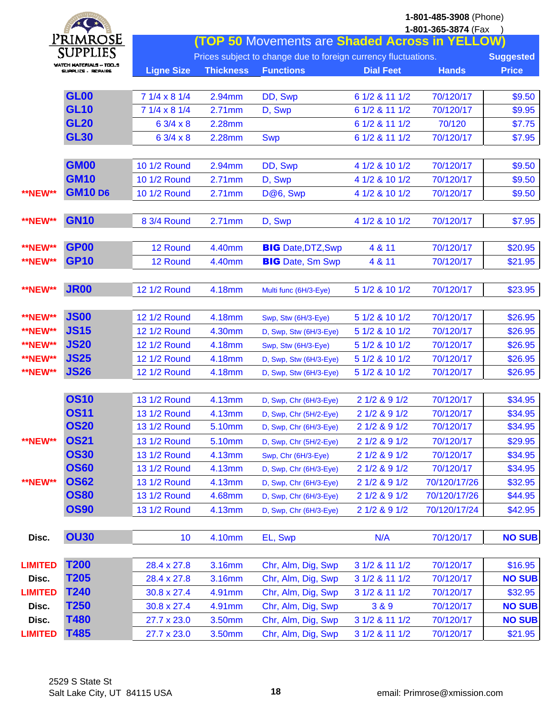|                | $*$                                                  | 1-801-485-3908 (Phone)<br>1-801-365-3874 (Fax |                  |                                                                |                  |              |                  |  |  |
|----------------|------------------------------------------------------|-----------------------------------------------|------------------|----------------------------------------------------------------|------------------|--------------|------------------|--|--|
|                | PRIMROSE                                             |                                               |                  | (TOP 50 Movements are Shaded Across in YELLOW)                 |                  |              |                  |  |  |
|                | SUPPLIES                                             |                                               |                  | Prices subject to change due to foreign currency fluctuations. |                  |              | <b>Suggested</b> |  |  |
|                | <b>WATCH MATERIALS - TOO.S</b><br>SUPPLICS , REPAIRS | <b>Ligne Size</b>                             | <b>Thickness</b> | <b>Functions</b>                                               | <b>Dial Feet</b> | <b>Hands</b> | <b>Price</b>     |  |  |
|                |                                                      |                                               |                  |                                                                |                  |              |                  |  |  |
|                | <b>GL00</b>                                          | 7 1/4 x 8 1/4                                 | 2.94mm           | DD, Swp                                                        | 6 1/2 & 11 1/2   | 70/120/17    | \$9.50           |  |  |
|                | <b>GL10</b>                                          | 7 1/4 x 8 1/4                                 | 2.71mm           | D, Swp                                                         | 6 1/2 & 11 1/2   | 70/120/17    | \$9.95           |  |  |
|                | <b>GL20</b>                                          | 6 3/4 x 8                                     | 2.28mm           |                                                                | 6 1/2 & 11 1/2   | 70/120       | \$7.75           |  |  |
|                | <b>GL30</b>                                          | $63/4 \times 8$                               | 2.28mm           | <b>Swp</b>                                                     | 6 1/2 & 11 1/2   | 70/120/17    | \$7.95           |  |  |
|                |                                                      |                                               |                  |                                                                |                  |              |                  |  |  |
|                | <b>GM00</b>                                          | 10 1/2 Round                                  | 2.94mm           | DD, Swp                                                        | 4 1/2 & 10 1/2   | 70/120/17    | \$9.50           |  |  |
|                | <b>GM10</b>                                          | 10 1/2 Round                                  | 2.71mm           | D, Swp                                                         | 4 1/2 & 10 1/2   | 70/120/17    | \$9.50           |  |  |
| <b>**NEW**</b> | <b>GM10 D6</b>                                       | 10 1/2 Round                                  | 2.71mm           | D@6, Swp                                                       | 4 1/2 & 10 1/2   | 70/120/17    | \$9.50           |  |  |
|                |                                                      |                                               |                  |                                                                |                  |              |                  |  |  |
| **NEW**        | <b>GN10</b>                                          | 8 3/4 Round                                   | 2.71mm           | D, Swp                                                         | 4 1/2 & 10 1/2   | 70/120/17    | \$7.95           |  |  |
|                |                                                      |                                               |                  |                                                                |                  |              |                  |  |  |
| <b>**NEW**</b> | <b>GP00</b>                                          | 12 Round                                      | 4.40mm           | <b>BIG</b> Date, DTZ, Swp                                      | 4 & 11           | 70/120/17    | \$20.95          |  |  |
| <b>**NEW**</b> | <b>GP10</b>                                          | 12 Round                                      | 4.40mm           | <b>BIG</b> Date, Sm Swp                                        | 4 & 11           | 70/120/17    | \$21.95          |  |  |
| <b>**NEW**</b> | <b>JR00</b>                                          | <b>12 1/2 Round</b>                           | 4.18mm           |                                                                | 5 1/2 & 10 1/2   | 70/120/17    | \$23.95          |  |  |
|                |                                                      |                                               |                  | Multi func (6H/3-Eye)                                          |                  |              |                  |  |  |
| <b>**NEW**</b> | <b>JS00</b>                                          | <b>12 1/2 Round</b>                           | 4.18mm           | Swp, Stw (6H/3-Eye)                                            | 5 1/2 & 10 1/2   | 70/120/17    | \$26.95          |  |  |
| <b>**NEW**</b> | <b>JS15</b>                                          | <b>12 1/2 Round</b>                           | 4.30mm           | D, Swp, Stw (6H/3-Eye)                                         | 5 1/2 & 10 1/2   | 70/120/17    | \$26.95          |  |  |
| <b>**NEW**</b> | <b>JS20</b>                                          | 12 1/2 Round                                  | 4.18mm           | Swp, Stw (6H/3-Eye)                                            | 5 1/2 & 10 1/2   | 70/120/17    | \$26.95          |  |  |
| **NEW**        | <b>JS25</b>                                          | <b>12 1/2 Round</b>                           | 4.18mm           | D, Swp, Stw (6H/3-Eye)                                         | 5 1/2 & 10 1/2   | 70/120/17    | \$26.95          |  |  |
| <b>**NEW**</b> | <b>JS26</b>                                          | 12 1/2 Round                                  | 4.18mm           | D, Swp, Stw (6H/3-Eye)                                         | 5 1/2 & 10 1/2   | 70/120/17    | \$26.95          |  |  |
|                |                                                      |                                               |                  |                                                                |                  |              |                  |  |  |
|                | <b>OS10</b>                                          | 13 1/2 Round                                  | 4.13mm           | D, Swp, Chr (6H/3-Eye)                                         | 2 1/2 & 9 1/2    | 70/120/17    | \$34.95          |  |  |
|                | <b>OS11</b>                                          | 13 1/2 Round                                  | 4.13mm           | D, Swp, Chr (5H/2-Eye)                                         | 2 1/2 & 9 1/2    | 70/120/17    | \$34.95          |  |  |
|                | <b>OS20</b>                                          | 13 1/2 Round                                  | 5.10mm           | D, Swp, Chr (6H/3-Eye)                                         | 2 1/2 & 9 1/2    | 70/120/17    | \$34.95          |  |  |
| <b>**NEW**</b> | <b>OS21</b>                                          | 13 1/2 Round                                  | 5.10mm           | D, Swp, Chr (5H/2-Eye)                                         | 2 1/2 & 9 1/2    | 70/120/17    | \$29.95          |  |  |
|                | <b>OS30</b>                                          | 13 1/2 Round                                  | 4.13mm           | Swp, Chr (6H/3-Eye)                                            | 2 1/2 & 9 1/2    | 70/120/17    | \$34.95          |  |  |
|                | <b>OS60</b>                                          | 13 1/2 Round                                  | 4.13mm           | D, Swp, Chr (6H/3-Eye)                                         | 2 1/2 & 9 1/2    | 70/120/17    | \$34.95          |  |  |
| **NEW**        | <b>OS62</b>                                          | 13 1/2 Round                                  | 4.13mm           | D, Swp, Chr (6H/3-Eye)                                         | 2 1/2 & 9 1/2    | 70/120/17/26 | \$32.95          |  |  |
|                | <b>OS80</b>                                          | 13 1/2 Round                                  | 4.68mm           | D, Swp, Chr (6H/3-Eye)                                         | 2 1/2 & 9 1/2    | 70/120/17/26 | \$44.95          |  |  |
|                | <b>OS90</b>                                          | 13 1/2 Round                                  | 4.13mm           | D, Swp, Chr (6H/3-Eye)                                         | 2 1/2 & 9 1/2    | 70/120/17/24 | \$42.95          |  |  |
|                |                                                      |                                               |                  |                                                                |                  |              |                  |  |  |
| Disc.          | <b>OU30</b>                                          | 10                                            | 4.10mm           | EL, Swp                                                        | N/A              | 70/120/17    | <b>NO SUB</b>    |  |  |
|                | <b>T200</b>                                          |                                               |                  |                                                                |                  |              |                  |  |  |
| <b>LIMITED</b> | T205                                                 | 28.4 x 27.8                                   | 3.16mm           | Chr, Alm, Dig, Swp                                             | 3 1/2 & 11 1/2   | 70/120/17    | \$16.95          |  |  |
| Disc.          | T240                                                 | 28.4 x 27.8                                   | 3.16mm           | Chr, Alm, Dig, Swp                                             | 3 1/2 & 11 1/2   | 70/120/17    | <b>NO SUB</b>    |  |  |
| <b>LIMITED</b> | T <sub>250</sub>                                     | 30.8 x 27.4                                   | 4.91mm           | Chr, Alm, Dig, Swp                                             | 3 1/2 & 11 1/2   | 70/120/17    | \$32.95          |  |  |
| Disc.          | T480                                                 | 30.8 x 27.4                                   | 4.91mm           | Chr, Alm, Dig, Swp                                             | 3 & 9            | 70/120/17    | <b>NO SUB</b>    |  |  |
| Disc.          | T485                                                 | 27.7 x 23.0                                   | 3.50mm           | Chr, Alm, Dig, Swp                                             | 3 1/2 & 11 1/2   | 70/120/17    | <b>NO SUB</b>    |  |  |
| <b>LIMITED</b> |                                                      | 27.7 x 23.0                                   | 3.50mm           | Chr, Alm, Dig, Swp                                             | 3 1/2 & 11 1/2   | 70/120/17    | \$21.95          |  |  |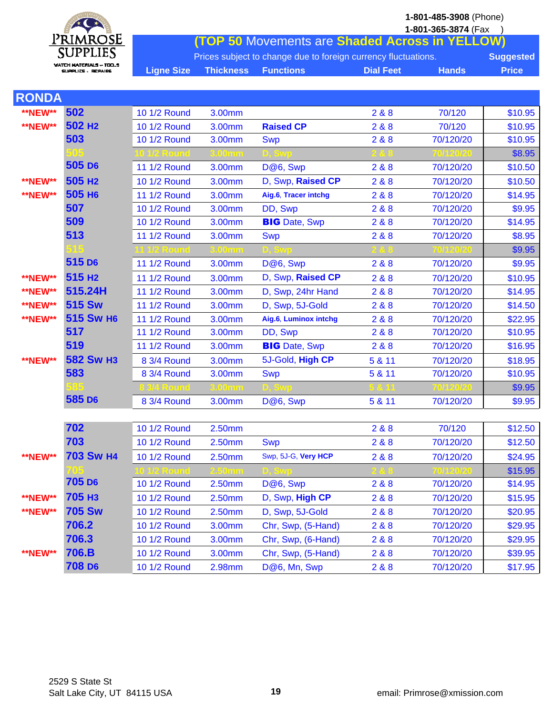$\mathbf{A}$ PRIMROSE<br>SUPPLIES WATCH MATERIALS ~ TOO...S<br>SUPPLICS - REPAIRS

**1-801-485-3908** (Phone)

|                   |                                                                                    |                  |                                                | 1-801-365-3874 (Fax |              |  |  |  |
|-------------------|------------------------------------------------------------------------------------|------------------|------------------------------------------------|---------------------|--------------|--|--|--|
|                   |                                                                                    |                  | (TOP 50 Movements are Shaded Across in YELLOW) |                     |              |  |  |  |
|                   | Prices subject to change due to foreign currency fluctuations.<br><b>Suggested</b> |                  |                                                |                     |              |  |  |  |
| <b>Ligne Size</b> | <b>Thickness</b>                                                                   | <b>Eunctions</b> | <b>Dial Feet</b>                               | <b>Hands</b>        | <b>Price</b> |  |  |  |

| <b>RONDA</b>   |                    |                     |        |                       |        |           |         |
|----------------|--------------------|---------------------|--------|-----------------------|--------|-----------|---------|
| <b>**NEW**</b> | 502                | 10 1/2 Round        | 3.00mm |                       | 2&8    | 70/120    | \$10.95 |
| <b>**NEW**</b> | 502 H <sub>2</sub> | 10 1/2 Round        | 3.00mm | <b>Raised CP</b>      | 2&8&8  | 70/120    | \$10.95 |
|                | 503                | 10 1/2 Round        | 3.00mm | <b>Swp</b>            | 2&8    | 70/120/20 | \$10.95 |
|                |                    |                     |        |                       |        |           | \$8.95  |
|                | 505 D6             | 11 1/2 Round        | 3.00mm | D@6, Swp              | 2 & 8  | 70/120/20 | \$10.50 |
| <b>**NEW**</b> | 505 H <sub>2</sub> | 10 1/2 Round        | 3.00mm | D, Swp, Raised CP     | 2&8    | 70/120/20 | \$10.50 |
| <b>**NEW**</b> | 505 H <sub>6</sub> | <b>11 1/2 Round</b> | 3.00mm | Aig.6, Tracer intchg  | 2&8&8  | 70/120/20 | \$14.95 |
|                | 507                | 10 1/2 Round        | 3.00mm | DD, Swp               | 2&8&8  | 70/120/20 | \$9.95  |
|                | 509                | 10 1/2 Round        | 3.00mm | <b>BIG</b> Date, Swp  | 2 & 8  | 70/120/20 | \$14.95 |
|                | 513                | <b>11 1/2 Round</b> | 3.00mm | <b>Swp</b>            | 2&8    | 70/120/20 | \$8.95  |
|                |                    |                     |        |                       |        |           | \$9.95  |
|                | 515 D <sub>6</sub> | <b>11 1/2 Round</b> | 3.00mm | D@6, Swp              | 2 & 8  | 70/120/20 | \$9.95  |
| **NEW**        | 515 H <sub>2</sub> | <b>11 1/2 Round</b> | 3.00mm | D, Swp, Raised CP     | 2&8&8  | 70/120/20 | \$10.95 |
| <b>**NEW**</b> | 515.24H            | <b>11 1/2 Round</b> | 3.00mm | D, Swp, 24hr Hand     | 2&8    | 70/120/20 | \$14.95 |
| <b>**NEW**</b> | <b>515 Sw</b>      | 11 1/2 Round        | 3.00mm | D, Swp, 5J-Gold       | 2&8&8  | 70/120/20 | \$14.50 |
| <b>**NEW**</b> | 515 Sw H6          | 11 1/2 Round        | 3.00mm | Aig.6, Luminox intchg | 2&8    | 70/120/20 | \$22.95 |
|                | 517                | 11 1/2 Round        | 3.00mm | DD, Swp               | 2&8&8  | 70/120/20 | \$10.95 |
|                | 519                | 11 1/2 Round        | 3.00mm | <b>BIG</b> Date, Swp  | 2&8    | 70/120/20 | \$16.95 |
| <b>**NEW**</b> | <b>582 Sw H3</b>   | 8 3/4 Round         | 3.00mm | 5J-Gold, High CP      | 5 & 11 | 70/120/20 | \$18.95 |
|                | 583                | 8 3/4 Round         | 3.00mm | <b>Swp</b>            | 5 & 11 | 70/120/20 | \$10.95 |
|                |                    |                     |        |                       |        |           | \$9.95  |
|                | 585 D <sub>6</sub> | 8 3/4 Round         | 3.00mm | D@6, Swp              | 5 & 11 | 70/120/20 | \$9.95  |
|                |                    |                     |        |                       |        |           |         |
|                | 702                | 10 1/2 Round        | 2.50mm |                       | 2&8&8  | 70/120    | \$12.50 |
|                | 703                | 10 1/2 Round        | 2.50mm | <b>Swp</b>            | 2&8    | 70/120/20 | \$12.50 |
| <b>**NEW**</b> | <b>703 Sw H4</b>   | 10 1/2 Round        | 2.50mm | Swp, 5J-G, Very HCP   | 2&8&8  | 70/120/20 | \$24.95 |
|                |                    |                     |        |                       |        |           | \$15.95 |
|                | 705 D <sub>6</sub> | 10 1/2 Round        | 2.50mm | D@6, Swp              | 2&8    | 70/120/20 | \$14.95 |
| <b>**NEW**</b> | 705 нз             | 10 1/2 Round        | 2.50mm | D, Swp, High CP       | 2 & 8  | 70/120/20 | \$15.95 |
| <b>**NEW**</b> | <b>705 Sw</b>      | 10 1/2 Round        | 2.50mm | D, Swp, 5J-Gold       | 2&8&8  | 70/120/20 | \$20.95 |
|                | 706.2              | 10 1/2 Round        | 3.00mm | Chr, Swp, (5-Hand)    | 2&8    | 70/120/20 | \$29.95 |
|                | 706.3              | 10 1/2 Round        | 3.00mm | Chr, Swp, (6-Hand)    | 2&8    | 70/120/20 | \$29.95 |
| **NEW**        | 706.B              | 10 1/2 Round        | 3.00mm | Chr, Swp, (5-Hand)    | 2&8    | 70/120/20 | \$39.95 |
|                | 708 D <sub>6</sub> | 10 1/2 Round        | 2.98mm | D@6, Mn, Swp          | 288    | 70/120/20 | \$17.95 |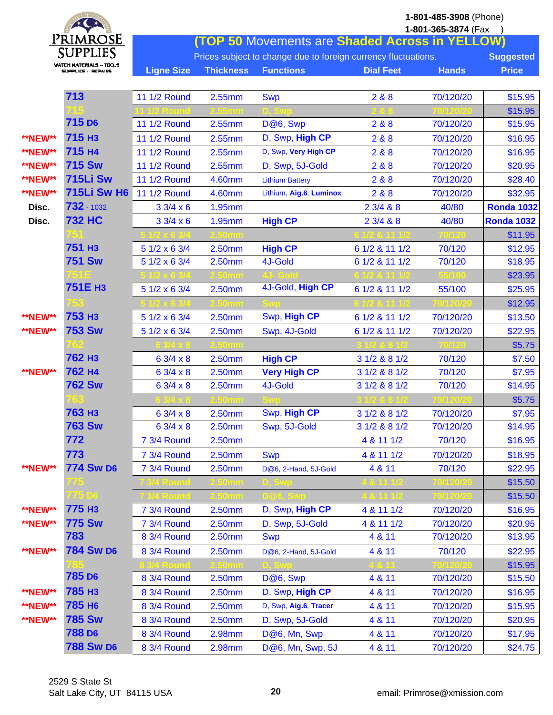|                | Primrose                                      | 1-801-485-3908 (Phone)<br>1-801-365-3874 (Fax<br><b>(TOP 50 Movements are Shaded Across in YELLOW)</b> |                  |                                                                |                  |              |                   |
|----------------|-----------------------------------------------|--------------------------------------------------------------------------------------------------------|------------------|----------------------------------------------------------------|------------------|--------------|-------------------|
|                | SUPPLIES                                      |                                                                                                        |                  | Prices subject to change due to foreign currency fluctuations. |                  |              | <b>Suggested</b>  |
|                | WATCH MATERIALS -- TOOS<br>EUPPLICE - REPAIRS | <b>Ligne Size</b>                                                                                      | <b>Thickness</b> | <b>Functions</b>                                               | <b>Dial Feet</b> | <b>Hands</b> | <b>Price</b>      |
|                |                                               |                                                                                                        |                  |                                                                |                  |              |                   |
|                | 713                                           | 11 1/2 Round                                                                                           | 2.55mm           | <b>Swp</b>                                                     | 2 & 8            | 70/120/20    | \$15.95           |
|                |                                               |                                                                                                        |                  |                                                                |                  |              | \$15.95           |
|                | 715 D <sub>6</sub>                            | 11 1/2 Round                                                                                           | 2.55mm           | D@6, Swp                                                       | 2 & 8            | 70/120/20    | \$15.95           |
| <b>**NEW**</b> | 715 H <sub>3</sub>                            | <b>11 1/2 Round</b>                                                                                    | 2.55mm           | D, Swp, High CP                                                | 288              | 70/120/20    | \$16.95           |
| **NEW**        | 715 H4                                        | 11 1/2 Round                                                                                           | 2.55mm           | D, Swp, Very High CP                                           | 288              | 70/120/20    | \$16.95           |
| **NEW**        | <b>715 Sw</b>                                 | <b>11 1/2 Round</b>                                                                                    | 2.55mm           | D, Swp, 5J-Gold                                                | 2 & 8            | 70/120/20    | \$20.95           |
| **NEW**        | <b>715Li Sw</b>                               | <b>11 1/2 Round</b>                                                                                    | 4.60mm           | <b>Lithium Battery</b>                                         | 288              | 70/120/20    | \$28.40           |
| <b>**NEW**</b> | <b>715Li Sw H6</b>                            | 11 1/2 Round                                                                                           | 4.60mm           | Lithium, Aig.6, Luminox                                        | 2 & 8            | 70/120/20    | \$32.95           |
| Disc.          | 732 - 1032                                    | $33/4 \times 6$                                                                                        | 1.95mm           |                                                                | 23/488           | 40/80        | <b>Ronda 1032</b> |
| Disc.          | <b>732 HC</b>                                 | 33/4 x6                                                                                                | 1.95mm           | <b>High CP</b>                                                 | 23/488           | 40/80        | <b>Ronda 1032</b> |
|                |                                               |                                                                                                        |                  |                                                                |                  |              | \$11.95           |
|                | 751 H <sub>3</sub>                            | 5 1/2 x 6 3/4                                                                                          | 2.50mm           | <b>High CP</b>                                                 | 6 1/2 & 11 1/2   | 70/120       | \$12.95           |
|                | <b>751 Sw</b>                                 | 5 1/2 x 6 3/4                                                                                          | 2.50mm           | 4J-Gold                                                        | 6 1/2 & 11 1/2   | 70/120       | \$18.95           |
|                |                                               |                                                                                                        |                  |                                                                |                  |              | \$23.95           |
|                | 751E H <sub>3</sub>                           | 5 1/2 x 6 3/4                                                                                          | 2.50mm           | 4J-Gold, High CP                                               | 6 1/2 & 11 1/2   | 55/100       | \$25.95           |
|                |                                               |                                                                                                        |                  |                                                                |                  |              | \$12.95           |
| **NEW**        | 753 H <sub>3</sub>                            | 5 1/2 x 6 3/4                                                                                          | 2.50mm           | Swp, High CP                                                   | 6 1/2 & 11 1/2   | 70/120/20    | \$13.50           |
| <b>**NEW**</b> | <b>753 Sw</b>                                 | 5 1/2 x 6 3/4                                                                                          | 2.50mm           | Swp, 4J-Gold                                                   | 6 1/2 & 11 1/2   | 70/120/20    | \$22.95           |
|                |                                               |                                                                                                        |                  |                                                                |                  |              | \$5.75            |
|                | <b>762 H3</b>                                 | $63/4 \times 8$                                                                                        | 2.50mm           | <b>High CP</b>                                                 | 3 1/2 & 8 1/2    | 70/120       | \$7.50            |
| <b>**NEW**</b> | 762 H4                                        | 6 3/4 x 8                                                                                              | 2.50mm           | <b>Very High CP</b>                                            | 3 1/2 & 8 1/2    | 70/120       | \$7.95            |
|                | <b>762 Sw</b>                                 | 6 3/4 x 8                                                                                              | 2.50mm           | 4J-Gold                                                        | 3 1/2 & 8 1/2    | 70/120       | \$14.95           |
|                |                                               |                                                                                                        |                  |                                                                |                  |              | \$5.75            |
|                | <b>763 H3</b>                                 | $63/4 \times 8$                                                                                        | 2.50mm           | Swp, High CP                                                   | 3 1/2 & 8 1/2    | 70/120/20    | \$7.95            |
|                | <b>763 Sw</b>                                 | $63/4 \times 8$                                                                                        | 2.50mm           | Swp, 5J-Gold                                                   | 3 1/2 & 8 1/2    | 70/120/20    | \$14.95           |
|                | 772                                           | 7 3/4 Round                                                                                            | 2.50mm           |                                                                | 4 & 11 1/2       | 70/120       | \$16.95           |
|                | 773                                           | 7 3/4 Round                                                                                            | 2.50mm           | <b>Swp</b>                                                     | 4 & 11 1/2       | 70/120/20    | \$18.95           |
| <b>**NEW**</b> | <b>774 Sw D6</b>                              | 7 3/4 Round                                                                                            | 2.50mm           | D@6, 2-Hand, 5J-Gold                                           | 4 & 11           | 70/120       | \$22.95           |
|                | 775                                           |                                                                                                        |                  |                                                                |                  |              | \$15.50           |
|                | 775 DS                                        |                                                                                                        | .50mm            |                                                                |                  |              | \$15.50           |
| <b>**NEW**</b> | 775 H <sub>3</sub>                            | 7 3/4 Round                                                                                            | 2.50mm           | D, Swp, High CP                                                | 4 & 11 1/2       | 70/120/20    | \$16.95           |
| <b>**NEW**</b> | <b>775 Sw</b>                                 | 7 3/4 Round                                                                                            | 2.50mm           | D, Swp, 5J-Gold                                                | 4 & 11 1/2       | 70/120/20    | \$20.95           |
|                | 783                                           | 8 3/4 Round                                                                                            | 2.50mm           | <b>Swp</b>                                                     | 4 & 11           | 70/120/20    | \$13.95           |
| <b>**NEW**</b> | <b>784 Sw D6</b>                              | 8 3/4 Round                                                                                            | 2.50mm           | D@6, 2-Hand, 5J-Gold                                           | 4 & 11           | 70/120       | \$22.95           |
|                | <b>785 D6</b>                                 |                                                                                                        |                  |                                                                |                  |              | \$15.95           |
|                |                                               | 8 3/4 Round                                                                                            | 2.50mm           | D@6, Swp                                                       | 4 & 11           | 70/120/20    | \$15.50           |
| <b>**NEW**</b> | 785 H <sub>3</sub>                            | 8 3/4 Round                                                                                            | 2.50mm           | D, Swp, High CP                                                | 4 & 11           | 70/120/20    | \$16.95           |
| **NEW**        | <b>785 H6</b>                                 | 8 3/4 Round                                                                                            | 2.50mm           | D, Swp, Aig.6, Tracer                                          | 4 & 11           | 70/120/20    | \$15.95           |
| <b>**NEW**</b> | <b>785 Sw</b>                                 | 8 3/4 Round                                                                                            | 2.50mm           | D, Swp, 5J-Gold                                                | 4 & 11           | 70/120/20    | \$20.95           |
|                | <b>788 D6</b>                                 | 8 3/4 Round                                                                                            | 2.98mm           | D@6, Mn, Swp                                                   | 4 & 11           | 70/120/20    | \$17.95           |
|                | <b>788 Sw D6</b>                              | 8 3/4 Round                                                                                            | 2.98mm           | D@6, Mn, Swp, 5J                                               | 4 & 11           | 70/120/20    | \$24.75           |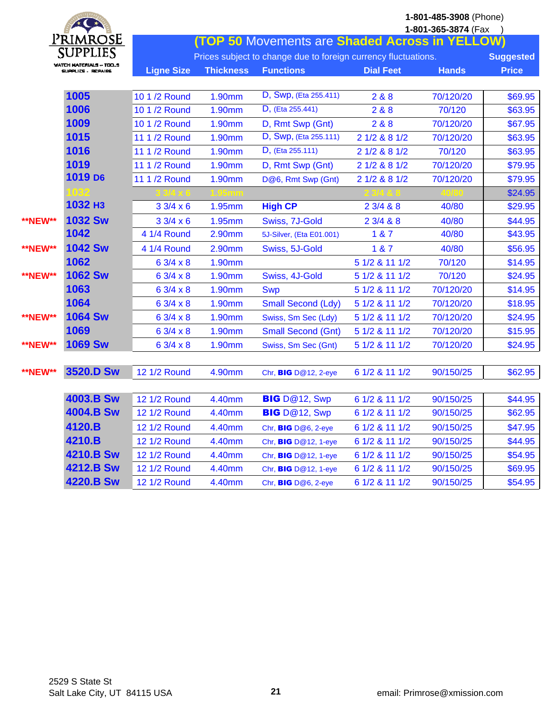|                | $\star$ $\star$                             | 1-801-485-3908 (Phone)<br>1-801-365-3874 (Fax |                  |                                                                |                  |              |                  |  |  |  |
|----------------|---------------------------------------------|-----------------------------------------------|------------------|----------------------------------------------------------------|------------------|--------------|------------------|--|--|--|
|                | Primrose                                    |                                               |                  | (TOP 50 Movements are Shaded Across in YELLOW)                 |                  |              |                  |  |  |  |
|                | SUPPLIES                                    |                                               |                  | Prices subject to change due to foreign currency fluctuations. |                  |              | <b>Suggested</b> |  |  |  |
|                | WATCH MATERIALS ~ TOO<br>SUPPLICS - REPAIRS | <b>Ligne Size</b>                             | <b>Thickness</b> | <b>Functions</b>                                               | <b>Dial Feet</b> | <b>Hands</b> | <b>Price</b>     |  |  |  |
|                |                                             |                                               |                  |                                                                |                  |              |                  |  |  |  |
|                | 1005                                        | 10 1 /2 Round                                 | 1.90mm           | D, Swp, (Eta 255.411)                                          | 2&8&8            | 70/120/20    | \$69.95          |  |  |  |
|                | 1006                                        | 10 1 /2 Round                                 | 1.90mm           | D, (Eta 255.441)                                               | 2&8&8            | 70/120       | \$63.95          |  |  |  |
|                | 1009                                        | 10 1 /2 Round                                 | 1.90mm           | D, Rmt Swp (Gnt)                                               | 2&8&8            | 70/120/20    | \$67.95          |  |  |  |
|                | 1015                                        | 11 1 /2 Round                                 | 1.90mm           | D, Swp, (Eta 255.111)                                          | 2 1/2 & 8 1/2    | 70/120/20    | \$63.95          |  |  |  |
|                | 1016                                        | 11 1 /2 Round                                 | 1.90mm           | D, (Eta 255.111)                                               | 2 1/2 & 8 1/2    | 70/120       | \$63.95          |  |  |  |
|                | 1019                                        | 11 1 /2 Round                                 | 1.90mm           | D, Rmt Swp (Gnt)                                               | 2 1/2 & 8 1/2    | 70/120/20    | \$79.95          |  |  |  |
|                | 1019 D <sub>6</sub>                         | 11 1 /2 Round                                 | 1.90mm           | D@6, Rmt Swp (Gnt)                                             | 2 1/2 & 8 1/2    | 70/120/20    | \$79.95          |  |  |  |
|                | 032                                         |                                               |                  |                                                                |                  |              | \$24.95          |  |  |  |
|                | 1032 НЗ                                     | 33/4 x6                                       | 1.95mm           | <b>High CP</b>                                                 | 23/488           | 40/80        | \$29.95          |  |  |  |
| <b>**NEW**</b> | <b>1032 Sw</b>                              | 33/4 x6                                       | 1.95mm           | Swiss, 7J-Gold                                                 | 23/488           | 40/80        | \$44.95          |  |  |  |
|                | 1042                                        | 4 1/4 Round                                   | 2.90mm           | 5J-Silver, (Eta E01.001)                                       | 1 & 87           | 40/80        | \$43.95          |  |  |  |
| <b>**NEW**</b> | <b>1042 Sw</b>                              | 4 1/4 Round                                   | 2.90mm           | Swiss, 5J-Gold                                                 | 1 & 7            | 40/80        | \$56.95          |  |  |  |
|                | 1062                                        | $63/4 \times 8$                               | 1.90mm           |                                                                | 5 1/2 & 11 1/2   | 70/120       | \$14.95          |  |  |  |
| <b>**NEW**</b> | <b>1062 Sw</b>                              | $63/4 \times 8$                               | 1.90mm           | Swiss, 4J-Gold                                                 | 5 1/2 & 11 1/2   | 70/120       | \$24.95          |  |  |  |
|                | 1063                                        | 6 3/4 x 8                                     | 1.90mm           | <b>Swp</b>                                                     | 5 1/2 & 11 1/2   | 70/120/20    | \$14.95          |  |  |  |
|                | 1064                                        | 6 3/4 x 8                                     | 1.90mm           | <b>Small Second (Ldy)</b>                                      | 5 1/2 & 11 1/2   | 70/120/20    | \$18.95          |  |  |  |
| <b>**NEW**</b> | <b>1064 Sw</b>                              | $63/4 \times 8$                               | 1.90mm           | Swiss, Sm Sec (Ldy)                                            | 5 1/2 & 11 1/2   | 70/120/20    | \$24.95          |  |  |  |
|                | 1069                                        | 63/4 x8                                       | 1.90mm           | <b>Small Second (Gnt)</b>                                      | 5 1/2 & 11 1/2   | 70/120/20    | \$15.95          |  |  |  |
| <b>**NEW**</b> | <b>1069 Sw</b>                              | $63/4 \times 8$                               | 1.90mm           | Swiss, Sm Sec (Gnt)                                            | 5 1/2 & 11 1/2   | 70/120/20    | \$24.95          |  |  |  |
|                |                                             |                                               |                  |                                                                |                  |              |                  |  |  |  |
| <b>**NEW**</b> | 3520.D Sw                                   | <b>12 1/2 Round</b>                           | 4.90mm           | Chr, <b>BIG</b> D@12, 2-eye                                    | 6 1/2 & 11 1/2   | 90/150/25    | \$62.95          |  |  |  |
|                |                                             |                                               |                  |                                                                |                  |              |                  |  |  |  |
|                | <b>4003.B Sw</b>                            | <b>12 1/2 Round</b>                           | 4.40mm           | BIG D@12, Swp                                                  | 6 1/2 & 11 1/2   | 90/150/25    | \$44.95          |  |  |  |
|                | <b>4004.B Sw</b>                            | <b>12 1/2 Round</b>                           | 4.40mm           | <b>BIG</b> D@12, Swp                                           | 6 1/2 & 11 1/2   | 90/150/25    | \$62.95          |  |  |  |
|                | 4120.B                                      | 12 1/2 Round                                  | 4.40mm           | Chr, BIG D@6, 2-eye                                            | 6 1/2 & 11 1/2   | 90/150/25    | \$47.95          |  |  |  |
|                | 4210.B                                      | <b>12 1/2 Round</b>                           | 4.40mm           | Chr, <b>BIG</b> D@12, 1-eye                                    | 6 1/2 & 11 1/2   | 90/150/25    | \$44.95          |  |  |  |
|                | 4210.B Sw                                   | 12 1/2 Round                                  | 4.40mm           | Chr, <b>BIG</b> D@12, 1-eye                                    | 6 1/2 & 11 1/2   | 90/150/25    | \$54.95          |  |  |  |
|                | 4212.B Sw                                   | 12 1/2 Round                                  | 4.40mm           | Chr, <b>BIG</b> D@12, 1-eye                                    | 6 1/2 & 11 1/2   | 90/150/25    | \$69.95          |  |  |  |
|                | 4220.B Sw                                   | 12 1/2 Round                                  | 4.40mm           | Chr, BIG D@6, 2-eye                                            | 6 1/2 & 11 1/2   | 90/150/25    | \$54.95          |  |  |  |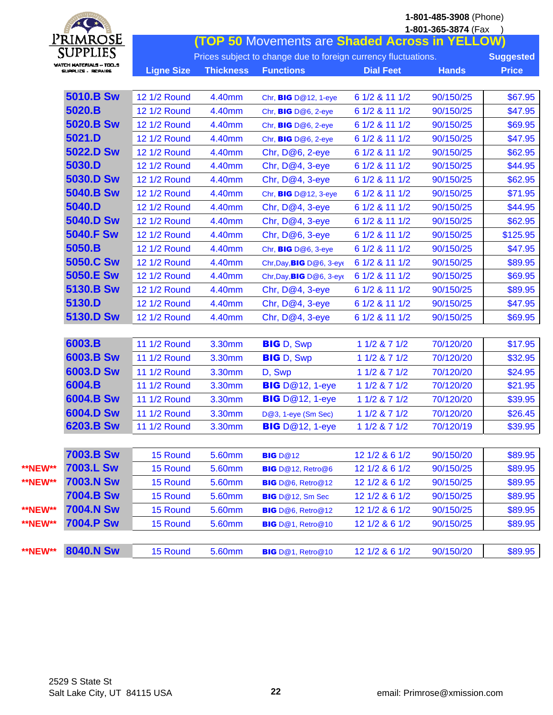|                | $4$ (<br>$\star$                               |                     |                  |                                                                |                  | 1-801-485-3908 (Phone)<br>1-801-365-3874 (Fax |                  |
|----------------|------------------------------------------------|---------------------|------------------|----------------------------------------------------------------|------------------|-----------------------------------------------|------------------|
|                | Primrose                                       |                     |                  | (TOP 50 Movements are Shaded Across in YELLOW)                 |                  |                                               |                  |
|                | SUPPLIES                                       |                     |                  | Prices subject to change due to foreign currency fluctuations. |                  |                                               | <b>Suggested</b> |
|                | WATCH MATERIALS -- TOO_S<br>EUPPLICE - REPAIRS | <b>Ligne Size</b>   | <b>Thickness</b> | <b>Functions</b>                                               | <b>Dial Feet</b> | <b>Hands</b>                                  | <b>Price</b>     |
|                |                                                |                     |                  |                                                                |                  |                                               |                  |
|                | <b>5010.B Sw</b>                               | <b>12 1/2 Round</b> | 4.40mm           | Chr, <b>BIG</b> D@12, 1-eye                                    | 6 1/2 & 11 1/2   | 90/150/25                                     | \$67.95          |
|                | 5020.B                                         | 12 1/2 Round        | 4.40mm           | Chr, BIG D@6, 2-eye                                            | 6 1/2 & 11 1/2   | 90/150/25                                     | \$47.95          |
|                | 5020.B Sw                                      | <b>12 1/2 Round</b> | 4.40mm           | Chr, BIG D@6, 2-eye                                            | 6 1/2 & 11 1/2   | 90/150/25                                     | \$69.95          |
|                | 5021.D                                         | <b>12 1/2 Round</b> | 4.40mm           | Chr, BIG D@6, 2-eye                                            | 6 1/2 & 11 1/2   | 90/150/25                                     | \$47.95          |
|                | 5022.D Sw                                      | <b>12 1/2 Round</b> | 4.40mm           | Chr, D@6, 2-eye                                                | 6 1/2 & 11 1/2   | 90/150/25                                     | \$62.95          |
|                | 5030.D                                         | <b>12 1/2 Round</b> | 4.40mm           | Chr, $D@4$ , $3$ -eye                                          | 6 1/2 & 11 1/2   | 90/150/25                                     | \$44.95          |
|                | <b>5030.D Sw</b>                               | 12 1/2 Round        | 4.40mm           | Chr, $D@4$ , $3$ -eye                                          | 6 1/2 & 11 1/2   | 90/150/25                                     | \$62.95          |
|                | 5040.B Sw                                      | <b>12 1/2 Round</b> | 4.40mm           | Chr, <b>BIG</b> D@12, 3-eye                                    | 6 1/2 & 11 1/2   | 90/150/25                                     | \$71.95          |
|                | 5040.D                                         | <b>12 1/2 Round</b> | 4.40mm           | Chr, D@4, 3-eye                                                | 6 1/2 & 11 1/2   | 90/150/25                                     | \$44.95          |
|                | 5040.D Sw                                      | <b>12 1/2 Round</b> | 4.40mm           | Chr, D@4, 3-eye                                                | 6 1/2 & 11 1/2   | 90/150/25                                     | \$62.95          |
|                | <b>5040.F Sw</b>                               | <b>12 1/2 Round</b> | 4.40mm           | Chr, D@6, 3-eye                                                | 6 1/2 & 11 1/2   | 90/150/25                                     | \$125.95         |
|                | 5050.B                                         | <b>12 1/2 Round</b> | 4.40mm           | Chr, BIG D@6, 3-eye                                            | 6 1/2 & 11 1/2   | 90/150/25                                     | \$47.95          |
|                | 5050.C Sw                                      | <b>12 1/2 Round</b> | 4.40mm           | Chr, Day, BIG D@6, 3-eye                                       | 6 1/2 & 11 1/2   | 90/150/25                                     | \$89.95          |
|                | 5050.E Sw                                      | 12 1/2 Round        | 4.40mm           | Chr, Day, BIG D@6, 3-eye                                       | 6 1/2 & 11 1/2   | 90/150/25                                     | \$69.95          |
|                | 5130.B Sw                                      | <b>12 1/2 Round</b> | 4.40mm           | Chr, $D@4$ , $3$ -eye                                          | 6 1/2 & 11 1/2   | 90/150/25                                     | \$89.95          |
|                | 5130.D                                         | <b>12 1/2 Round</b> | 4.40mm           | Chr, D@4, 3-eye                                                | 6 1/2 & 11 1/2   | 90/150/25                                     | \$47.95          |
|                | 5130.D Sw                                      | <b>12 1/2 Round</b> | 4.40mm           | Chr, D@4, 3-eye                                                | 6 1/2 & 11 1/2   | 90/150/25                                     | \$69.95          |
|                |                                                |                     |                  |                                                                |                  |                                               |                  |
|                | 6003.B                                         | <b>11 1/2 Round</b> | 3.30mm           | <b>BIG</b> D, Swp                                              | 1 1/2 & 7 1/2    | 70/120/20                                     | \$17.95          |
|                | 6003.B Sw                                      | 11 1/2 Round        | 3.30mm           | <b>BIG</b> D, Swp                                              | 1 1/2 & 7 1/2    | 70/120/20                                     | \$32.95          |
|                | 6003.D Sw                                      | 11 1/2 Round        | 3.30mm           | D, Swp                                                         | 1 1/2 & 7 1/2    | 70/120/20                                     | \$24.95          |
|                | 6004.B                                         | 11 1/2 Round        | 3.30mm           | <b>BIG</b> D@12, 1-eye                                         | 1 1/2 & 7 1/2    | 70/120/20                                     | \$21.95          |
|                | 6004.B Sw                                      | <b>11 1/2 Round</b> | 3.30mm           | <b>BIG</b> D@12, 1-eye                                         | 1 1/2 & 7 1/2    | 70/120/20                                     | \$39.95          |
|                | 6004.D Sw                                      | <b>11 1/2 Round</b> | 3.30mm           | D@3, 1-eye (Sm Sec)                                            | 1 1/2 & 7 1/2    | 70/120/20                                     | \$26.45          |
|                | 6203.B Sw                                      | <b>11 1/2 Round</b> | 3.30mm           | <b>BIG</b> D@12, 1-eye                                         | $11/2$ & $71/2$  | 70/120/19                                     | \$39.95          |
|                |                                                |                     |                  |                                                                |                  |                                               |                  |
|                | <b>7003.B Sw</b>                               | 15 Round            | 5.60mm           | <b>BIG</b> D@12                                                | 12 1/2 & 6 1/2   | 90/150/20                                     | \$89.95          |
| <b>**NEW**</b> | <b>7003.L Sw</b>                               | 15 Round            | 5.60mm           | BIG D@12, Retro@6                                              | 12 1/2 & 6 1/2   | 90/150/25                                     | \$89.95          |
| <b>**NEW**</b> | <b>7003.N Sw</b>                               | 15 Round            | 5.60mm           | <b>BIG</b> D@6, Retro@12                                       | 12 1/2 & 6 1/2   | 90/150/25                                     | \$89.95          |
|                | 7004.B Sw                                      | 15 Round            | 5.60mm           | BIG D@12, Sm Sec                                               | 12 1/2 & 6 1/2   | 90/150/25                                     | \$89.95          |
| **NEW**        | <b>7004.N Sw</b>                               | 15 Round            | 5.60mm           | <b>BIG</b> D@6, Retro@12                                       | 12 1/2 & 6 1/2   | 90/150/25                                     | \$89.95          |
| <b>**NEW**</b> | <b>7004.P Sw</b>                               | 15 Round            | 5.60mm           | BIG D@1, Retro@10                                              | 12 1/2 & 6 1/2   | 90/150/25                                     | \$89.95          |
|                |                                                |                     |                  |                                                                |                  |                                               |                  |
| **NEW**        | <b>8040.N Sw</b>                               | 15 Round            | 5.60mm           | BIG D@1, Retro@10                                              | 12 1/2 & 6 1/2   | 90/150/20                                     | \$89.95          |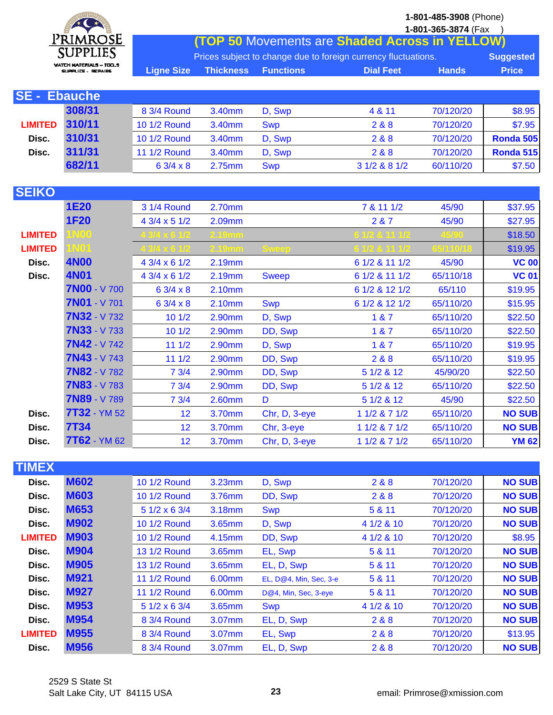

**1-801-365-3874** (Fax ) **(TOP 50** Movements are **Shaded Across in YELLOW)**

|     | Prices subject to change due to foreign currency fluctuations. |  |                  |              |              |  |  |
|-----|----------------------------------------------------------------|--|------------------|--------------|--------------|--|--|
| J.S | <b>Ligne Size Thickness Functions</b>                          |  | <b>Dial Feet</b> | <b>Hands</b> | <b>Price</b> |  |  |
|     |                                                                |  |                  |              |              |  |  |
|     |                                                                |  |                  |              |              |  |  |

| <b>SE - Ebauche</b> |        |                 |        |            |               |           |           |
|---------------------|--------|-----------------|--------|------------|---------------|-----------|-----------|
|                     | 308/31 | 8 3/4 Round     | 3.40mm | D, Swp     | 4 & 11        | 70/120/20 | \$8.95    |
| <b>LIMITED</b>      | 310/11 | 10 1/2 Round    | 3.40mm | <b>Swp</b> | 2 & 8         | 70/120/20 | \$7.95    |
| Disc.               | 310/31 | 10 1/2 Round    | 3.40mm | D, Swp     | 2 & 8         | 70/120/20 | Ronda 505 |
| Disc.               | 311/31 | 11 1/2 Round    | 3.40mm | D. Swp     | 2 & 8         | 70/120/20 | Ronda 515 |
|                     | 682/11 | $63/4 \times 8$ | 2.75mm | <b>Swp</b> | 3 1/2 & 8 1/2 | 60/110/20 | \$7.50    |

| <b>SEIKO</b>   |                     |                    |        |               |                |           |               |
|----------------|---------------------|--------------------|--------|---------------|----------------|-----------|---------------|
|                | <b>1E20</b>         | 3 1/4 Round        | 2.70mm |               | 7 & 11 1/2     | 45/90     | \$37.95       |
|                | <b>1F20</b>         | 4 3/4 x 5 1/2      | 2.09mm |               | 2 & 7          | 45/90     | \$27.95       |
| <b>LIMITED</b> | N <sub>00</sub>     |                    |        |               |                |           | \$18.50       |
| <b>LIMITED</b> | INO1.               |                    |        |               |                |           | \$19.95       |
| Disc.          | <b>4N00</b>         | $43/4 \times 61/2$ | 2.19mm |               | 6 1/2 & 11 1/2 | 45/90     | <b>VC 00</b>  |
| Disc.          | <b>4N01</b>         | $43/4 \times 61/2$ | 2.19mm | <b>Sweep</b>  | 6 1/2 & 11 1/2 | 65/110/18 | <b>VC 01</b>  |
|                | <b>7N00 - V 700</b> | $63/4 \times 8$    | 2.10mm |               | 6 1/2 & 12 1/2 | 65/110    | \$19.95       |
|                | <b>7N01 - V701</b>  | $63/4 \times 8$    | 2.10mm | <b>Swp</b>    | 6 1/2 & 12 1/2 | 65/110/20 | \$15.95       |
|                | <b>7N32 - V 732</b> | 101/2              | 2.90mm | D, Swp        | 1 & 7          | 65/110/20 | \$22.50       |
|                | $7N33 - V733$       | 101/2              | 2.90mm | DD, Swp       | 1 & 7          | 65/110/20 | \$22.50       |
|                | $7N42 - V742$       | 111/2              | 2.90mm | D, Swp        | 187            | 65/110/20 | \$19.95       |
|                | <b>7N43</b> - V 743 | 111/2              | 2.90mm | DD, Swp       | 2 & 8          | 65/110/20 | \$19.95       |
|                | $7N82 - V782$       | 73/4               | 2.90mm | DD, Swp       | 5 1/2 & 12     | 45/90/20  | \$22.50       |
|                | <b>7N83 - V 783</b> | 73/4               | 2.90mm | DD, Swp       | 5 1/2 & 12     | 65/110/20 | \$22.50       |
|                | <b>7N89 - V789</b>  | 73/4               | 2.60mm | D             | 5 1/2 & 12     | 45/90     | \$22.50       |
| Disc.          | <b>7T32</b> - YM 52 | 12 <sub>2</sub>    | 3.70mm | Chr, D, 3-eye | 11/2871/2      | 65/110/20 | <b>NO SUB</b> |
| Disc.          | <b>7T34</b>         | 12 <sub>2</sub>    | 3.70mm | Chr, 3-eye    | 11/2871/2      | 65/110/20 | <b>NO SUB</b> |
| Disc.          | 7T62 - YM 62        | 12                 | 3.70mm | Chr, D, 3-eye | 1 1/2 & 7 1/2  | 65/110/20 | <b>YM 62</b>  |

| <b>TIMEX</b>   |             |                    |        |                        |            |           |               |
|----------------|-------------|--------------------|--------|------------------------|------------|-----------|---------------|
| Disc.          | <b>M602</b> | 10 1/2 Round       | 3.23mm | D, Swp                 | 2 & 8      | 70/120/20 | <b>NO SUB</b> |
| Disc.          | <b>M603</b> | 10 1/2 Round       | 3.76mm | DD, Swp                | 2 & 8      | 70/120/20 | <b>NO SUB</b> |
| Disc.          | <b>M653</b> | $51/2 \times 63/4$ | 3.18mm | <b>Swp</b>             | 5 & 11     | 70/120/20 | <b>NO SUB</b> |
| Disc.          | <b>M902</b> | 10 1/2 Round       | 3.65mm | D, Swp                 | 4 1/2 & 10 | 70/120/20 | <b>NO SUB</b> |
| <b>LIMITED</b> | <b>M903</b> | 10 1/2 Round       | 4.15mm | DD, Swp                | 4 1/2 & 10 | 70/120/20 | \$8.95        |
| Disc.          | <b>M904</b> | 13 1/2 Round       | 3.65mm | EL, Swp                | 5 & 11     | 70/120/20 | <b>NO SUB</b> |
| Disc.          | <b>M905</b> | 13 1/2 Round       | 3.65mm | EL, D, Swp             | 5 & 11     | 70/120/20 | <b>NO SUB</b> |
| Disc.          | <b>M921</b> | 11 1/2 Round       | 6.00mm | EL, D@4, Min, Sec, 3-e | 5 & 11     | 70/120/20 | <b>NO SUB</b> |
| Disc.          | <b>M927</b> | 11 1/2 Round       | 6.00mm | D@4, Min, Sec, 3-eye   | 5 & 11     | 70/120/20 | <b>NO SUB</b> |
| Disc.          | <b>M953</b> | $51/2 \times 63/4$ | 3.65mm | <b>Swp</b>             | 4 1/2 & 10 | 70/120/20 | <b>NO SUB</b> |
| Disc.          | <b>M954</b> | 8 3/4 Round        | 3.07mm | EL, D, Swp             | 2 & 8      | 70/120/20 | <b>NO SUB</b> |
| <b>LIMITED</b> | <b>M955</b> | 8 3/4 Round        | 3.07mm | EL, Swp                | 2 & 8      | 70/120/20 | \$13.95       |
| Disc.          | <b>M956</b> | 8 3/4 Round        | 3.07mm | EL, D, Swp             | 2 & 8      | 70/120/20 | <b>NO SUB</b> |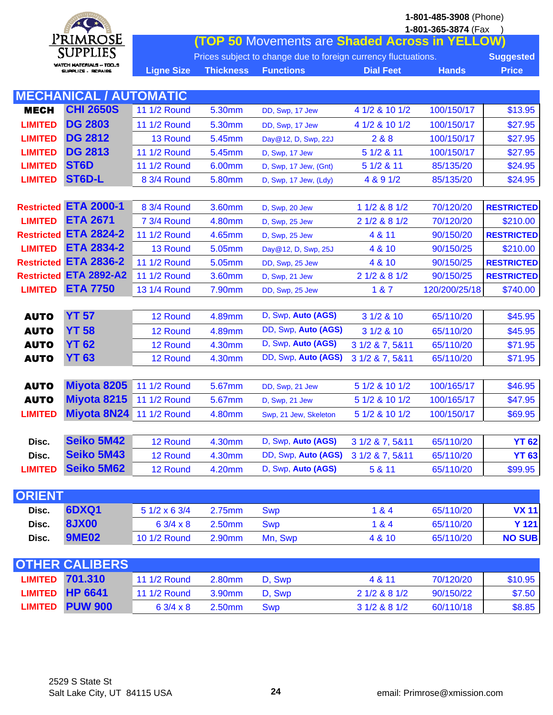| $*$ $*$        |                                                |                                                                |                                                       |                       |                  | 1-801-485-3908 (Phone)<br>1-801-365-3874 (Fax |                   |  |  |  |
|----------------|------------------------------------------------|----------------------------------------------------------------|-------------------------------------------------------|-----------------------|------------------|-----------------------------------------------|-------------------|--|--|--|
|                | Primrose                                       |                                                                | <b>(TOP 50 Movements are Shaded Across in YELLOW)</b> |                       |                  |                                               |                   |  |  |  |
|                | SUPPLIES                                       | Prices subject to change due to foreign currency fluctuations. |                                                       |                       |                  |                                               |                   |  |  |  |
|                | WATCH MATERIALS - TOO<br>и кари 179 - БЕГОЛИВО | <b>Ligne Size</b>                                              | <b>Thickness</b>                                      | <b>Functions</b>      | <b>Dial Feet</b> | <b>Hands</b>                                  | <b>Price</b>      |  |  |  |
|                |                                                |                                                                |                                                       |                       |                  |                                               |                   |  |  |  |
|                | <b>MECHANICAL / AUTOMATIC</b>                  |                                                                |                                                       |                       |                  |                                               |                   |  |  |  |
| <b>MECH</b>    | <b>CHI 2650S</b>                               | 11 1/2 Round                                                   | 5.30mm                                                | DD, Swp, 17 Jew       | 4 1/2 & 10 1/2   | 100/150/17                                    | \$13.95           |  |  |  |
| <b>LIMITED</b> | <b>DG 2803</b>                                 | 11 1/2 Round                                                   | 5.30mm                                                | DD, Swp, 17 Jew       | 4 1/2 & 10 1/2   | 100/150/17                                    | \$27.95           |  |  |  |
| <b>LIMITED</b> | <b>DG 2812</b>                                 | 13 Round                                                       | 5.45mm                                                | Day@12, D, Swp, 22J   | 2&8&8            | 100/150/17                                    | \$27.95           |  |  |  |
| <b>LIMITED</b> | <b>DG 2813</b>                                 | <b>11 1/2 Round</b>                                            | 5.45mm                                                | D, Swp, 17 Jew        | 5 1/2 & 11       | 100/150/17                                    | \$27.95           |  |  |  |
| <b>LIMITED</b> | ST <sub>6</sub> D                              | 11 1/2 Round                                                   | 6.00mm                                                | D, Swp, 17 Jew, (Gnt) | 5 1/2 & 11       | 85/135/20                                     | \$24.95           |  |  |  |
| <b>LIMITED</b> | ST6D-L                                         | 8 3/4 Round                                                    | 5.80mm                                                | D, Swp, 17 Jew, (Ldy) | 4 & 9 1/2        | 85/135/20                                     | \$24.95           |  |  |  |
|                |                                                |                                                                |                                                       |                       |                  |                                               |                   |  |  |  |
|                | <b>Restricted ETA 2000-1</b>                   | 8 3/4 Round                                                    | 3.60mm                                                | D, Swp, 20 Jew        | 1 1/2 & 8 1/2    | 70/120/20                                     | <b>RESTRICTED</b> |  |  |  |
| <b>LIMITED</b> | <b>ETA 2671</b>                                | 7 3/4 Round                                                    | 4.80mm                                                | D, Swp, 25 Jew        | 2 1/2 & 8 1/2    | 70/120/20                                     | \$210.00          |  |  |  |
|                | <b>Restricted ETA 2824-2</b>                   | 11 1/2 Round                                                   | 4.65mm                                                | D, Swp, 25 Jew        | 4 & 11           | 90/150/20                                     | <b>RESTRICTED</b> |  |  |  |
| <b>LIMITED</b> | <b>ETA 2834-2</b>                              | 13 Round                                                       | 5.05mm                                                | Day@12, D, Swp, 25J   | 4 & 10           | 90/150/25                                     | \$210.00          |  |  |  |
|                | <b>Restricted ETA 2836-2</b>                   | 11 1/2 Round                                                   | 5.05mm                                                | DD, Swp, 25 Jew       | 4 & 10           | 90/150/25                                     | <b>RESTRICTED</b> |  |  |  |
|                | <b>Restricted ETA 2892-A2</b>                  | 11 1/2 Round                                                   | 3.60mm                                                | D, Swp, 21 Jew        | 2 1/2 & 8 1/2    | 90/150/25                                     | <b>RESTRICTED</b> |  |  |  |
| <b>LIMITED</b> | <b>ETA 7750</b>                                | 13 1/4 Round                                                   | 7.90mm                                                | DD, Swp, 25 Jew       | 1 & 7            | 120/200/25/18                                 | \$740.00          |  |  |  |
|                |                                                |                                                                |                                                       |                       |                  |                                               |                   |  |  |  |
| <b>AUTO</b>    | <b>YT 57</b>                                   | 12 Round                                                       | 4.89mm                                                | D, Swp, Auto (AGS)    | 3 1/2 & 10       | 65/110/20                                     | \$45.95           |  |  |  |
| <b>AUTO</b>    | <b>YT 58</b>                                   | 12 Round                                                       | 4.89mm                                                | DD, Swp, Auto (AGS)   | 3 1/2 & 10       | 65/110/20                                     | \$45.95           |  |  |  |
| <b>AUTO</b>    | <b>YT 62</b>                                   | 12 Round                                                       | 4.30mm                                                | D, Swp, Auto (AGS)    | 3 1/2 & 7, 5&11  | 65/110/20                                     | \$71.95           |  |  |  |
| <b>AUTO</b>    | <b>YT 63</b>                                   | 12 Round                                                       | 4.30mm                                                | DD, Swp, Auto (AGS)   | 3 1/2 & 7, 5&11  | 65/110/20                                     | \$71.95           |  |  |  |
|                |                                                |                                                                |                                                       |                       |                  |                                               |                   |  |  |  |
| <b>AUTO</b>    | Miyota 8205                                    | 11 1/2 Round                                                   | 5.67mm                                                | DD, Swp, 21 Jew       | 5 1/2 & 10 1/2   | 100/165/17                                    | \$46.95           |  |  |  |
| <b>AUTO</b>    | Miyota 8215                                    | 11 1/2 Round                                                   | 5.67mm                                                | D, Swp, 21 Jew        | 5 1/2 & 10 1/2   | 100/165/17                                    | \$47.95           |  |  |  |
| <b>LIMITED</b> | <b>Miyota 8N24</b>                             | 11 1/2 Round                                                   | 4.80mm                                                | Swp, 21 Jew, Skeleton | 5 1/2 & 10 1/2   | 100/150/17                                    | \$69.95           |  |  |  |
|                |                                                |                                                                |                                                       |                       |                  |                                               |                   |  |  |  |
| Disc.          | <b>Seiko 5M42</b>                              | 12 Round                                                       | 4.30mm                                                | D, Swp, Auto (AGS)    | 3 1/2 & 7, 5&11  | 65/110/20                                     | <b>YT 62</b>      |  |  |  |
| Disc.          | <b>Seiko 5M43</b>                              | 12 Round                                                       | 4.30mm                                                | DD, Swp, Auto (AGS)   | 3 1/2 & 7, 5&11  | 65/110/20                                     | <b>YT 63</b>      |  |  |  |
| <b>LIMITED</b> | <b>Seiko 5M62</b>                              | 12 Round                                                       | 4.20mm                                                | D, Swp, Auto (AGS)    | 5 & 11           | 65/110/20                                     | \$99.95           |  |  |  |
|                |                                                |                                                                |                                                       |                       |                  |                                               |                   |  |  |  |

| <b>ORIENT</b> |              |                    |        |            |        |           |               |  |  |
|---------------|--------------|--------------------|--------|------------|--------|-----------|---------------|--|--|
| Disc.         | <b>6DXQ1</b> | $51/2 \times 63/4$ | 2.75mm | <b>Swp</b> | 1&4    | 65/110/20 | <b>VX 11</b>  |  |  |
| Disc.         | <b>8JX00</b> | 6 3/4 x 8          | 2.50mm | <b>Swp</b> | 1 & 4  | 65/110/20 | <b>Y 121</b>  |  |  |
| Disc.         | <b>9ME02</b> | 10 1/2 Round       | 2.90mm | Mn. Swp    | 4 & 10 | 65/110/20 | <b>NO SUB</b> |  |  |

| <b>OTHER CALIBERS</b> |                        |                     |        |            |           |           |         |  |  |
|-----------------------|------------------------|---------------------|--------|------------|-----------|-----------|---------|--|--|
|                       | <b>LIMITED 701.310</b> | <b>11 1/2 Round</b> | 2.80mm | D. Swp     | 4 & 11    | 70/120/20 | \$10.95 |  |  |
|                       | LIMITED HP 6641        | <b>11 1/2 Round</b> | 3.90mm | D. Swp     | 21/2881/2 | 90/150/22 | \$7.50  |  |  |
|                       | <b>LIMITED PUW 900</b> | $63/4 \times 8$     | 2.50mm | <b>Swp</b> | 31/2881/2 | 60/110/18 | \$8.85  |  |  |

 $\mathsf{l}$ 

 $\perp$ 

 $\perp$ 

 $\mathbf{l}$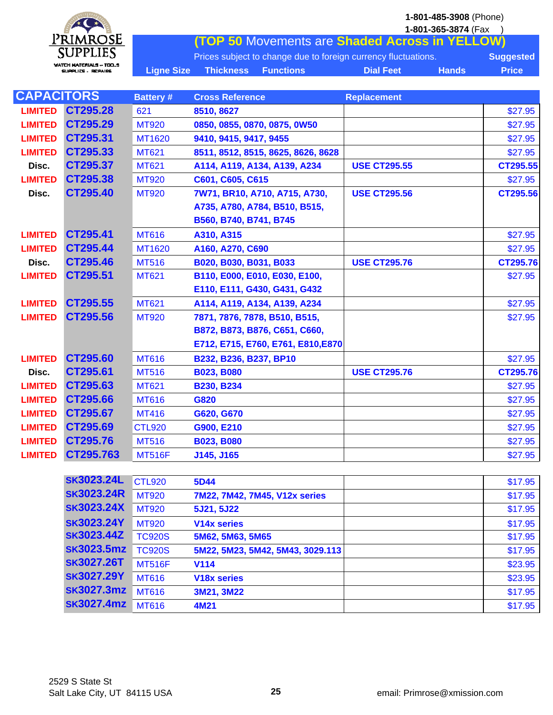

**1-801-365-3874** (Fax ) **(TOP 50** Movements are **Shaded Across in YELLOW)** Prices subject to change due to foreign currency fluctuations. **Suggested** Ligne Size Thickness Functions **Dial Feet** Hands Price

| <b>CAPACITORS</b> |           | <b>Battery#</b> | <b>Cross Reference</b>             | <b>Replacement</b>  |          |
|-------------------|-----------|-----------------|------------------------------------|---------------------|----------|
| <b>LIMITED</b>    | CT295.28  | 621             | 8510, 8627                         |                     | \$27.95  |
| <b>LIMITED</b>    | CT295.29  | <b>MT920</b>    | 0850, 0855, 0870, 0875, 0W50       |                     | \$27.95  |
| <b>LIMITED</b>    | CT295.31  | MT1620          | 9410, 9415, 9417, 9455             |                     | \$27.95  |
| <b>LIMITED</b>    | CT295.33  | <b>MT621</b>    | 8511, 8512, 8515, 8625, 8626, 8628 |                     | \$27.95  |
| Disc.             | CT295.37  | <b>MT621</b>    | A114, A119, A134, A139, A234       | <b>USE CT295.55</b> | CT295.55 |
| <b>LIMITED</b>    | CT295.38  | <b>MT920</b>    | C601, C605, C615                   |                     | \$27.95  |
| Disc.             | CT295.40  | <b>MT920</b>    | 7W71, BR10, A710, A715, A730,      | <b>USE CT295.56</b> | CT295.56 |
|                   |           |                 | A735, A780, A784, B510, B515,      |                     |          |
|                   |           |                 | B560, B740, B741, B745             |                     |          |
| <b>LIMITED</b>    | CT295.41  | <b>MT616</b>    | A310, A315                         |                     | \$27.95  |
| <b>LIMITED</b>    | CT295.44  | MT1620          | A160, A270, C690                   |                     | \$27.95  |
| Disc.             | CT295.46  | <b>MT516</b>    | B020, B030, B031, B033             | <b>USE CT295.76</b> | CT295.76 |
| <b>LIMITED</b>    | CT295.51  | <b>MT621</b>    | B110, E000, E010, E030, E100,      |                     | \$27.95  |
|                   |           |                 | E110, E111, G430, G431, G432       |                     |          |
| <b>LIMITED</b>    | CT295.55  | <b>MT621</b>    | A114, A119, A134, A139, A234       |                     | \$27.95  |
| <b>LIMITED</b>    | CT295.56  | <b>MT920</b>    | 7871, 7876, 7878, B510, B515,      |                     | \$27.95  |
|                   |           |                 | B872, B873, B876, C651, C660,      |                     |          |
|                   |           |                 | E712, E715, E760, E761, E810, E870 |                     |          |
| <b>LIMITED</b>    | CT295.60  | <b>MT616</b>    | B232, B236, B237, BP10             |                     | \$27.95  |
| Disc.             | CT295.61  | <b>MT516</b>    | <b>B023, B080</b>                  | <b>USE CT295.76</b> | CT295.76 |
| <b>LIMITED</b>    | CT295.63  | <b>MT621</b>    | <b>B230, B234</b>                  |                     | \$27.95  |
| <b>LIMITED</b>    | CT295.66  | <b>MT616</b>    | G820                               |                     | \$27.95  |
| <b>LIMITED</b>    | CT295.67  | <b>MT416</b>    | G620, G670                         |                     | \$27.95  |
| <b>LIMITED</b>    | CT295.69  | <b>CTL920</b>   | G900, E210                         |                     | \$27.95  |
| <b>LIMITED</b>    | CT295.76  | <b>MT516</b>    | <b>B023, B080</b>                  |                     | \$27.95  |
| <b>LIMITED</b>    | CT295.763 | <b>MT516F</b>   | J145, J165                         |                     | \$27.95  |

|                   | <b>CTL920</b>     | 5D44                          | \$17.95                          |
|-------------------|-------------------|-------------------------------|----------------------------------|
| <b>SK3023.24R</b> | <b>MT920</b>      | 7M22, 7M42, 7M45, V12x series | \$17.95                          |
| <b>SK3023.24X</b> | <b>MT920</b>      | 5J21, 5J22                    | \$17.95                          |
| <b>SK3023.24Y</b> | <b>MT920</b>      | V <sub>14</sub> x series      | \$17.95                          |
| <b>SK3023.44Z</b> | <b>TC920S</b>     | 5M62, 5M63, 5M65              | \$17.95                          |
| <b>SK3023.5mz</b> | <b>TC920S</b>     |                               | \$17.95                          |
| <b>SK3027.26T</b> | <b>MT516F</b>     | <b>V114</b>                   | \$23.95                          |
| <b>SK3027.29Y</b> | <b>MT616</b>      | <b>V18x series</b>            | \$23.95                          |
| <b>SK3027.3mz</b> | <b>MT616</b>      | 3M21, 3M22                    | \$17.95                          |
|                   | <b>MT616</b>      | 4M21                          | \$17.95                          |
|                   | <b>SK3023.24L</b> | <b>SK3027.4mz</b>             | 5M22, 5M23, 5M42, 5M43, 3029.113 |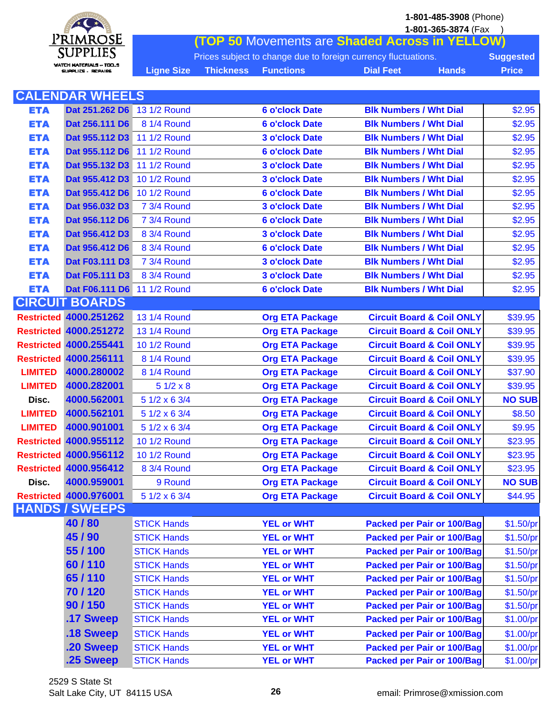**1-801-485-3908** (Phone) **1-801-365-3874** (Fax )



**(TOP 50** Movements are **Shaded Across in YELLOW)** Prices subject to change due to foreign currency fluctuations. **Suggested** Ligne Size Thickness Functions **Dial Feet** Hands Price

|                | <b>CALENDAR WHEELS</b>        |                    |                                                                |               |
|----------------|-------------------------------|--------------------|----------------------------------------------------------------|---------------|
| <b>ETA</b>     | Dat 251.262 D6                | 13 1/2 Round       | <b>Blk Numbers / Wht Dial</b><br><b>6 o'clock Date</b>         | \$2.95        |
| <b>ETA</b>     | Dat 256.111 D6                | 8 1/4 Round        | <b>Blk Numbers / Wht Dial</b><br><b>6 o'clock Date</b>         | \$2.95        |
| <b>ETA</b>     | Dat 955.112 D3                | 11 1/2 Round       | <b>3 o'clock Date</b><br><b>Blk Numbers / Wht Dial</b>         | \$2.95        |
| <b>ETA</b>     | Dat 955.112 D6                | 11 1/2 Round       | <b>6 o'clock Date</b><br><b>Blk Numbers / Wht Dial</b>         | \$2.95        |
| <b>ETA</b>     | Dat 955.132 D3                | 11 1/2 Round       | <b>3 o'clock Date</b><br><b>Blk Numbers / Wht Dial</b>         | \$2.95        |
| <b>ETA</b>     | Dat 955.412 D3                | 10 1/2 Round       | <b>Blk Numbers / Wht Dial</b><br><b>3 o'clock Date</b>         | \$2.95        |
| <b>ETA</b>     | Dat 955.412 D6                | 10 1/2 Round       | <b>Blk Numbers / Wht Dial</b><br><b>6 o'clock Date</b>         | \$2.95        |
| <b>ETA</b>     | Dat 956.032 D3                | 7 3/4 Round        | <b>3 o'clock Date</b><br><b>Blk Numbers / Wht Dial</b>         | \$2.95        |
| <b>ETA</b>     | Dat 956.112 D6                | 7 3/4 Round        | <b>6 o'clock Date</b><br><b>Blk Numbers / Wht Dial</b>         | \$2.95        |
| <b>ETA</b>     | Dat 956.412 D3                | 8 3/4 Round        | <b>Blk Numbers / Wht Dial</b><br><b>3 o'clock Date</b>         | \$2.95        |
| <b>ETA</b>     | Dat 956.412 D6                | 8 3/4 Round        | <b>Blk Numbers / Wht Dial</b><br><b>6 o'clock Date</b>         | \$2.95        |
| <b>ETA</b>     | Dat F03.111 D3                | 7 3/4 Round        | <b>Blk Numbers / Wht Dial</b><br><b>3 o'clock Date</b>         | \$2.95        |
| <b>ETA</b>     | Dat F05.111 D3                | 8 3/4 Round        | <b>3 o'clock Date</b><br><b>Blk Numbers / Wht Dial</b>         | \$2.95        |
| <b>ETA</b>     | Dat F06.111 D6 11 1/2 Round   |                    | <b>Blk Numbers / Wht Dial</b><br><b>6 o'clock Date</b>         | \$2.95        |
|                | <b>CIRCUIT BOARDS</b>         |                    |                                                                |               |
|                | <b>Restricted 4000.251262</b> | 13 1/4 Round       | <b>Circuit Board &amp; Coil ONLY</b><br><b>Org ETA Package</b> | \$39.95       |
|                | <b>Restricted 4000.251272</b> | 13 1/4 Round       | <b>Circuit Board &amp; Coil ONLY</b><br><b>Org ETA Package</b> | \$39.95       |
|                | <b>Restricted 4000.255441</b> | 10 1/2 Round       | <b>Org ETA Package</b><br><b>Circuit Board &amp; Coil ONLY</b> | \$39.95       |
|                | <b>Restricted 4000.256111</b> | 8 1/4 Round        | <b>Circuit Board &amp; Coil ONLY</b><br><b>Org ETA Package</b> | \$39.95       |
| <b>LIMITED</b> | 4000.280002                   | 8 1/4 Round        | <b>Circuit Board &amp; Coil ONLY</b><br><b>Org ETA Package</b> | \$37.90       |
| <b>LIMITED</b> | 4000.282001                   | $51/2 \times 8$    | <b>Circuit Board &amp; Coil ONLY</b><br><b>Org ETA Package</b> | \$39.95       |
| Disc.          | 4000.562001                   | 5 1/2 x 6 3/4      | <b>Org ETA Package</b><br><b>Circuit Board &amp; Coil ONLY</b> | <b>NO SUB</b> |
| <b>LIMITED</b> | 4000.562101                   | 5 1/2 x 6 3/4      | <b>Circuit Board &amp; Coil ONLY</b><br><b>Org ETA Package</b> | \$8.50        |
| <b>LIMITED</b> | 4000.901001                   | 5 1/2 x 6 3/4      | <b>Circuit Board &amp; Coil ONLY</b><br><b>Org ETA Package</b> | \$9.95        |
|                | <b>Restricted 4000.955112</b> | 10 1/2 Round       | <b>Circuit Board &amp; Coil ONLY</b><br><b>Org ETA Package</b> | \$23.95       |
|                | <b>Restricted 4000.956112</b> | 10 1/2 Round       | <b>Org ETA Package</b><br><b>Circuit Board &amp; Coil ONLY</b> | \$23.95       |
|                | <b>Restricted 4000.956412</b> | 8 3/4 Round        | <b>Org ETA Package</b><br><b>Circuit Board &amp; Coil ONLY</b> | \$23.95       |
| Disc.          | 4000.959001                   | 9 Round            | <b>Org ETA Package</b><br><b>Circuit Board &amp; Coil ONLY</b> | <b>NO SUB</b> |
|                | <b>Restricted 4000.976001</b> | 5 1/2 x 6 3/4      | <b>Org ETA Package</b><br><b>Circuit Board &amp; Coil ONLY</b> | \$44.95       |
|                | <b>HANDS / SWEEPS</b>         |                    |                                                                |               |
|                | 40/80                         | <b>STICK Hands</b> | <b>YEL or WHT</b><br><b>Packed per Pair or 100/Bag</b>         | \$1.50/pr     |
|                | 45/90                         | <b>STICK Hands</b> | <b>YEL or WHT</b><br><b>Packed per Pair or 100/Bag</b>         | \$1.50/pr     |
|                | 55/100                        | <b>STICK Hands</b> | <b>Packed per Pair or 100/Bag</b><br><b>YEL or WHT</b>         | \$1.50/pr     |
|                | 60/110                        | <b>STICK Hands</b> | <b>YEL or WHT</b><br><b>Packed per Pair or 100/Bag</b>         | \$1.50/pr     |
|                | 65/110                        | <b>STICK Hands</b> | <b>Packed per Pair or 100/Bag</b><br><b>YEL or WHT</b>         | \$1.50/pr     |
|                | 70/120                        | <b>STICK Hands</b> | <b>YEL or WHT</b><br><b>Packed per Pair or 100/Bag</b>         | \$1.50/pr     |
|                | 90/150                        | <b>STICK Hands</b> | <b>YEL or WHT</b><br><b>Packed per Pair or 100/Bag</b>         | \$1.50/pr     |
|                | .17 Sweep                     | <b>STICK Hands</b> | <b>YEL or WHT</b><br><b>Packed per Pair or 100/Bag</b>         | \$1.00/pr     |
|                | .18 Sweep                     | <b>STICK Hands</b> | <b>YEL or WHT</b><br><b>Packed per Pair or 100/Bag</b>         | \$1.00/pr     |
|                | .20 Sweep                     | <b>STICK Hands</b> | <b>YEL or WHT</b><br><b>Packed per Pair or 100/Bag</b>         | \$1.00/pr     |
|                | .25 Sweep                     | <b>STICK Hands</b> | <b>YEL or WHT</b><br><b>Packed per Pair or 100/Bag</b>         | \$1.00/pr     |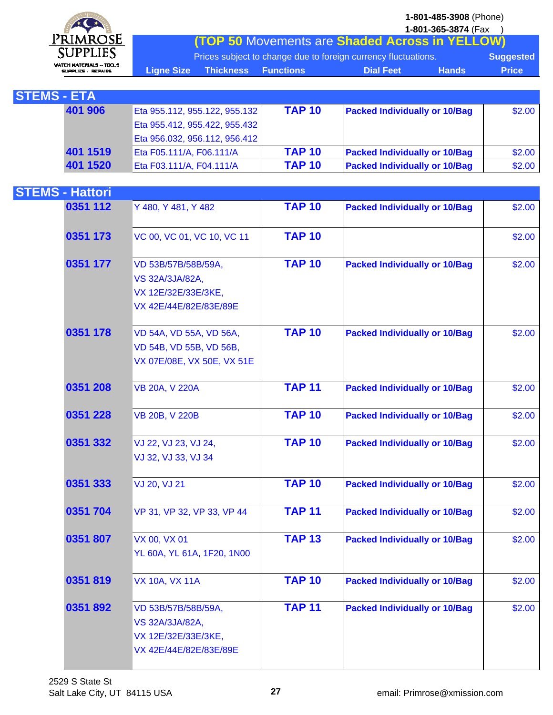

I

**1-801-365-3874** (Fax ) **(TOP 50** Movements are **Shaded Across in YELLOW)**

|                     | Prices subject to change due to foreign currency fluctuations. |  |                                  |         |  |  |  |
|---------------------|----------------------------------------------------------------|--|----------------------------------|---------|--|--|--|
| <b>Liane Size</b> \ | <b>Thickness Functions</b>                                     |  | <b>Dial Feet</b><br><b>Hands</b> | ⊾Price` |  |  |  |

| <b>STEMS - ETA</b> |                               |               |                                      |        |
|--------------------|-------------------------------|---------------|--------------------------------------|--------|
| 401 906            | Eta 955.112, 955.122, 955.132 | <b>TAP 10</b> | <b>Packed Individually or 10/Bag</b> | \$2.00 |
|                    | Eta 955.412, 955.422, 955.432 |               |                                      |        |
|                    | Eta 956.032, 956.112, 956.412 |               |                                      |        |
| 401 1519           | Eta F05.111/A, F06.111/A      | <b>TAP 10</b> | <b>Packed Individually or 10/Bag</b> | \$2.00 |
| 401 1520           | Eta F03.111/A, F04.111/A      | <b>TAP 10</b> | <b>Packed Individually or 10/Bag</b> | \$2.00 |

| <b>STEMS - Hattori</b> |                                                                                                |               |                                      |        |
|------------------------|------------------------------------------------------------------------------------------------|---------------|--------------------------------------|--------|
| 0351 112               | Y 480, Y 481, Y 482                                                                            | <b>TAP 10</b> | <b>Packed Individually or 10/Bag</b> | \$2.00 |
| 0351 173               | VC 00, VC 01, VC 10, VC 11                                                                     | <b>TAP 10</b> |                                      | \$2.00 |
| 0351 177               | VD 53B/57B/58B/59A,<br><b>VS 32A/3JA/82A,</b><br>VX 12E/32E/33E/3KE,<br>VX 42E/44E/82E/83E/89E | <b>TAP 10</b> | <b>Packed Individually or 10/Bag</b> | \$2.00 |
| 0351 178               | VD 54A, VD 55A, VD 56A,<br>VD 54B, VD 55B, VD 56B,<br>VX 07E/08E, VX 50E, VX 51E               | <b>TAP 10</b> | <b>Packed Individually or 10/Bag</b> | \$2.00 |
| 0351 208               | <b>VB 20A, V 220A</b>                                                                          | <b>TAP 11</b> | <b>Packed Individually or 10/Bag</b> | \$2.00 |
| 0351 228               | VB 20B, V 220B                                                                                 | <b>TAP 10</b> | <b>Packed Individually or 10/Bag</b> | \$2.00 |
| 0351 332               | VJ 22, VJ 23, VJ 24,<br>VJ 32, VJ 33, VJ 34                                                    | <b>TAP 10</b> | <b>Packed Individually or 10/Bag</b> | \$2.00 |
| 0351 333               | VJ 20, VJ 21                                                                                   | <b>TAP 10</b> | <b>Packed Individually or 10/Bag</b> | \$2.00 |
| 0351 704               | VP 31, VP 32, VP 33, VP 44                                                                     | <b>TAP 11</b> | <b>Packed Individually or 10/Bag</b> | \$2.00 |
| 0351 807               | VX 00, VX 01<br>YL 60A, YL 61A, 1F20, 1N00                                                     | <b>TAP 13</b> | <b>Packed Individually or 10/Bag</b> | \$2.00 |
| 0351819                | <b>VX 10A, VX 11A</b>                                                                          | <b>TAP 10</b> | <b>Packed Individually or 10/Bag</b> | \$2.00 |
| 0351892                | VD 53B/57B/58B/59A,<br>VS 32A/3JA/82A,<br>VX 12E/32E/33E/3KE,<br>VX 42E/44E/82E/83E/89E        | <b>TAP 11</b> | <b>Packed Individually or 10/Bag</b> | \$2.00 |
|                        |                                                                                                |               |                                      |        |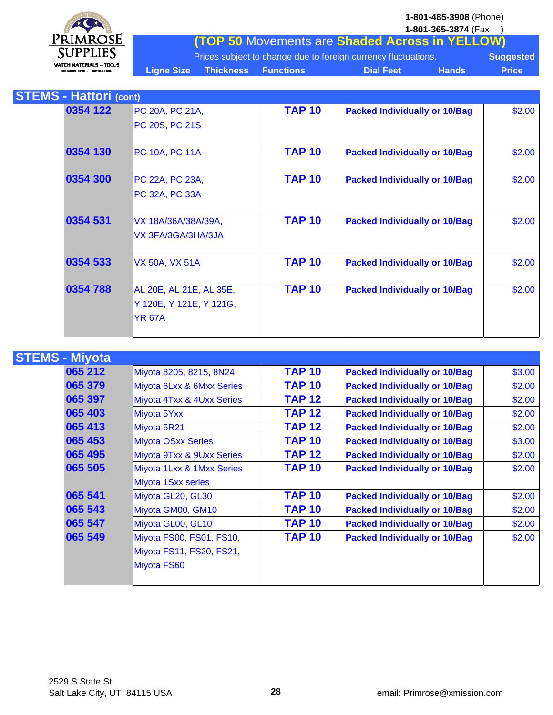**1-801-485-3908** (Phone) **1-801-365-3874** (Fax )



**(TOP 50** Movements are **Shaded Across in YELLOW)** Prices subject to change due to foreign currency fluctuations. **Suggested** Ligne Size Thickness Functions **Dial Feet** Hands Price

| <b>STEMS - Hattori (cont)</b> |                         |               |                                      |        |
|-------------------------------|-------------------------|---------------|--------------------------------------|--------|
| 0354 122                      | PC 20A, PC 21A,         | <b>TAP 10</b> | <b>Packed Individually or 10/Bag</b> | \$2.00 |
|                               | PC 20S, PC 21S          |               |                                      |        |
| 0354 130                      | <b>PC 10A, PC 11A</b>   | <b>TAP 10</b> | <b>Packed Individually or 10/Bag</b> | \$2.00 |
| 0354 300                      | PC 22A, PC 23A,         | <b>TAP 10</b> | <b>Packed Individually or 10/Bag</b> | \$2.00 |
|                               | <b>PC 32A, PC 33A</b>   |               |                                      |        |
| 0354 531                      | VX 18A/36A/38A/39A,     | <b>TAP 10</b> | <b>Packed Individually or 10/Bag</b> | \$2.00 |
|                               | VX 3FA/3GA/3HA/3JA      |               |                                      |        |
| 0354 533                      | <b>VX 50A, VX 51A</b>   | <b>TAP 10</b> | <b>Packed Individually or 10/Bag</b> | \$2.00 |
| 0354 788                      | AL 20E, AL 21E, AL 35E, | <b>TAP 10</b> | <b>Packed Individually or 10/Bag</b> | \$2.00 |
|                               | Y 120E, Y 121E, Y 121G, |               |                                      |        |
|                               | <b>YR 67A</b>           |               |                                      |        |

| <b>STEMS - Miyota</b> |                           |               |                                      |        |
|-----------------------|---------------------------|---------------|--------------------------------------|--------|
| 065 212               | Miyota 8205, 8215, 8N24   | <b>TAP 10</b> | <b>Packed Individually or 10/Bag</b> | \$3.00 |
| 065 379               | Miyota 6Lxx & 6Mxx Series | <b>TAP 10</b> | <b>Packed Individually or 10/Bag</b> | \$2.00 |
| 065 397               | Miyota 4Txx & 4Uxx Series | <b>TAP 12</b> | <b>Packed Individually or 10/Bag</b> | \$2.00 |
| 065 403               | Miyota 5Yxx               | <b>TAP 12</b> | <b>Packed Individually or 10/Bag</b> | \$2.00 |
| 065 413               | Miyota 5R21               | <b>TAP 12</b> | <b>Packed Individually or 10/Bag</b> | \$2.00 |
| 065 453               | <b>Miyota OSxx Series</b> | <b>TAP 10</b> | <b>Packed Individually or 10/Bag</b> | \$3.00 |
| 065 495               | Miyota 9Txx & 9Uxx Series | <b>TAP 12</b> | <b>Packed Individually or 10/Bag</b> | \$2.00 |
| 065 505               | Miyota 1Lxx & 1Mxx Series | <b>TAP 10</b> | <b>Packed Individually or 10/Bag</b> | \$2.00 |
|                       | Miyota 1Sxx series        |               |                                      |        |
| 065 541               | Miyota GL20, GL30         | <b>TAP 10</b> | <b>Packed Individually or 10/Bag</b> | \$2.00 |
| 065 543               | Miyota GM00, GM10         | <b>TAP 10</b> | <b>Packed Individually or 10/Bag</b> | \$2.00 |
| 065 547               | Miyota GL00, GL10         | <b>TAP 10</b> | <b>Packed Individually or 10/Bag</b> | \$2.00 |
| 065 549               | Miyota FS00, FS01, FS10,  | <b>TAP 10</b> | <b>Packed Individually or 10/Bag</b> | \$2.00 |
|                       | Miyota FS11, FS20, FS21,  |               |                                      |        |
|                       | Miyota FS60               |               |                                      |        |
|                       |                           |               |                                      |        |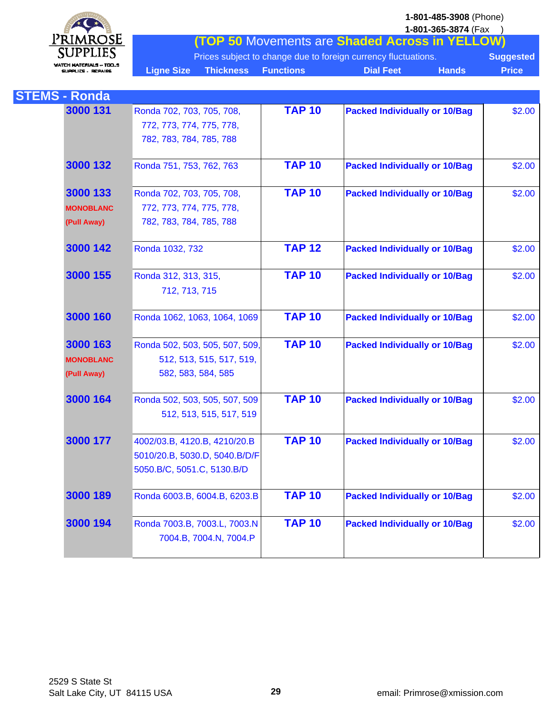

**1-801-365-3874** (Fax ) **(TOP 50** Movements are **Shaded Across in YELLOW)** Prices subject to change due to foreign currency fluctuations. **Suggested** Ligne Size Thickness Functions **Dial Feet** Hands Price

| <b>STEMS - Ronda</b> |                                |               |                                      |        |
|----------------------|--------------------------------|---------------|--------------------------------------|--------|
| 3000 131             | Ronda 702, 703, 705, 708,      | <b>TAP 10</b> | <b>Packed Individually or 10/Bag</b> | \$2.00 |
|                      | 772, 773, 774, 775, 778,       |               |                                      |        |
|                      | 782, 783, 784, 785, 788        |               |                                      |        |
| 3000 132             | Ronda 751, 753, 762, 763       | <b>TAP 10</b> | <b>Packed Individually or 10/Bag</b> | \$2.00 |
| 3000 133             | Ronda 702, 703, 705, 708,      | <b>TAP 10</b> | <b>Packed Individually or 10/Bag</b> | \$2.00 |
| <b>MONOBLANC</b>     | 772, 773, 774, 775, 778,       |               |                                      |        |
| (Pull Away)          | 782, 783, 784, 785, 788        |               |                                      |        |
| 3000 142             | Ronda 1032, 732                | <b>TAP 12</b> | <b>Packed Individually or 10/Bag</b> | \$2.00 |
| 3000 155             | Ronda 312, 313, 315,           | <b>TAP 10</b> | <b>Packed Individually or 10/Bag</b> | \$2.00 |
|                      | 712, 713, 715                  |               |                                      |        |
| 3000 160             | Ronda 1062, 1063, 1064, 1069   | <b>TAP 10</b> | <b>Packed Individually or 10/Bag</b> | \$2.00 |
| 3000 163             | Ronda 502, 503, 505, 507, 509, | <b>TAP 10</b> | <b>Packed Individually or 10/Bag</b> | \$2.00 |
| <b>MONOBLANC</b>     | 512, 513, 515, 517, 519,       |               |                                      |        |
| (Pull Away)          | 582, 583, 584, 585             |               |                                      |        |
| 3000 164             | Ronda 502, 503, 505, 507, 509  | <b>TAP 10</b> | <b>Packed Individually or 10/Bag</b> | \$2.00 |
|                      | 512, 513, 515, 517, 519        |               |                                      |        |
| 3000 177             | 4002/03.B, 4120.B, 4210/20.B   | <b>TAP 10</b> | <b>Packed Individually or 10/Bag</b> | \$2.00 |
|                      | 5010/20.B, 5030.D, 5040.B/D/F  |               |                                      |        |
|                      | 5050.B/C, 5051.C, 5130.B/D     |               |                                      |        |
| 3000 189             | Ronda 6003.B, 6004.B, 6203.B   | <b>TAP 10</b> | <b>Packed Individually or 10/Bag</b> | \$2.00 |
| 3000 194             | Ronda 7003.B, 7003.L, 7003.N   | <b>TAP 10</b> | <b>Packed Individually or 10/Bag</b> | \$2.00 |
|                      | 7004.B, 7004.N, 7004.P         |               |                                      |        |
|                      |                                |               |                                      |        |